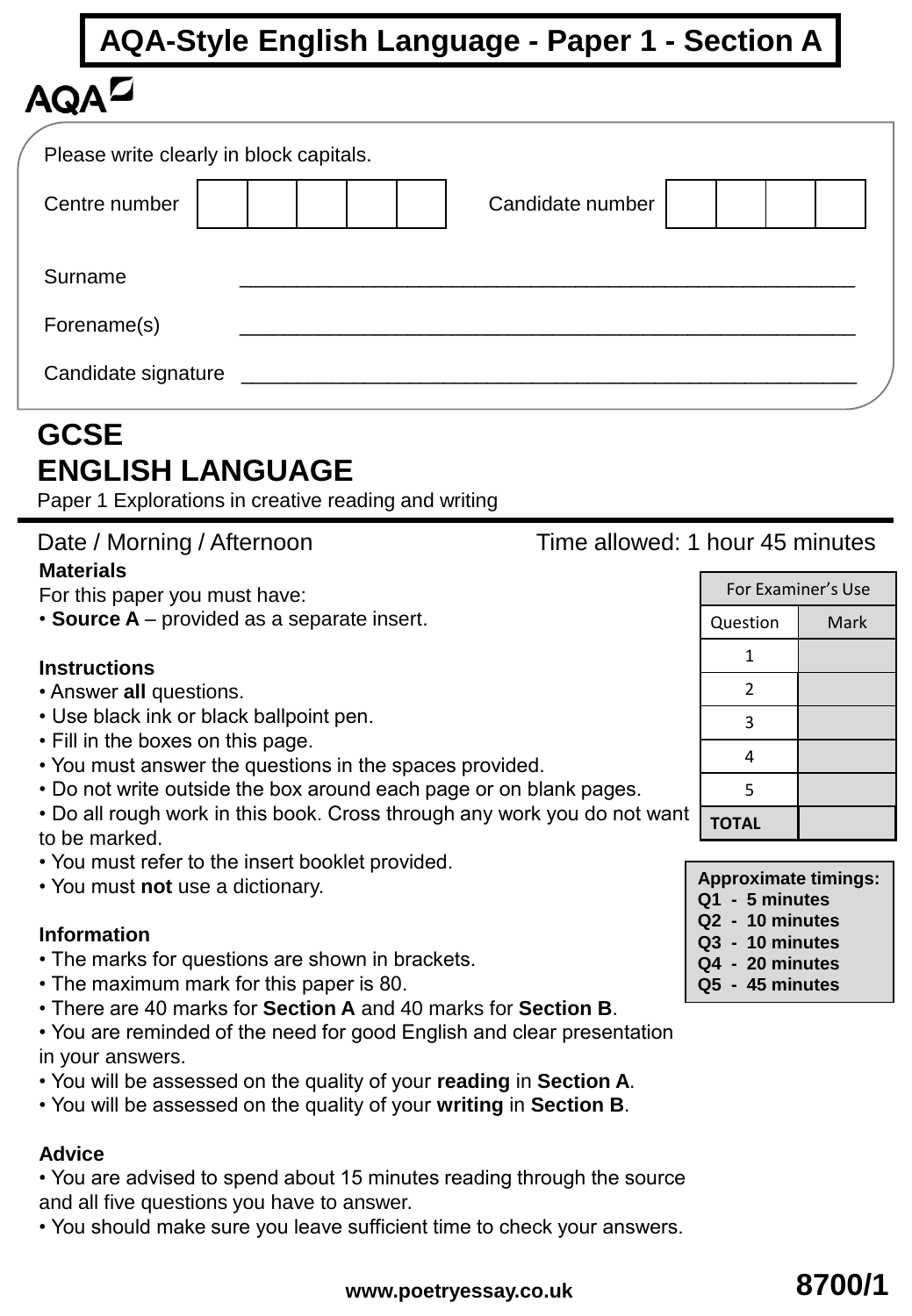|                     | <b>AQA-Style English Language - Paper 1 - Section A</b> |
|---------------------|---------------------------------------------------------|
| $\mathbf{A}$        |                                                         |
|                     | Please write clearly in block capitals.                 |
| Centre number       | Candidate number                                        |
| Surname             |                                                         |
| Forename(s)         |                                                         |
| Candidate signature |                                                         |

## **GCSE ENGLISH LANGUAGE**

Paper 1 Explorations in creative reading and writing

## Date / Morning / Afternoon Time allowed: 1 hour 45 minutes

#### **Materials**

For this paper you must have:

• **Source A** – provided as a separate insert.

#### **Instructions**

- Answer **all** questions.
- Use black ink or black ballpoint pen.
- Fill in the boxes on this page.
- You must answer the questions in the spaces provided.
- Do not write outside the box around each page or on blank pages.
- Do all rough work in this book. Cross through any work you do not want to be marked.
- You must refer to the insert booklet provided.
- You must **not** use a dictionary.

#### **Information**

- The marks for questions are shown in brackets.
- The maximum mark for this paper is 80.
- There are 40 marks for **Section A** and 40 marks for **Section B**.

• You are reminded of the need for good English and clear presentation in your answers.

- You will be assessed on the quality of your **reading** in **Section A**.
- You will be assessed on the quality of your **writing** in **Section B**.

### **Advice**

• You are advised to spend about 15 minutes reading through the source and all five questions you have to answer.

• You should make sure you leave sufficient time to check your answers.

## For Examiner's Use Question | Mark 1 2 3 4 5 **TOTAL**

| <b>Approximate timings:</b> |  |
|-----------------------------|--|
|-----------------------------|--|

- **Q1 5 minutes**
- **Q2 10 minutes**
- **Q3 10 minutes**
- **Q4 20 minutes**
- **Q5 45 minutes**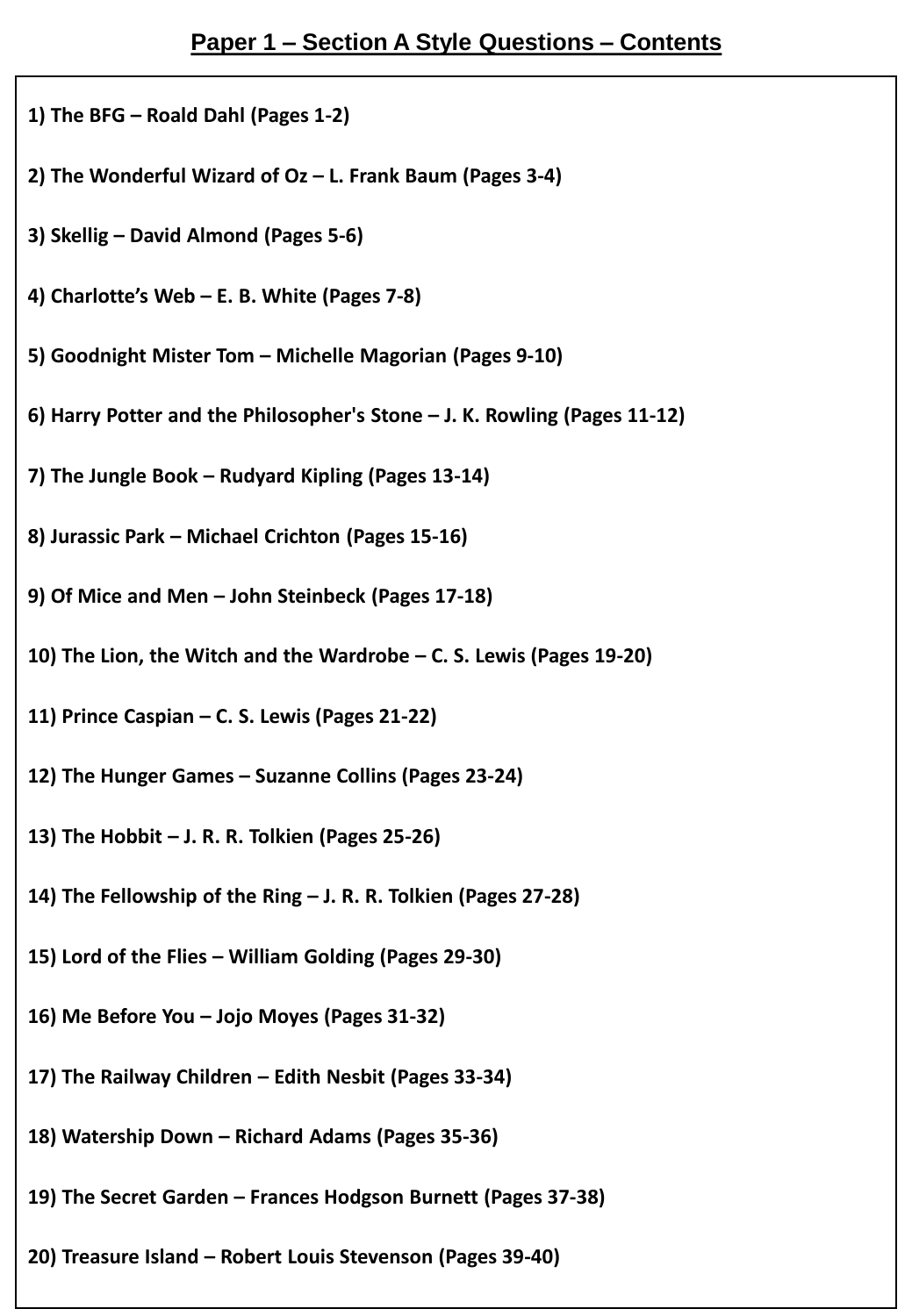- **1) The BFG – Roald Dahl (Pages 1-2)**
- **2) The Wonderful Wizard of Oz – L. Frank Baum (Pages 3-4)**
- **3) Skellig – David Almond (Pages 5-6)**
- **4) Charlotte's Web – E. B. White (Pages 7-8)**
- **5) Goodnight Mister Tom – Michelle Magorian (Pages 9-10)**
- **6) Harry Potter and the Philosopher's Stone – J. K. Rowling (Pages 11-12)**
- **7) The Jungle Book – Rudyard Kipling (Pages 13-14)**
- **8) Jurassic Park – Michael Crichton (Pages 15-16)**
- **9) Of Mice and Men – John Steinbeck (Pages 17-18)**
- **10) The Lion, the Witch and the Wardrobe – C. S. Lewis (Pages 19-20)**
- **11) Prince Caspian – C. S. Lewis (Pages 21-22)**
- **12) The Hunger Games – Suzanne Collins (Pages 23-24)**
- **13) The Hobbit – J. R. R. Tolkien (Pages 25-26)**
- **14) The Fellowship of the Ring – J. R. R. Tolkien (Pages 27-28)**
- **15) Lord of the Flies – William Golding (Pages 29-30)**
- **16) Me Before You – Jojo Moyes (Pages 31-32)**
- **17) The Railway Children – Edith Nesbit (Pages 33-34)**
- **18) Watership Down – Richard Adams (Pages 35-36)**
- **19) The Secret Garden – Frances Hodgson Burnett (Pages 37-38)**
- **20) Treasure Island – Robert Louis Stevenson (Pages 39-40)**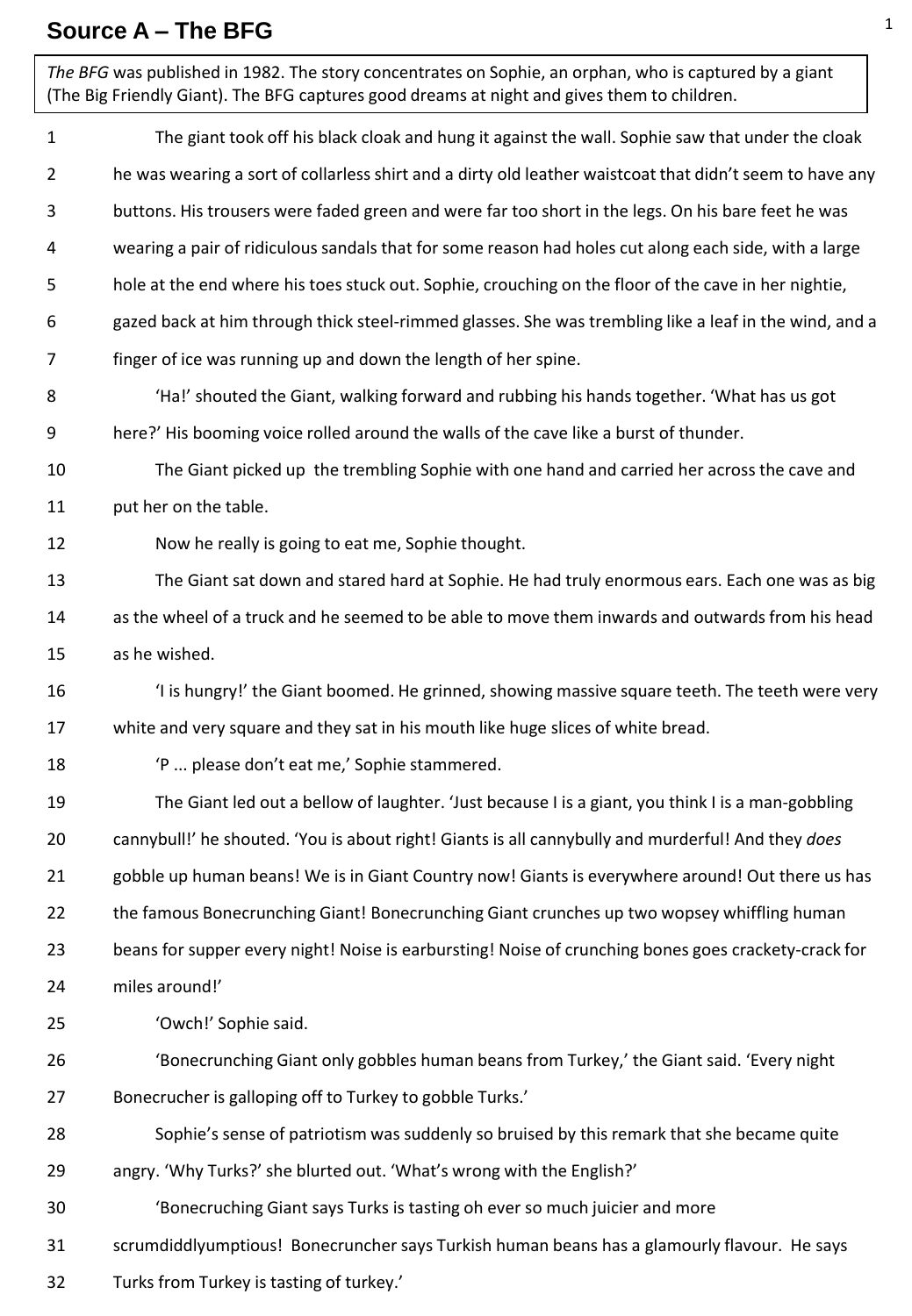## **Source A – The BFG**

| The BFG was published in 1982. The story concentrates on Sophie, an orphan, who is captured by a giant<br>(The Big Friendly Giant). The BFG captures good dreams at night and gives them to children. |                                                                                                          |
|-------------------------------------------------------------------------------------------------------------------------------------------------------------------------------------------------------|----------------------------------------------------------------------------------------------------------|
| 1                                                                                                                                                                                                     | The giant took off his black cloak and hung it against the wall. Sophie saw that under the cloak         |
| 2                                                                                                                                                                                                     | he was wearing a sort of collarless shirt and a dirty old leather waistcoat that didn't seem to have any |
| 3                                                                                                                                                                                                     | buttons. His trousers were faded green and were far too short in the legs. On his bare feet he was       |
| 4                                                                                                                                                                                                     | wearing a pair of ridiculous sandals that for some reason had holes cut along each side, with a large    |
| 5                                                                                                                                                                                                     | hole at the end where his toes stuck out. Sophie, crouching on the floor of the cave in her nightie,     |
| 6                                                                                                                                                                                                     | gazed back at him through thick steel-rimmed glasses. She was trembling like a leaf in the wind, and a   |
| 7                                                                                                                                                                                                     | finger of ice was running up and down the length of her spine.                                           |
| 8                                                                                                                                                                                                     | 'Ha!' shouted the Giant, walking forward and rubbing his hands together. 'What has us got                |
| 9                                                                                                                                                                                                     | here?' His booming voice rolled around the walls of the cave like a burst of thunder.                    |
| 10                                                                                                                                                                                                    | The Giant picked up the trembling Sophie with one hand and carried her across the cave and               |
| 11                                                                                                                                                                                                    | put her on the table.                                                                                    |
| 12                                                                                                                                                                                                    | Now he really is going to eat me, Sophie thought.                                                        |
| 13                                                                                                                                                                                                    | The Giant sat down and stared hard at Sophie. He had truly enormous ears. Each one was as big            |
| 14                                                                                                                                                                                                    | as the wheel of a truck and he seemed to be able to move them inwards and outwards from his head         |
| 15                                                                                                                                                                                                    | as he wished.                                                                                            |
| 16                                                                                                                                                                                                    | 'I is hungry!' the Giant boomed. He grinned, showing massive square teeth. The teeth were very           |
| 17                                                                                                                                                                                                    | white and very square and they sat in his mouth like huge slices of white bread.                         |
| 18                                                                                                                                                                                                    | 'P  please don't eat me,' Sophie stammered.                                                              |
| 19                                                                                                                                                                                                    | The Giant led out a bellow of laughter. 'Just because I is a giant, you think I is a man-gobbling        |
| 20                                                                                                                                                                                                    | cannybull!' he shouted. 'You is about right! Giants is all cannybully and murderful! And they does       |
| 21                                                                                                                                                                                                    | gobble up human beans! We is in Giant Country now! Giants is everywhere around! Out there us has         |
| 22                                                                                                                                                                                                    | the famous Bonecrunching Giant! Bonecrunching Giant crunches up two wopsey whiffling human               |
| 23                                                                                                                                                                                                    | beans for supper every night! Noise is earbursting! Noise of crunching bones goes crackety-crack for     |
| 24                                                                                                                                                                                                    | miles around!'                                                                                           |
| 25                                                                                                                                                                                                    | 'Owch!' Sophie said.                                                                                     |
| 26                                                                                                                                                                                                    | 'Bonecrunching Giant only gobbles human beans from Turkey,' the Giant said. 'Every night                 |
| 27                                                                                                                                                                                                    | Bonecrucher is galloping off to Turkey to gobble Turks.'                                                 |
| 28                                                                                                                                                                                                    | Sophie's sense of patriotism was suddenly so bruised by this remark that she became quite                |
| 29                                                                                                                                                                                                    | angry. 'Why Turks?' she blurted out. 'What's wrong with the English?'                                    |
| 30                                                                                                                                                                                                    | 'Bonecruching Giant says Turks is tasting oh ever so much juicier and more                               |
| 31                                                                                                                                                                                                    | scrumdiddlyumptious! Bonecruncher says Turkish human beans has a glamourly flavour. He says              |
| 32                                                                                                                                                                                                    | Turks from Turkey is tasting of turkey.'                                                                 |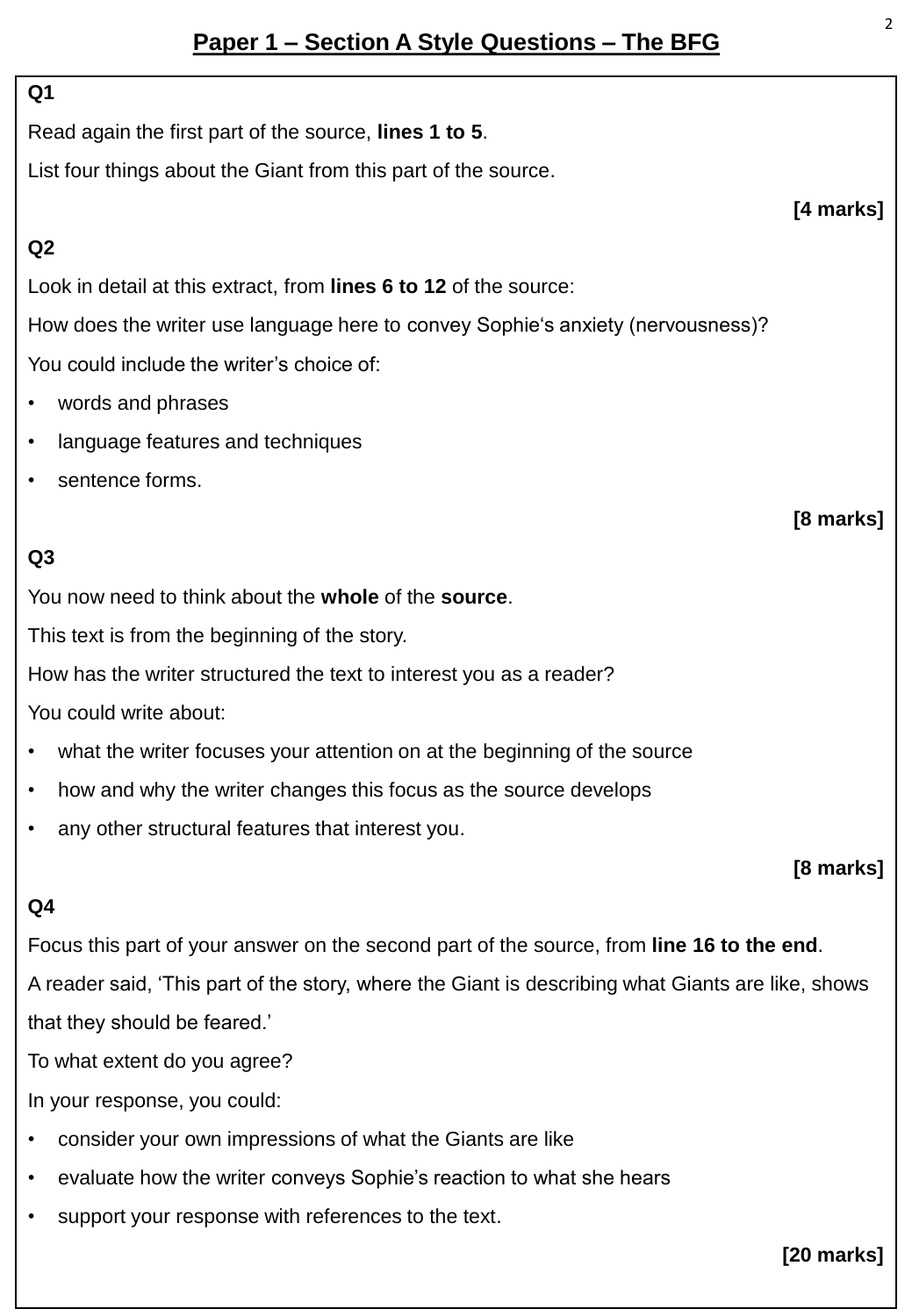#### **Q1**

Read again the first part of the source, **lines 1 to 5**.

List four things about the Giant from this part of the source.

### **Q2**

Look in detail at this extract, from **lines 6 to 12** of the source:

How does the writer use language here to convey Sophie's anxiety (nervousness)? You could include the writer's choice of:

- words and phrases
- language features and techniques
- sentence forms.

## **Q3**

You now need to think about the **whole** of the **source**.

This text is from the beginning of the story.

How has the writer structured the text to interest you as a reader?

You could write about:

- what the writer focuses your attention on at the beginning of the source
- how and why the writer changes this focus as the source develops
- any other structural features that interest you.

#### **[8 marks]**

#### **Q4**

Focus this part of your answer on the second part of the source, from **line 16 to the end**.

A reader said, 'This part of the story, where the Giant is describing what Giants are like, shows that they should be feared.'

To what extent do you agree?

In your response, you could:

- consider your own impressions of what the Giants are like
- evaluate how the writer conveys Sophie's reaction to what she hears
- support your response with references to the text.

### **[20 marks]**

**[4 marks]**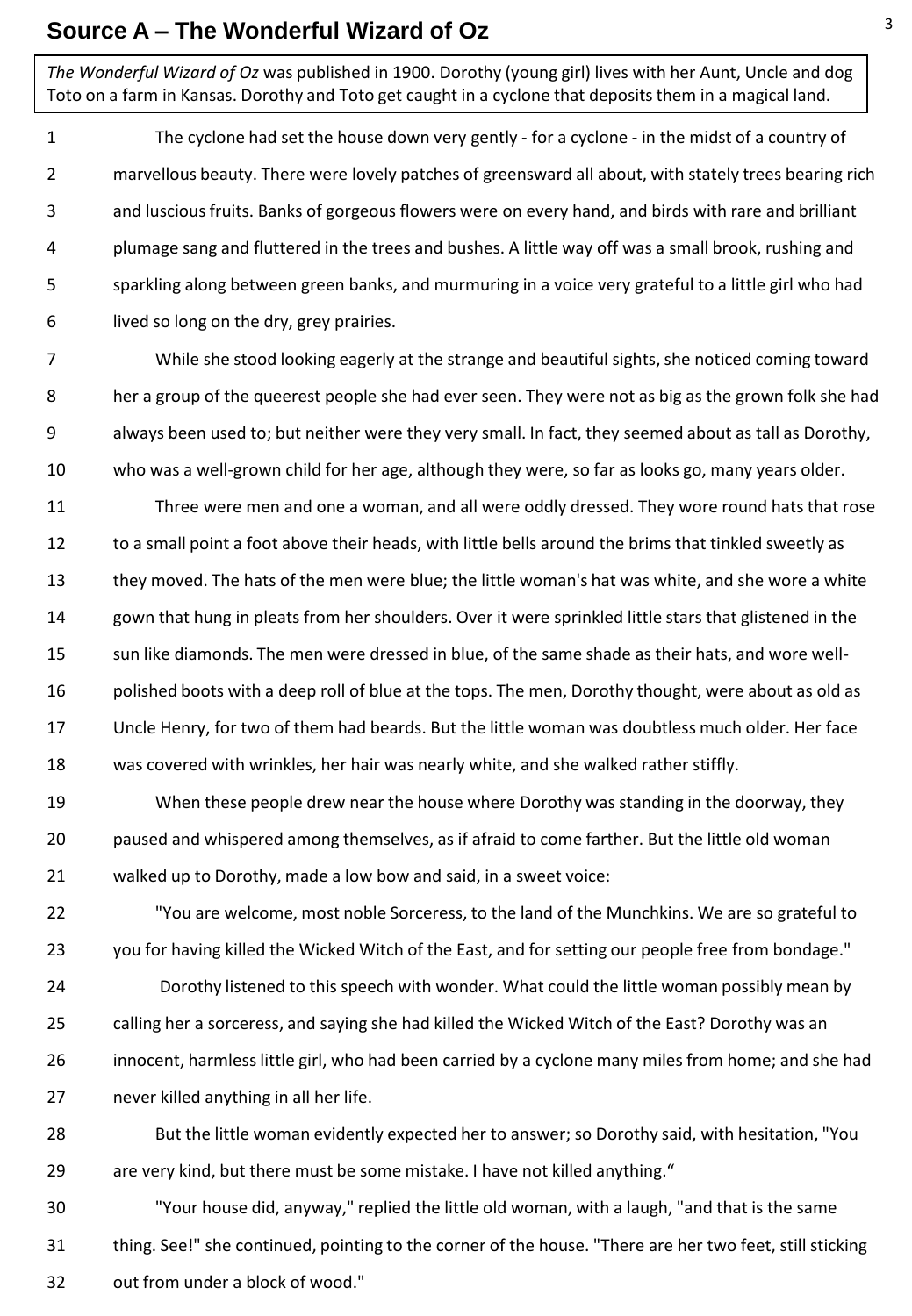#### **Source A – The Wonderful Wizard of Oz**

*The Wonderful Wizard of Oz* was published in 1900. Dorothy (young girl) lives with her Aunt, Uncle and dog Toto on a farm in Kansas. Dorothy and Toto get caught in a cyclone that deposits them in a magical land.

1 2 3 4 5 6 The cyclone had set the house down very gently - for a cyclone - in the midst of a country of marvellous beauty. There were lovely patches of greensward all about, with stately trees bearing rich and luscious fruits. Banks of gorgeous flowers were on every hand, and birds with rare and brilliant plumage sang and fluttered in the trees and bushes. A little way off was a small brook, rushing and sparkling along between green banks, and murmuring in a voice very grateful to a little girl who had lived so long on the dry, grey prairies.

7 8 9 10 While she stood looking eagerly at the strange and beautiful sights, she noticed coming toward her a group of the queerest people she had ever seen. They were not as big as the grown folk she had always been used to; but neither were they very small. In fact, they seemed about as tall as Dorothy, who was a well-grown child for her age, although they were, so far as looks go, many years older.

11 12 13 14 15 16 17 18 Three were men and one a woman, and all were oddly dressed. They wore round hats that rose to a small point a foot above their heads, with little bells around the brims that tinkled sweetly as they moved. The hats of the men were blue; the little woman's hat was white, and she wore a white gown that hung in pleats from her shoulders. Over it were sprinkled little stars that glistened in the sun like diamonds. The men were dressed in blue, of the same shade as their hats, and wore wellpolished boots with a deep roll of blue at the tops. The men, Dorothy thought, were about as old as Uncle Henry, for two of them had beards. But the little woman was doubtless much older. Her face was covered with wrinkles, her hair was nearly white, and she walked rather stiffly.

19 20 21 When these people drew near the house where Dorothy was standing in the doorway, they paused and whispered among themselves, as if afraid to come farther. But the little old woman walked up to Dorothy, made a low bow and said, in a sweet voice:

22 23 "You are welcome, most noble Sorceress, to the land of the Munchkins. We are so grateful to you for having killed the Wicked Witch of the East, and for setting our people free from bondage."

24 25 26 27 Dorothy listened to this speech with wonder. What could the little woman possibly mean by calling her a sorceress, and saying she had killed the Wicked Witch of the East? Dorothy was an innocent, harmless little girl, who had been carried by a cyclone many miles from home; and she had never killed anything in all her life.

28 29 But the little woman evidently expected her to answer; so Dorothy said, with hesitation, "You are very kind, but there must be some mistake. I have not killed anything."

30 31 32 "Your house did, anyway," replied the little old woman, with a laugh, "and that is the same thing. See!" she continued, pointing to the corner of the house. "There are her two feet, still sticking out from under a block of wood."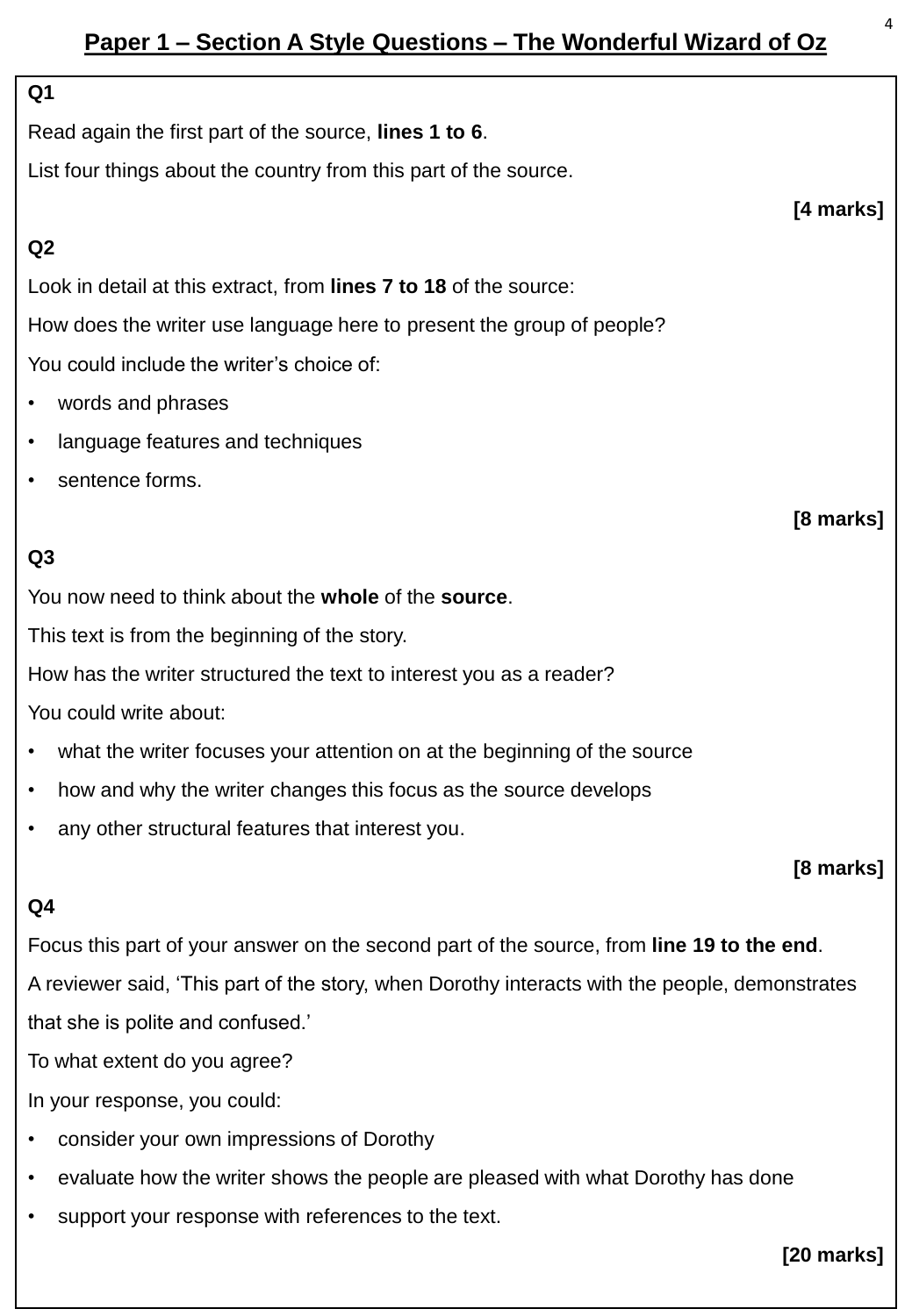## **Paper 1 – Section A Style Questions – The Wonderful Wizard of Oz**

#### **Q1**

Read again the first part of the source, **lines 1 to 6**.

List four things about the country from this part of the source.

#### **Q2**

Look in detail at this extract, from **lines 7 to 18** of the source:

How does the writer use language here to present the group of people?

You could include the writer's choice of:

- words and phrases
- language features and techniques
- sentence forms.

## **Q3**

You now need to think about the **whole** of the **source**.

This text is from the beginning of the story.

How has the writer structured the text to interest you as a reader?

You could write about:

- what the writer focuses your attention on at the beginning of the source
- how and why the writer changes this focus as the source develops
- any other structural features that interest you.

#### **[8 marks]**

#### **Q4**

Focus this part of your answer on the second part of the source, from **line 19 to the end**.

A reviewer said, 'This part of the story, when Dorothy interacts with the people, demonstrates that she is polite and confused.'

To what extent do you agree?

In your response, you could:

- consider your own impressions of Dorothy
- evaluate how the writer shows the people are pleased with what Dorothy has done
- support your response with references to the text.

**[20 marks]**

**[4 marks]**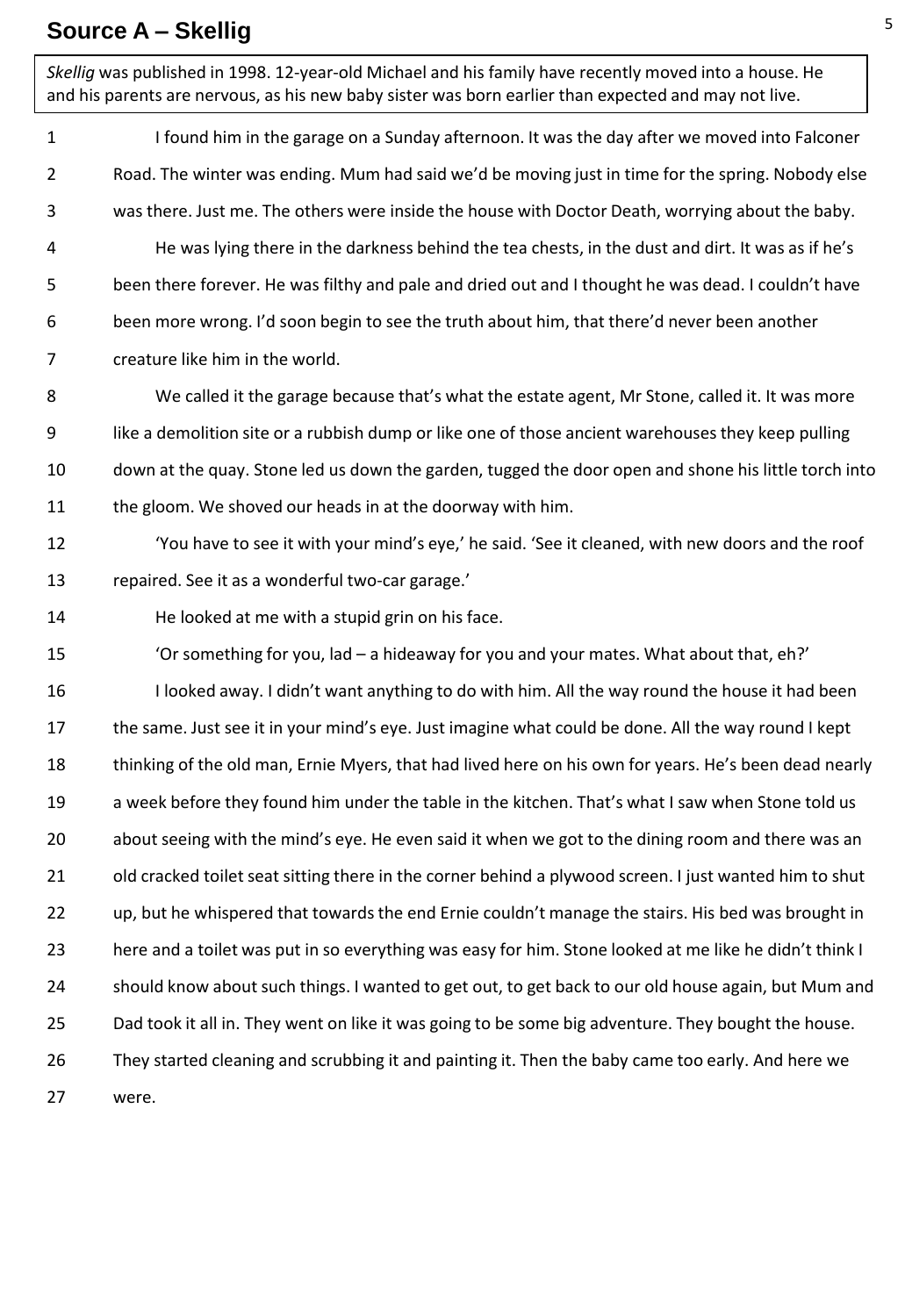### **Source A – Skellig**

1 2 3 4 5 6 7 8 9 10 11 12 13 14 15 16 17 18 19 20 21 22 23 24 25 26 27 I found him in the garage on a Sunday afternoon. It was the day after we moved into Falconer Road. The winter was ending. Mum had said we'd be moving just in time for the spring. Nobody else was there. Just me. The others were inside the house with Doctor Death, worrying about the baby. He was lying there in the darkness behind the tea chests, in the dust and dirt. It was as if he's been there forever. He was filthy and pale and dried out and I thought he was dead. I couldn't have been more wrong. I'd soon begin to see the truth about him, that there'd never been another creature like him in the world. We called it the garage because that's what the estate agent, Mr Stone, called it. It was more like a demolition site or a rubbish dump or like one of those ancient warehouses they keep pulling down at the quay. Stone led us down the garden, tugged the door open and shone his little torch into the gloom. We shoved our heads in at the doorway with him. 'You have to see it with your mind's eye,' he said. 'See it cleaned, with new doors and the roof repaired. See it as a wonderful two-car garage.' He looked at me with a stupid grin on his face. 'Or something for you, lad – a hideaway for you and your mates. What about that, eh?' I looked away. I didn't want anything to do with him. All the way round the house it had been the same. Just see it in your mind's eye. Just imagine what could be done. All the way round I kept thinking of the old man, Ernie Myers, that had lived here on his own for years. He's been dead nearly a week before they found him under the table in the kitchen. That's what I saw when Stone told us about seeing with the mind's eye. He even said it when we got to the dining room and there was an old cracked toilet seat sitting there in the corner behind a plywood screen. I just wanted him to shut up, but he whispered that towards the end Ernie couldn't manage the stairs. His bed was brought in here and a toilet was put in so everything was easy for him. Stone looked at me like he didn't think I should know about such things. I wanted to get out, to get back to our old house again, but Mum and Dad took it all in. They went on like it was going to be some big adventure. They bought the house. They started cleaning and scrubbing it and painting it. Then the baby came too early. And here we were. *Skellig* was published in 1998. 12-year-old Michael and his family have recently moved into a house. He and his parents are nervous, as his new baby sister was born earlier than expected and may not live.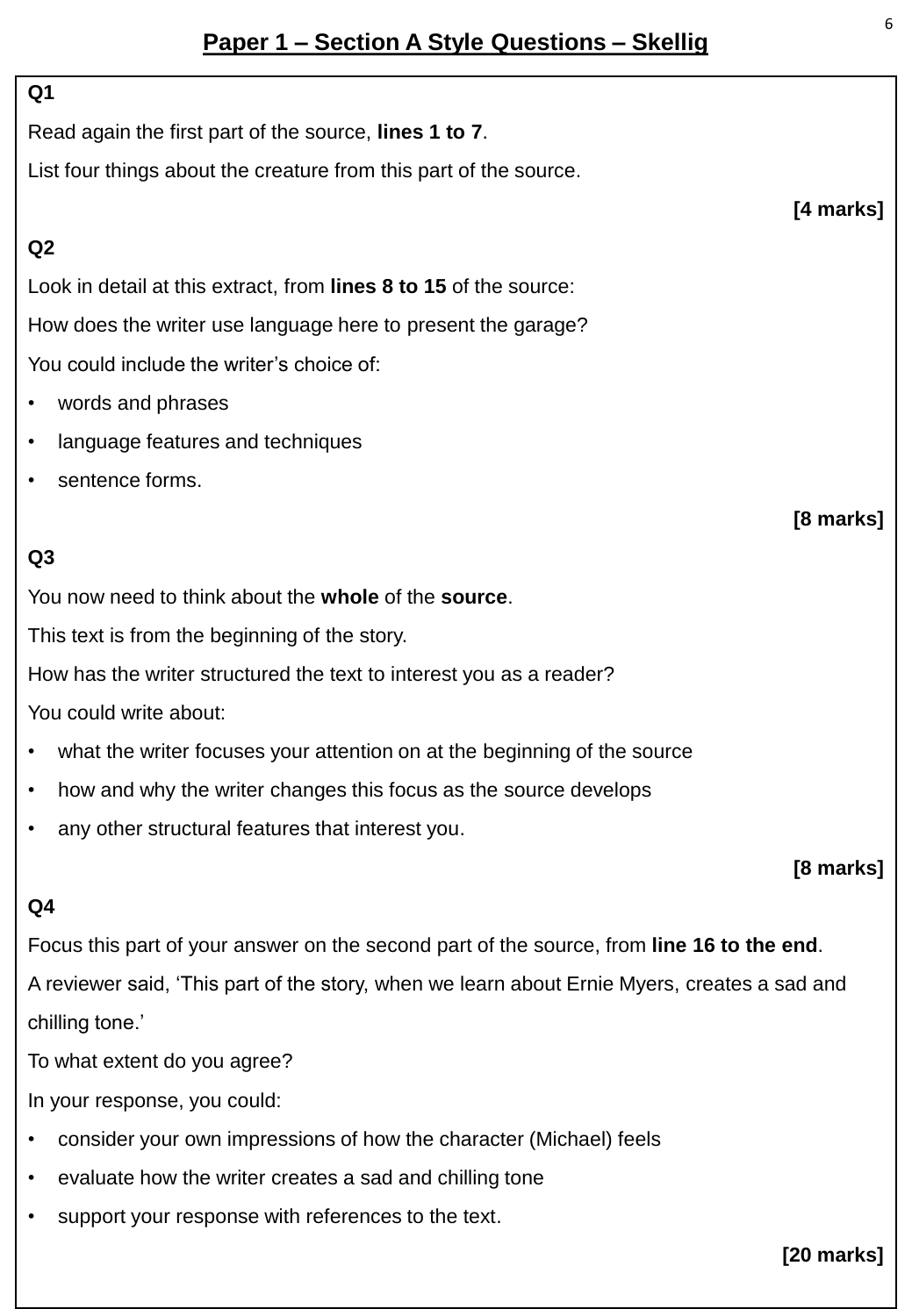#### **Q1**

Read again the first part of the source, **lines 1 to 7**.

List four things about the creature from this part of the source.

### **Q2**

Look in detail at this extract, from **lines 8 to 15** of the source: How does the writer use language here to present the garage? You could include the writer's choice of:

- words and phrases
- language features and techniques
- sentence forms.

## **Q3**

You now need to think about the **whole** of the **source**.

This text is from the beginning of the story.

How has the writer structured the text to interest you as a reader?

You could write about:

- what the writer focuses your attention on at the beginning of the source
- how and why the writer changes this focus as the source develops
- any other structural features that interest you.

**[8 marks]**

#### **Q4**

Focus this part of your answer on the second part of the source, from **line 16 to the end**. A reviewer said, 'This part of the story, when we learn about Ernie Myers, creates a sad and

chilling tone.'

To what extent do you agree?

In your response, you could:

- consider your own impressions of how the character (Michael) feels
- evaluate how the writer creates a sad and chilling tone
- support your response with references to the text.

**[20 marks]**

**[4 marks]**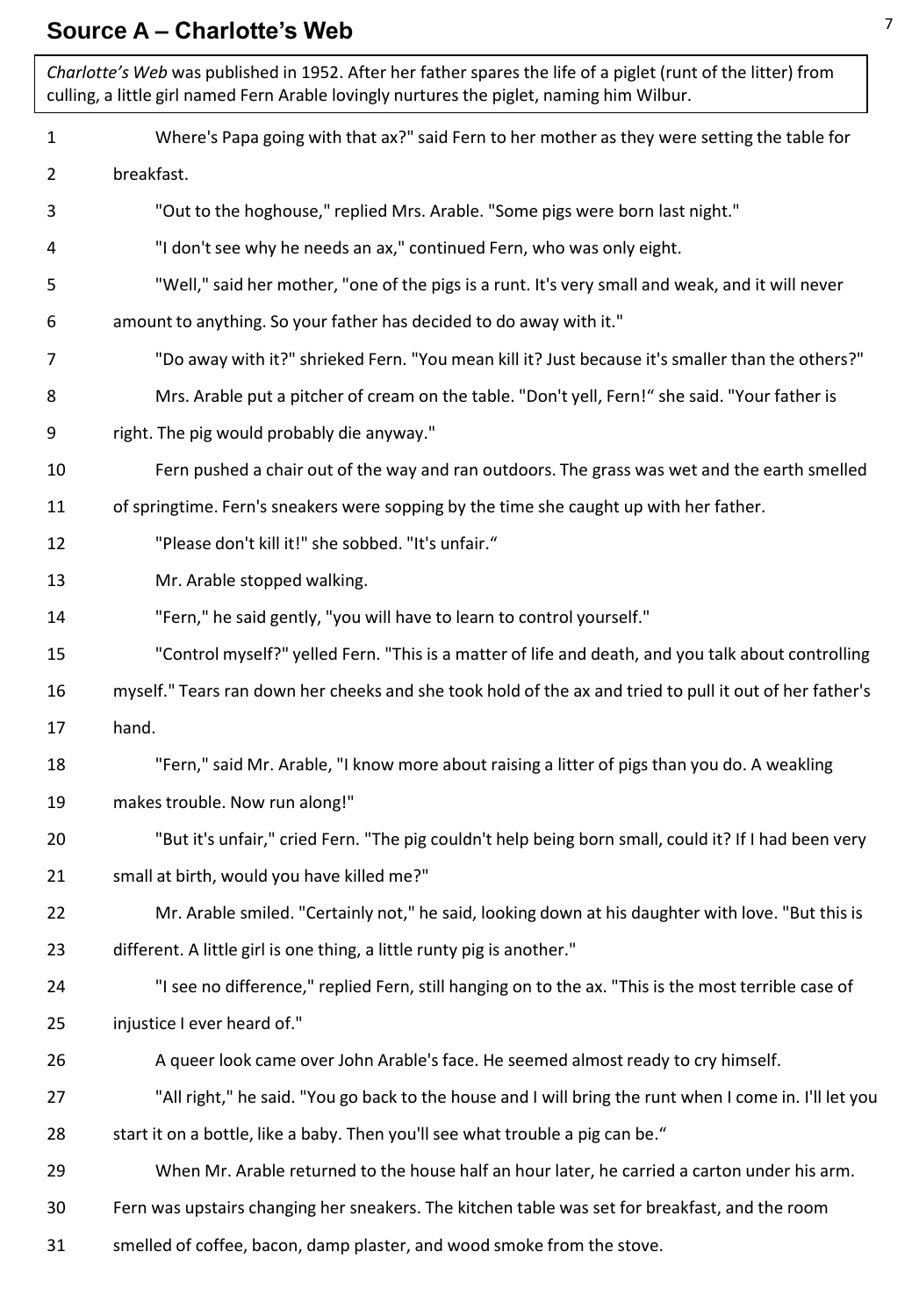#### **Source A – Charlotte's Web**

1 2 3 4 5 6 7 8 9 10 11 12 13 14 15 16 17 18 19 20 21 22 23 24 25 26 27 28 29 30 31 Where's Papa going with that ax?" said Fern to her mother as they were setting the table for breakfast. "Out to the hoghouse," replied Mrs. Arable. "Some pigs were born last night." "I don't see why he needs an ax," continued Fern, who was only eight. "Well," said her mother, "one of the pigs is a runt. It's very small and weak, and it will never amount to anything. So your father has decided to do away with it." "Do away with it?" shrieked Fern. "You mean kill it? Just because it's smaller than the others?" Mrs. Arable put a pitcher of cream on the table. "Don't yell, Fern!" she said. "Your father is right. The pig would probably die anyway." Fern pushed a chair out of the way and ran outdoors. The grass was wet and the earth smelled of springtime. Fern's sneakers were sopping by the time she caught up with her father. "Please don't kill it!" she sobbed. "It's unfair." Mr. Arable stopped walking. "Fern," he said gently, "you will have to learn to control yourself." "Control myself?" yelled Fern. "This is a matter of life and death, and you talk about controlling myself." Tears ran down her cheeks and she took hold of the ax and tried to pull it out of her father's hand. "Fern," said Mr. Arable, "I know more about raising a litter of pigs than you do. A weakling makes trouble. Now run along!" "But it's unfair," cried Fern. "The pig couldn't help being born small, could it? If I had been very small at birth, would you have killed me?" Mr. Arable smiled. "Certainly not," he said, looking down at his daughter with love. "But this is different. A little girl is one thing, a little runty pig is another." "I see no difference," replied Fern, still hanging on to the ax. "This is the most terrible case of injustice I ever heard of." A queer look came over John Arable's face. He seemed almost ready to cry himself. "All right," he said. "You go back to the house and I will bring the runt when I come in. I'll let you start it on a bottle, like a baby. Then you'll see what trouble a pig can be." When Mr. Arable returned to the house half an hour later, he carried a carton under his arm. Fern was upstairs changing her sneakers. The kitchen table was set for breakfast, and the room smelled of coffee, bacon, damp plaster, and wood smoke from the stove. *Charlotte's Web* was published in 1952. After her father spares the life of a piglet (runt of the litter) from culling, a little girl named Fern Arable lovingly nurtures the piglet, naming him Wilbur.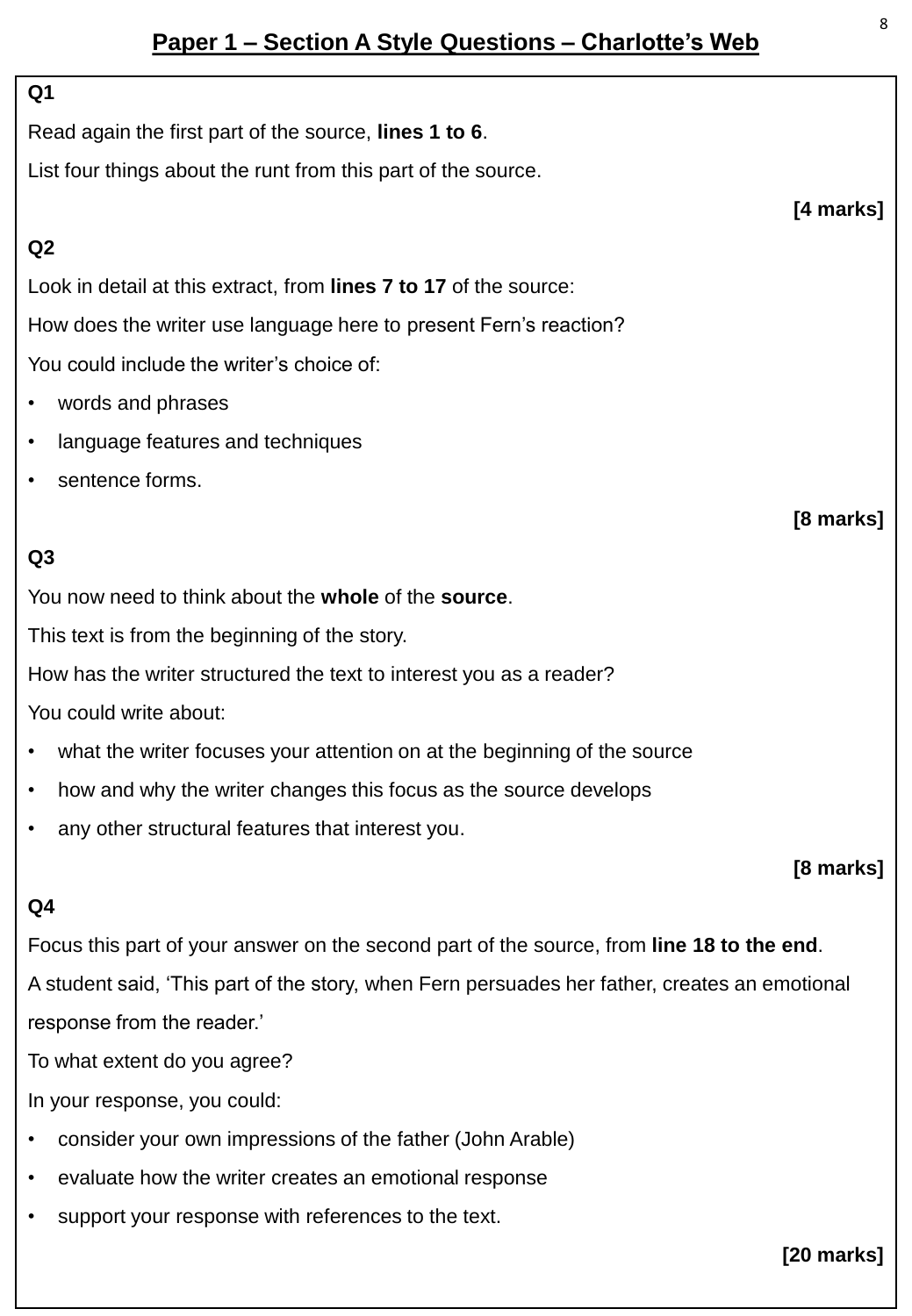## **Paper 1 – Section A Style Questions – Charlotte's Web**

#### **Q1**

Read again the first part of the source, **lines 1 to 6**.

List four things about the runt from this part of the source.

#### **Q2**

Look in detail at this extract, from **lines 7 to 17** of the source:

How does the writer use language here to present Fern's reaction?

You could include the writer's choice of:

- words and phrases
- language features and techniques
- sentence forms.

### **Q3**

You now need to think about the **whole** of the **source**.

This text is from the beginning of the story.

How has the writer structured the text to interest you as a reader?

You could write about:

- what the writer focuses your attention on at the beginning of the source
- how and why the writer changes this focus as the source develops
- any other structural features that interest you.

#### **[8 marks]**

#### **Q4**

Focus this part of your answer on the second part of the source, from **line 18 to the end**.

A student said, 'This part of the story, when Fern persuades her father, creates an emotional response from the reader.'

To what extent do you agree?

In your response, you could:

- consider your own impressions of the father (John Arable)
- evaluate how the writer creates an emotional response
- support your response with references to the text.

**[20 marks]**

**[4 marks]**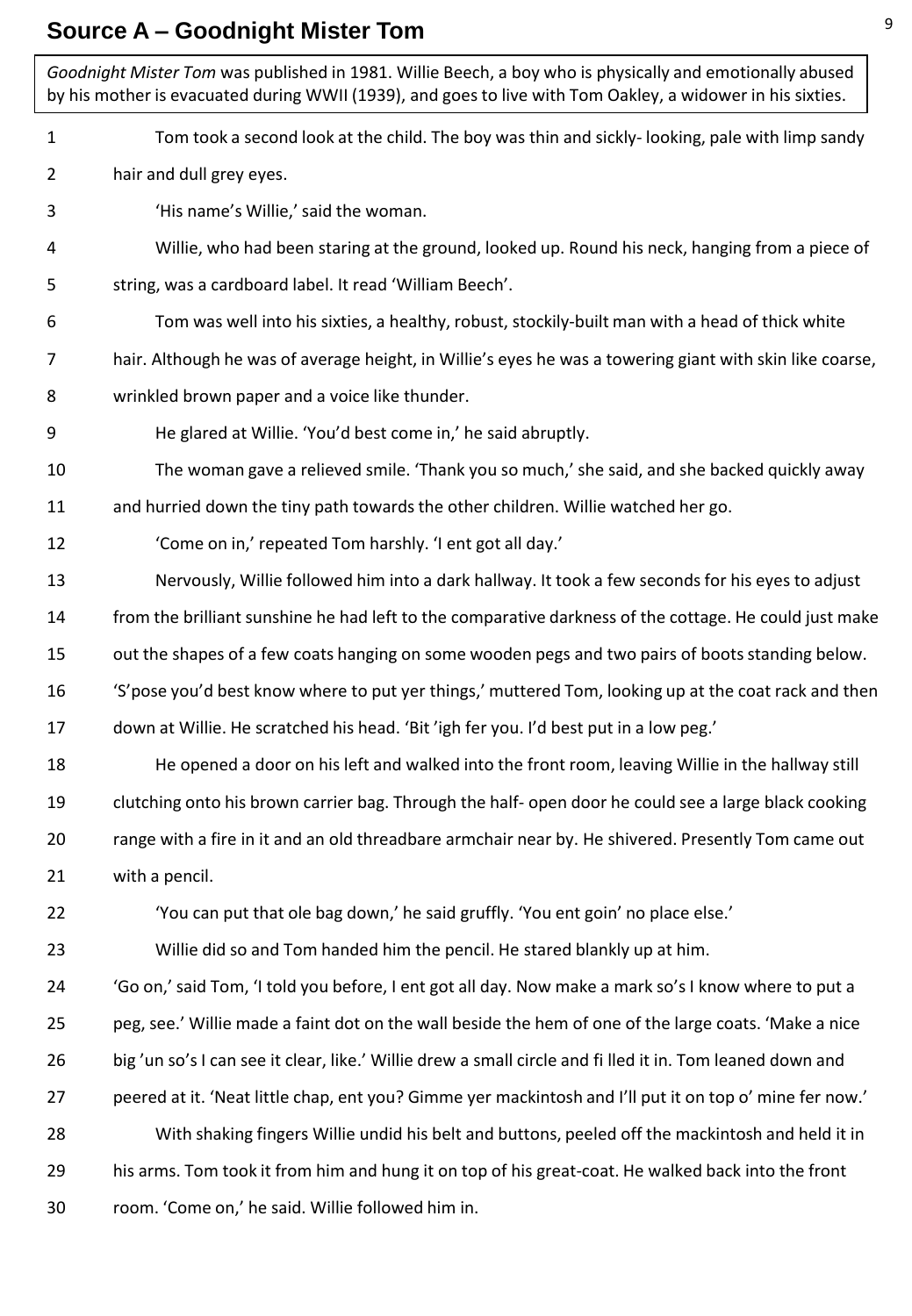#### **Source A – Goodnight Mister Tom**

1 2 3 4 5 6 7 8 9 10 11 12 13 14 15 16 17 18 19 20 21 22 23 24 25 26 27 28 29 30 Tom took a second look at the child. The boy was thin and sickly- looking, pale with limp sandy hair and dull grey eyes. 'His name's Willie,' said the woman. Willie, who had been staring at the ground, looked up. Round his neck, hanging from a piece of string, was a cardboard label. It read 'William Beech'. Tom was well into his sixties, a healthy, robust, stockily-built man with a head of thick white hair. Although he was of average height, in Willie's eyes he was a towering giant with skin like coarse, wrinkled brown paper and a voice like thunder. He glared at Willie. 'You'd best come in,' he said abruptly. The woman gave a relieved smile. 'Thank you so much,' she said, and she backed quickly away and hurried down the tiny path towards the other children. Willie watched her go. 'Come on in,' repeated Tom harshly. 'I ent got all day.' Nervously, Willie followed him into a dark hallway. It took a few seconds for his eyes to adjust from the brilliant sunshine he had left to the comparative darkness of the cottage. He could just make out the shapes of a few coats hanging on some wooden pegs and two pairs of boots standing below. 'S'pose you'd best know where to put yer things,' muttered Tom, looking up at the coat rack and then down at Willie. He scratched his head. 'Bit 'igh fer you. I'd best put in a low peg.' He opened a door on his left and walked into the front room, leaving Willie in the hallway still clutching onto his brown carrier bag. Through the half- open door he could see a large black cooking range with a fire in it and an old threadbare armchair near by. He shivered. Presently Tom came out with a pencil. 'You can put that ole bag down,' he said gruffly. 'You ent goin' no place else.' Willie did so and Tom handed him the pencil. He stared blankly up at him. 'Go on,' said Tom, 'I told you before, I ent got all day. Now make a mark so's I know where to put a peg, see.' Willie made a faint dot on the wall beside the hem of one of the large coats. 'Make a nice big 'un so's I can see it clear, like.' Willie drew a small circle and fi lled it in. Tom leaned down and peered at it. 'Neat little chap, ent you? Gimme yer mackintosh and I'll put it on top o' mine fer now.' With shaking fingers Willie undid his belt and buttons, peeled off the mackintosh and held it in his arms. Tom took it from him and hung it on top of his great-coat. He walked back into the front room. 'Come on,' he said. Willie followed him in. *Goodnight Mister Tom* was published in 1981. Willie Beech, a boy who is physically and emotionally abused by his mother is evacuated during WWII (1939), and goes to live with Tom Oakley, a widower in his sixties.

9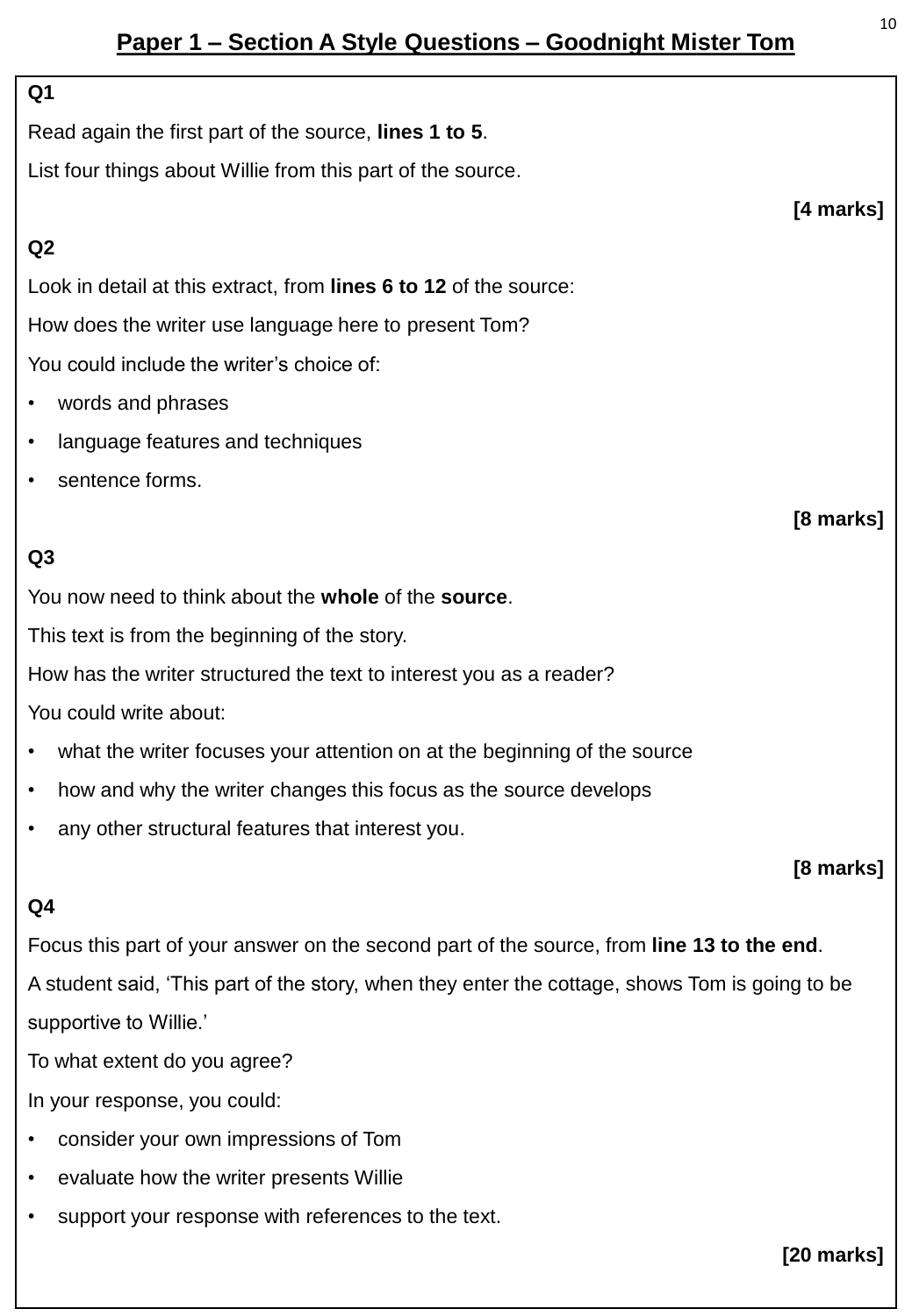## **Paper 1 – Section A Style Questions – Goodnight Mister Tom**

#### **Q1**

Read again the first part of the source, **lines 1 to 5**.

List four things about Willie from this part of the source.

#### **Q2**

Look in detail at this extract, from **lines 6 to 12** of the source: How does the writer use language here to present Tom? You could include the writer's choice of:

- words and phrases
- language features and techniques
- sentence forms.

### **Q3**

You now need to think about the **whole** of the **source**.

This text is from the beginning of the story.

How has the writer structured the text to interest you as a reader?

You could write about:

- what the writer focuses your attention on at the beginning of the source
- how and why the writer changes this focus as the source develops
- any other structural features that interest you.

#### **[8 marks]**

#### **Q4**

Focus this part of your answer on the second part of the source, from **line 13 to the end**.

A student said, 'This part of the story, when they enter the cottage, shows Tom is going to be supportive to Willie.'

To what extent do you agree?

In your response, you could:

- consider your own impressions of Tom
- evaluate how the writer presents Willie
- support your response with references to the text.

**[20 marks]**

**[4 marks]**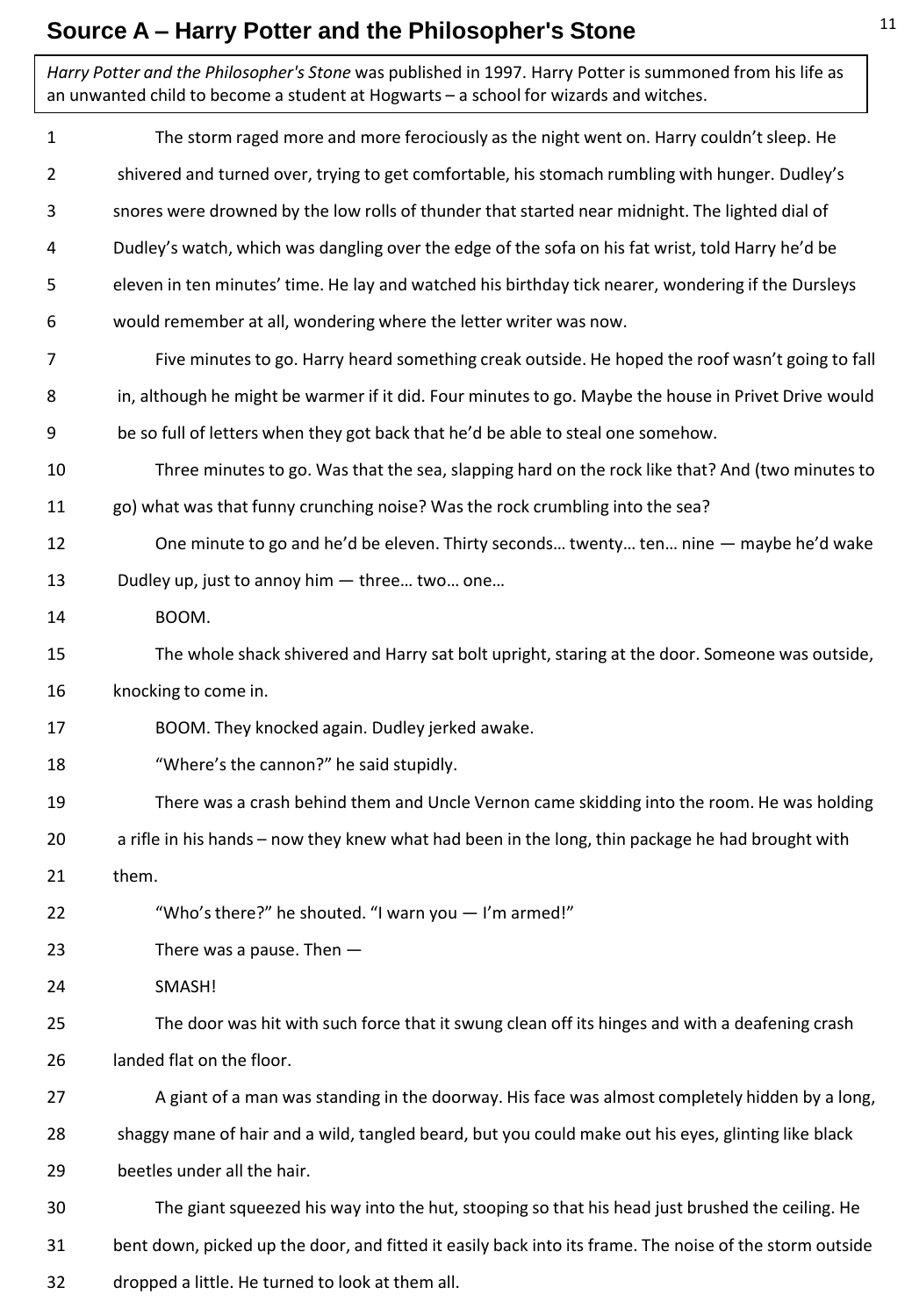## **Source A – Harry Potter and the Philosopher's Stone**

| Harry Potter and the Philosopher's Stone was published in 1997. Harry Potter is summoned from his life as<br>an unwanted child to become a student at Hogwarts - a school for wizards and witches. |                                                                                                         |
|----------------------------------------------------------------------------------------------------------------------------------------------------------------------------------------------------|---------------------------------------------------------------------------------------------------------|
| $\mathbf{1}$                                                                                                                                                                                       | The storm raged more and more ferociously as the night went on. Harry couldn't sleep. He                |
| 2                                                                                                                                                                                                  | shivered and turned over, trying to get comfortable, his stomach rumbling with hunger. Dudley's         |
| 3                                                                                                                                                                                                  | snores were drowned by the low rolls of thunder that started near midnight. The lighted dial of         |
| 4                                                                                                                                                                                                  | Dudley's watch, which was dangling over the edge of the sofa on his fat wrist, told Harry he'd be       |
| 5                                                                                                                                                                                                  | eleven in ten minutes' time. He lay and watched his birthday tick nearer, wondering if the Dursleys     |
| 6                                                                                                                                                                                                  | would remember at all, wondering where the letter writer was now.                                       |
| 7                                                                                                                                                                                                  | Five minutes to go. Harry heard something creak outside. He hoped the roof wasn't going to fall         |
| 8                                                                                                                                                                                                  | in, although he might be warmer if it did. Four minutes to go. Maybe the house in Privet Drive would    |
| 9                                                                                                                                                                                                  | be so full of letters when they got back that he'd be able to steal one somehow.                        |
| 10                                                                                                                                                                                                 | Three minutes to go. Was that the sea, slapping hard on the rock like that? And (two minutes to         |
| 11                                                                                                                                                                                                 | go) what was that funny crunching noise? Was the rock crumbling into the sea?                           |
| 12                                                                                                                                                                                                 | One minute to go and he'd be eleven. Thirty seconds twenty ten nine - maybe he'd wake                   |
| 13                                                                                                                                                                                                 | Dudley up, just to annoy him - three two one                                                            |
| 14                                                                                                                                                                                                 | BOOM.                                                                                                   |
| 15                                                                                                                                                                                                 | The whole shack shivered and Harry sat bolt upright, staring at the door. Someone was outside,          |
| 16                                                                                                                                                                                                 | knocking to come in.                                                                                    |
| 17                                                                                                                                                                                                 | BOOM. They knocked again. Dudley jerked awake.                                                          |
| 18                                                                                                                                                                                                 | "Where's the cannon?" he said stupidly.                                                                 |
| 19                                                                                                                                                                                                 | There was a crash behind them and Uncle Vernon came skidding into the room. He was holding              |
| 20                                                                                                                                                                                                 | a rifle in his hands - now they knew what had been in the long, thin package he had brought with        |
| 21                                                                                                                                                                                                 | them.                                                                                                   |
| 22                                                                                                                                                                                                 | "Who's there?" he shouted. "I warn you - I'm armed!"                                                    |
| 23                                                                                                                                                                                                 | There was a pause. Then $-$                                                                             |
| 24                                                                                                                                                                                                 | SMASH!                                                                                                  |
| 25                                                                                                                                                                                                 | The door was hit with such force that it swung clean off its hinges and with a deafening crash          |
| 26                                                                                                                                                                                                 | landed flat on the floor.                                                                               |
| 27                                                                                                                                                                                                 | A giant of a man was standing in the doorway. His face was almost completely hidden by a long,          |
| 28                                                                                                                                                                                                 | shaggy mane of hair and a wild, tangled beard, but you could make out his eyes, glinting like black     |
| 29                                                                                                                                                                                                 | beetles under all the hair.                                                                             |
| 30                                                                                                                                                                                                 | The giant squeezed his way into the hut, stooping so that his head just brushed the ceiling. He         |
| 31                                                                                                                                                                                                 | bent down, picked up the door, and fitted it easily back into its frame. The noise of the storm outside |
| 32                                                                                                                                                                                                 | dropped a little. He turned to look at them all.                                                        |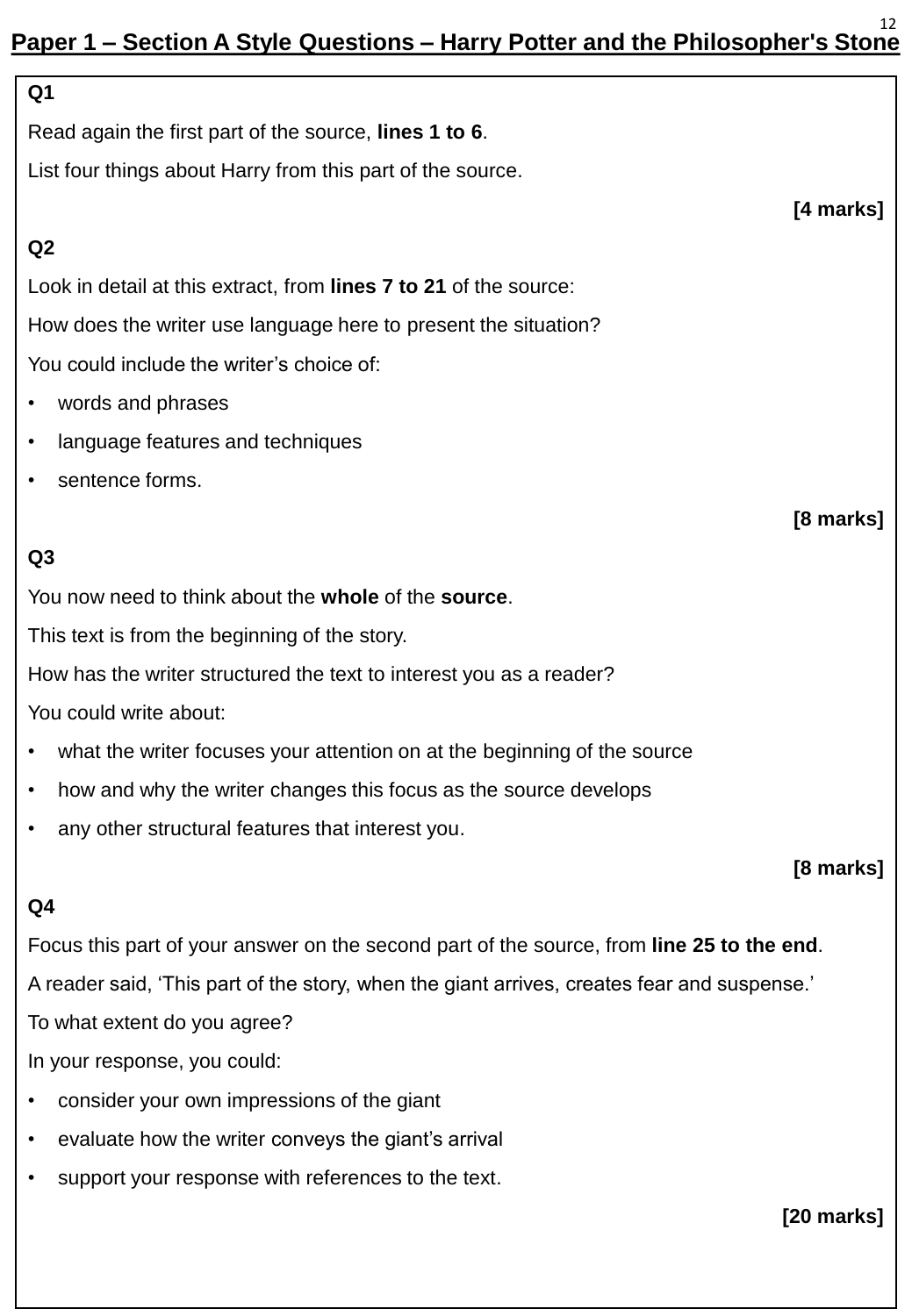#### **Paper 1 – Section A Style Questions – Harry Potter and the Philosopher's Stone** 12

| Q <sub>1</sub>                                                                              |  |  |  |
|---------------------------------------------------------------------------------------------|--|--|--|
| Read again the first part of the source, lines 1 to 6.                                      |  |  |  |
| List four things about Harry from this part of the source.                                  |  |  |  |
| [4 marks]                                                                                   |  |  |  |
| Q2                                                                                          |  |  |  |
| Look in detail at this extract, from lines 7 to 21 of the source:                           |  |  |  |
| How does the writer use language here to present the situation?                             |  |  |  |
| You could include the writer's choice of:                                                   |  |  |  |
| words and phrases<br>$\bullet$                                                              |  |  |  |
| language features and techniques<br>$\bullet$                                               |  |  |  |
| sentence forms.<br>٠                                                                        |  |  |  |
| [8 marks]                                                                                   |  |  |  |
| Q3                                                                                          |  |  |  |
| You now need to think about the whole of the source.                                        |  |  |  |
| This text is from the beginning of the story.                                               |  |  |  |
| How has the writer structured the text to interest you as a reader?                         |  |  |  |
| You could write about:                                                                      |  |  |  |
| what the writer focuses your attention on at the beginning of the source                    |  |  |  |
| how and why the writer changes this focus as the source develops<br>٠                       |  |  |  |
| any other structural features that interest you.                                            |  |  |  |
| [8 marks]                                                                                   |  |  |  |
| Q4                                                                                          |  |  |  |
| Focus this part of your answer on the second part of the source, from line 25 to the end.   |  |  |  |
| A reader said, 'This part of the story, when the giant arrives, creates fear and suspense.' |  |  |  |
| To what extent do you agree?                                                                |  |  |  |
| In your response, you could:                                                                |  |  |  |
| consider your own impressions of the giant                                                  |  |  |  |
| evaluate how the writer conveys the giant's arrival<br>٠                                    |  |  |  |
| support your response with references to the text.                                          |  |  |  |

**[20 marks]**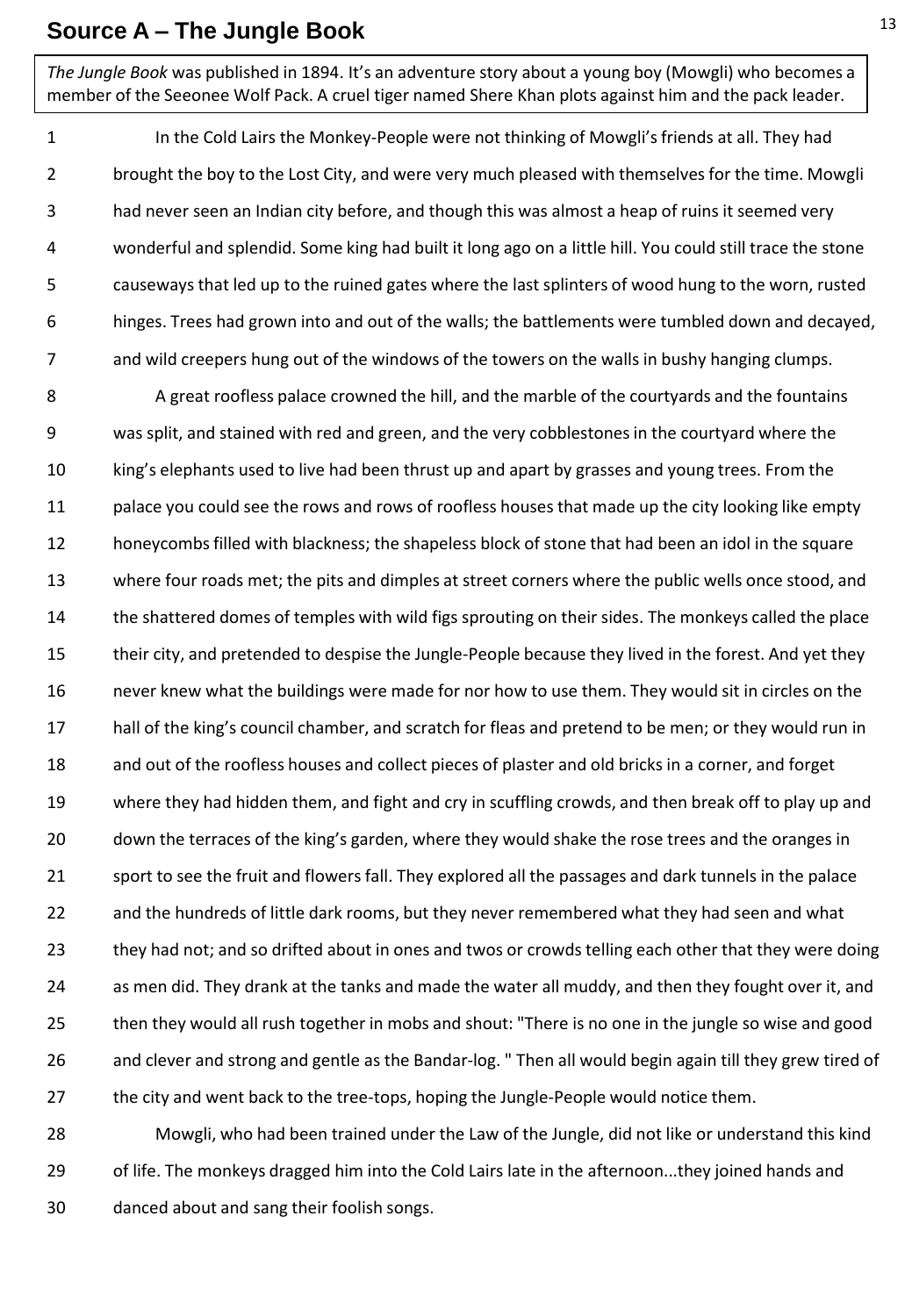#### **Source A – The Jungle Book**

*The Jungle Book* was published in 1894. It's an adventure story about a young boy (Mowgli) who becomes a member of the Seeonee Wolf Pack. A cruel tiger named Shere Khan plots against him and the pack leader.

1 2 3 4 5 6 7 In the Cold Lairs the Monkey-People were not thinking of Mowgli's friends at all. They had brought the boy to the Lost City, and were very much pleased with themselves for the time. Mowgli had never seen an Indian city before, and though this was almost a heap of ruins it seemed very wonderful and splendid. Some king had built it long ago on a little hill. You could still trace the stone causeways that led up to the ruined gates where the last splinters of wood hung to the worn, rusted hinges. Trees had grown into and out of the walls; the battlements were tumbled down and decayed, and wild creepers hung out of the windows of the towers on the walls in bushy hanging clumps.

8 9 10 11 12 13 14 15 16 17 18 19 20 21 22 23 24 25 26 27 A great roofless palace crowned the hill, and the marble of the courtyards and the fountains was split, and stained with red and green, and the very cobblestones in the courtyard where the king's elephants used to live had been thrust up and apart by grasses and young trees. From the palace you could see the rows and rows of roofless houses that made up the city looking like empty honeycombs filled with blackness; the shapeless block of stone that had been an idol in the square where four roads met; the pits and dimples at street corners where the public wells once stood, and the shattered domes of temples with wild figs sprouting on their sides. The monkeys called the place their city, and pretended to despise the Jungle-People because they lived in the forest. And yet they never knew what the buildings were made for nor how to use them. They would sit in circles on the hall of the king's council chamber, and scratch for fleas and pretend to be men; or they would run in and out of the roofless houses and collect pieces of plaster and old bricks in a corner, and forget where they had hidden them, and fight and cry in scuffling crowds, and then break off to play up and down the terraces of the king's garden, where they would shake the rose trees and the oranges in sport to see the fruit and flowers fall. They explored all the passages and dark tunnels in the palace and the hundreds of little dark rooms, but they never remembered what they had seen and what they had not; and so drifted about in ones and twos or crowds telling each other that they were doing as men did. They drank at the tanks and made the water all muddy, and then they fought over it, and then they would all rush together in mobs and shout: "There is no one in the jungle so wise and good and clever and strong and gentle as the Bandar-log. " Then all would begin again till they grew tired of the city and went back to the tree-tops, hoping the Jungle-People would notice them.

28 29 30 Mowgli, who had been trained under the Law of the Jungle, did not like or understand this kind of life. The monkeys dragged him into the Cold Lairs late in the afternoon...they joined hands and danced about and sang their foolish songs.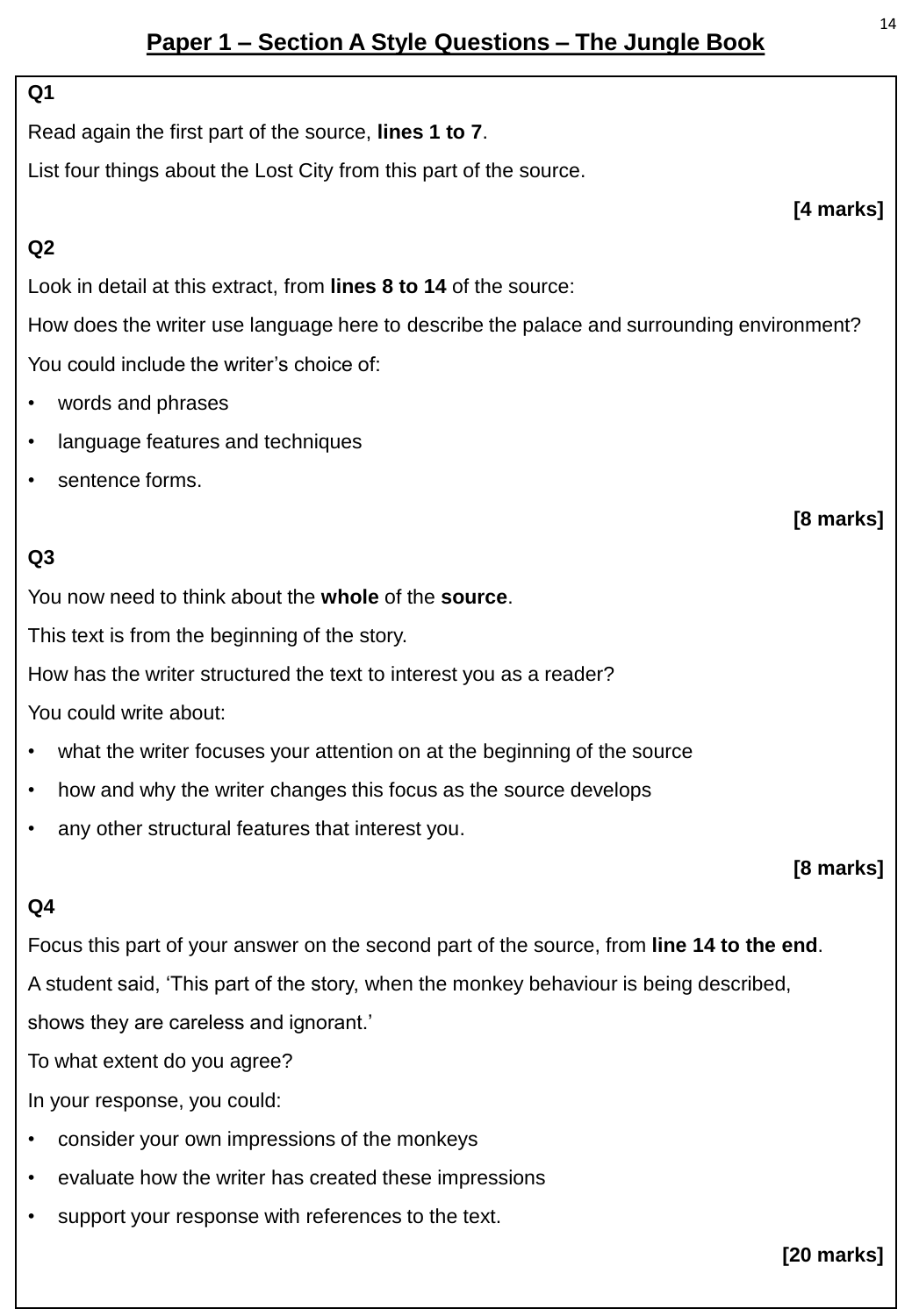## **Paper 1 – Section A Style Questions – The Jungle Book**

#### **Q1**

Read again the first part of the source, **lines 1 to 7**.

List four things about the Lost City from this part of the source.

#### **Q2**

Look in detail at this extract, from **lines 8 to 14** of the source:

How does the writer use language here to describe the palace and surrounding environment? You could include the writer's choice of:

- words and phrases
- language features and techniques
- sentence forms.

#### **Q3**

You now need to think about the **whole** of the **source**.

This text is from the beginning of the story.

How has the writer structured the text to interest you as a reader?

You could write about:

- what the writer focuses your attention on at the beginning of the source
- how and why the writer changes this focus as the source develops
- any other structural features that interest you.

#### **[8 marks]**

#### **Q4**

Focus this part of your answer on the second part of the source, from **line 14 to the end**.

A student said, 'This part of the story, when the monkey behaviour is being described,

shows they are careless and ignorant.'

To what extent do you agree?

In your response, you could:

- consider your own impressions of the monkeys
- evaluate how the writer has created these impressions
- support your response with references to the text.

**[20 marks]**

**[4 marks]**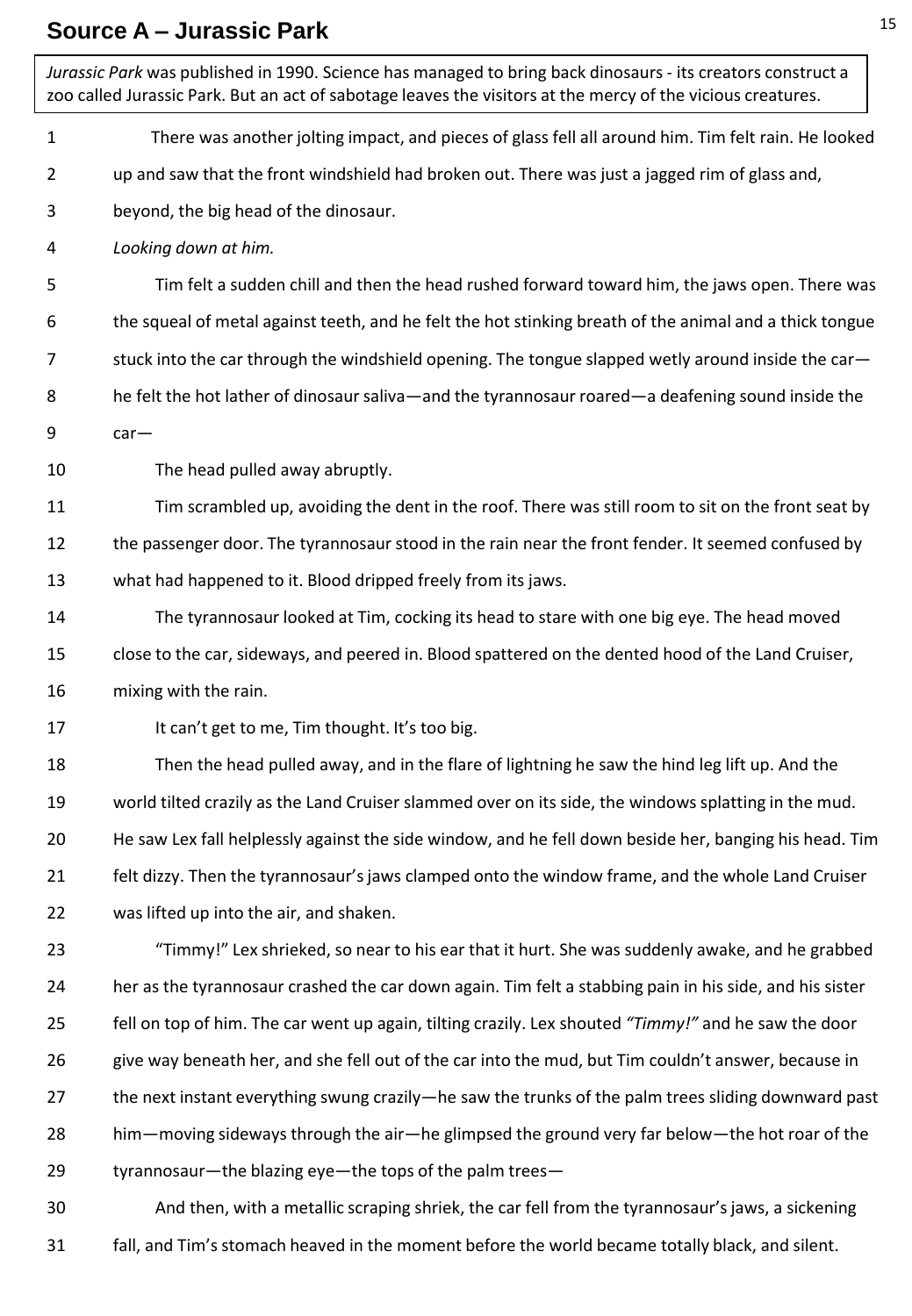### **Source A – Jurassic Park**

*Jurassic Park* was published in 1990. Science has managed to bring back dinosaurs - its creators construct a zoo called Jurassic Park. But an act of sabotage leaves the visitors at the mercy of the vicious creatures.

- 1 There was another jolting impact, and pieces of glass fell all around him. Tim felt rain. He looked
- 2 up and saw that the front windshield had broken out. There was just a jagged rim of glass and,
- 3 beyond, the big head of the dinosaur.
- 4 *Looking down at him.*

5 6 7 8 9 Tim felt a sudden chill and then the head rushed forward toward him, the jaws open. There was the squeal of metal against teeth, and he felt the hot stinking breath of the animal and a thick tongue stuck into the car through the windshield opening. The tongue slapped wetly around inside the car he felt the hot lather of dinosaur saliva—and the tyrannosaur roared—a deafening sound inside the car—

10 The head pulled away abruptly.

11 12 13 Tim scrambled up, avoiding the dent in the roof. There was still room to sit on the front seat by the passenger door. The tyrannosaur stood in the rain near the front fender. It seemed confused by what had happened to it. Blood dripped freely from its jaws.

- 14 15 16 The tyrannosaur looked at Tim, cocking its head to stare with one big eye. The head moved close to the car, sideways, and peered in. Blood spattered on the dented hood of the Land Cruiser, mixing with the rain.
- 17 It can't get to me, Tim thought. It's too big.

18 19 20 21 22 Then the head pulled away, and in the flare of lightning he saw the hind leg lift up. And the world tilted crazily as the Land Cruiser slammed over on its side, the windows splatting in the mud. He saw Lex fall helplessly against the side window, and he fell down beside her, banging his head. Tim felt dizzy. Then the tyrannosaur's jaws clamped onto the window frame, and the whole Land Cruiser was lifted up into the air, and shaken.

23 24 25 26 27 28 29 "Timmy!" Lex shrieked, so near to his ear that it hurt. She was suddenly awake, and he grabbed her as the tyrannosaur crashed the car down again. Tim felt a stabbing pain in his side, and his sister fell on top of him. The car went up again, tilting crazily. Lex shouted *"Timmy!"* and he saw the door give way beneath her, and she fell out of the car into the mud, but Tim couldn't answer, because in the next instant everything swung crazily—he saw the trunks of the palm trees sliding downward past him—moving sideways through the air—he glimpsed the ground very far below—the hot roar of the tyrannosaur—the blazing eye—the tops of the palm trees—

30 31 And then, with a metallic scraping shriek, the car fell from the tyrannosaur's jaws, a sickening fall, and Tim's stomach heaved in the moment before the world became totally black, and silent.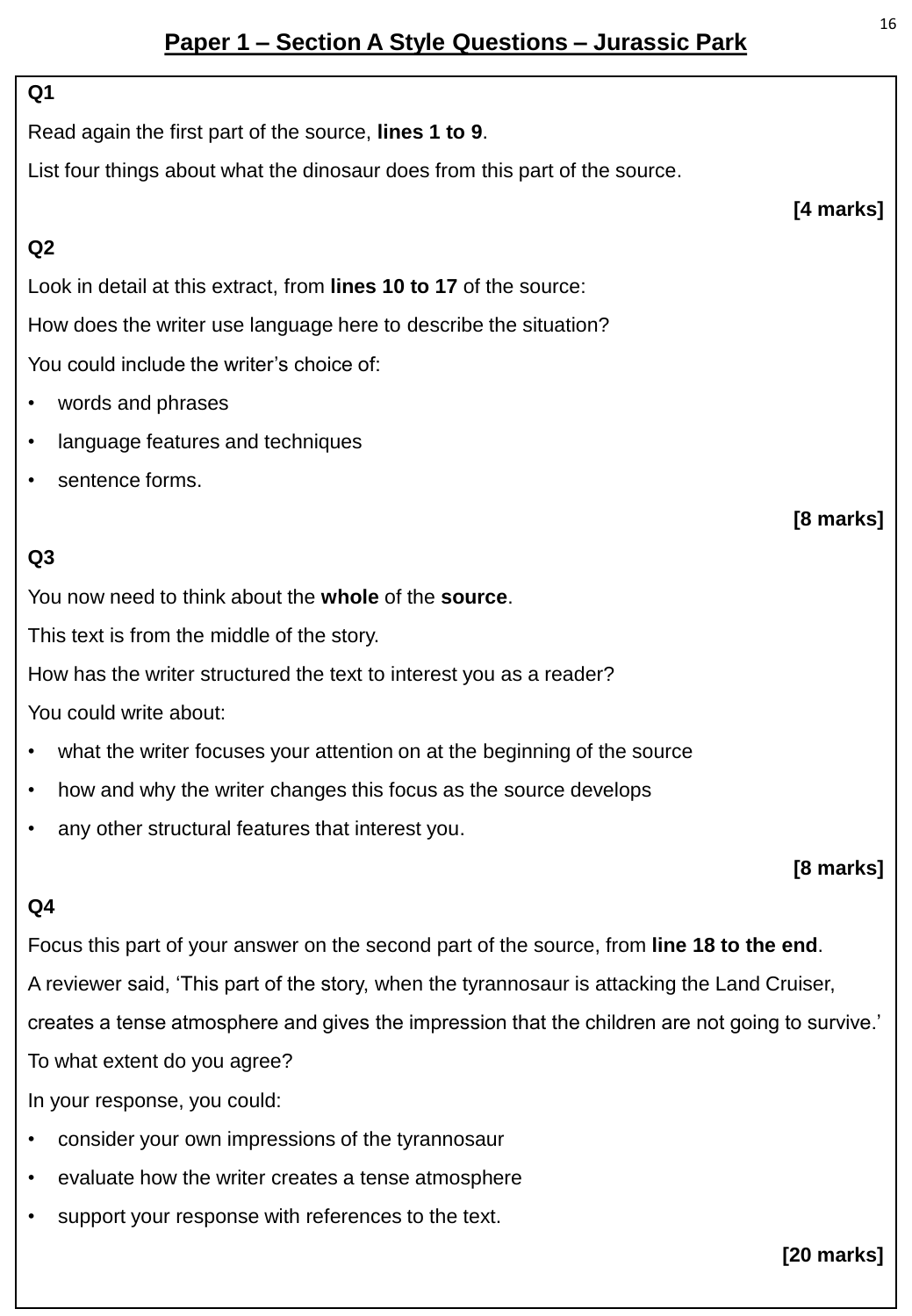## **Paper 1 – Section A Style Questions – Jurassic Park**

#### **Q1**

Read again the first part of the source, **lines 1 to 9**.

List four things about what the dinosaur does from this part of the source.

#### **Q2**

Look in detail at this extract, from **lines 10 to 17** of the source: How does the writer use language here to describe the situation?

You could include the writer's choice of:

- words and phrases
- language features and techniques
- sentence forms.

## **Q3**

You now need to think about the **whole** of the **source**.

This text is from the middle of the story.

How has the writer structured the text to interest you as a reader?

You could write about:

- what the writer focuses your attention on at the beginning of the source
- how and why the writer changes this focus as the source develops
- any other structural features that interest you.

#### **[8 marks]**

#### **Q4**

Focus this part of your answer on the second part of the source, from **line 18 to the end**. A reviewer said, 'This part of the story, when the tyrannosaur is attacking the Land Cruiser, creates a tense atmosphere and gives the impression that the children are not going to survive.' To what extent do you agree?

In your response, you could:

- consider your own impressions of the tyrannosaur
- evaluate how the writer creates a tense atmosphere
- support your response with references to the text.

**[20 marks]**

**[4 marks]**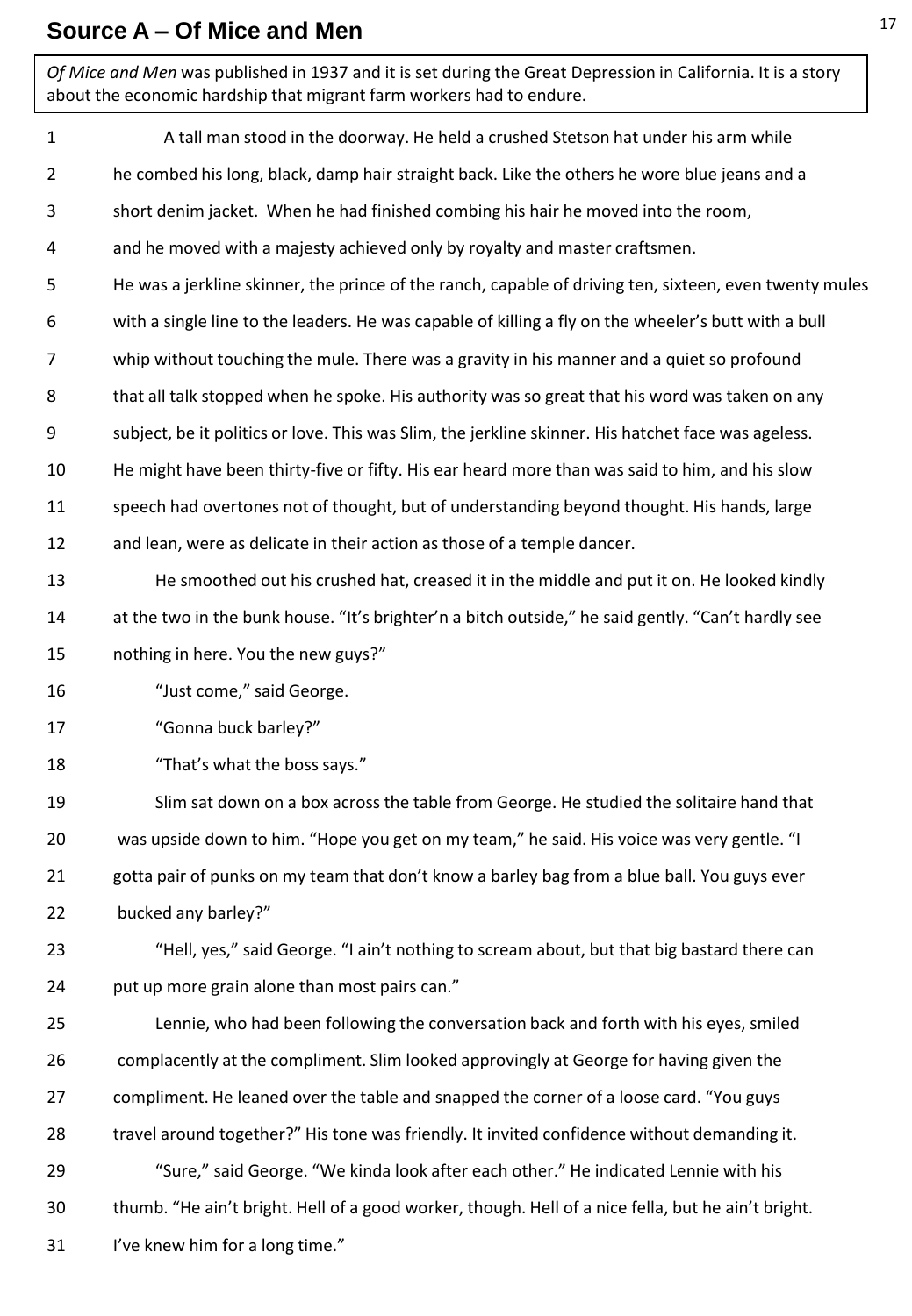#### **Source A – Of Mice and Men**

*Of Mice and Men* was published in 1937 and it is set during the Great Depression in California. It is a story about the economic hardship that migrant farm workers had to endure.

1 2 3 4 5 6 7 8 9 10 11 12 13 14 15 16 17 18 19 20 21 22 23 24 25 26 27 28 29 30 31 A tall man stood in the doorway. He held a crushed Stetson hat under his arm while he combed his long, black, damp hair straight back. Like the others he wore blue jeans and a short denim jacket. When he had finished combing his hair he moved into the room, and he moved with a majesty achieved only by royalty and master craftsmen. He was a jerkline skinner, the prince of the ranch, capable of driving ten, sixteen, even twenty mules with a single line to the leaders. He was capable of killing a fly on the wheeler's butt with a bull whip without touching the mule. There was a gravity in his manner and a quiet so profound that all talk stopped when he spoke. His authority was so great that his word was taken on any subject, be it politics or love. This was Slim, the jerkline skinner. His hatchet face was ageless. He might have been thirty-five or fifty. His ear heard more than was said to him, and his slow speech had overtones not of thought, but of understanding beyond thought. His hands, large and lean, were as delicate in their action as those of a temple dancer. He smoothed out his crushed hat, creased it in the middle and put it on. He looked kindly at the two in the bunk house. "It's brighter'n a bitch outside," he said gently. "Can't hardly see nothing in here. You the new guys?" "Just come," said George. "Gonna buck barley?" "That's what the boss says." Slim sat down on a box across the table from George. He studied the solitaire hand that was upside down to him. "Hope you get on my team," he said. His voice was very gentle. "I gotta pair of punks on my team that don't know a barley bag from a blue ball. You guys ever bucked any barley?" "Hell, yes," said George. "I ain't nothing to scream about, but that big bastard there can put up more grain alone than most pairs can." Lennie, who had been following the conversation back and forth with his eyes, smiled complacently at the compliment. Slim looked approvingly at George for having given the compliment. He leaned over the table and snapped the corner of a loose card. "You guys travel around together?" His tone was friendly. It invited confidence without demanding it. "Sure," said George. "We kinda look after each other." He indicated Lennie with his thumb. "He ain't bright. Hell of a good worker, though. Hell of a nice fella, but he ain't bright. I've knew him for a long time."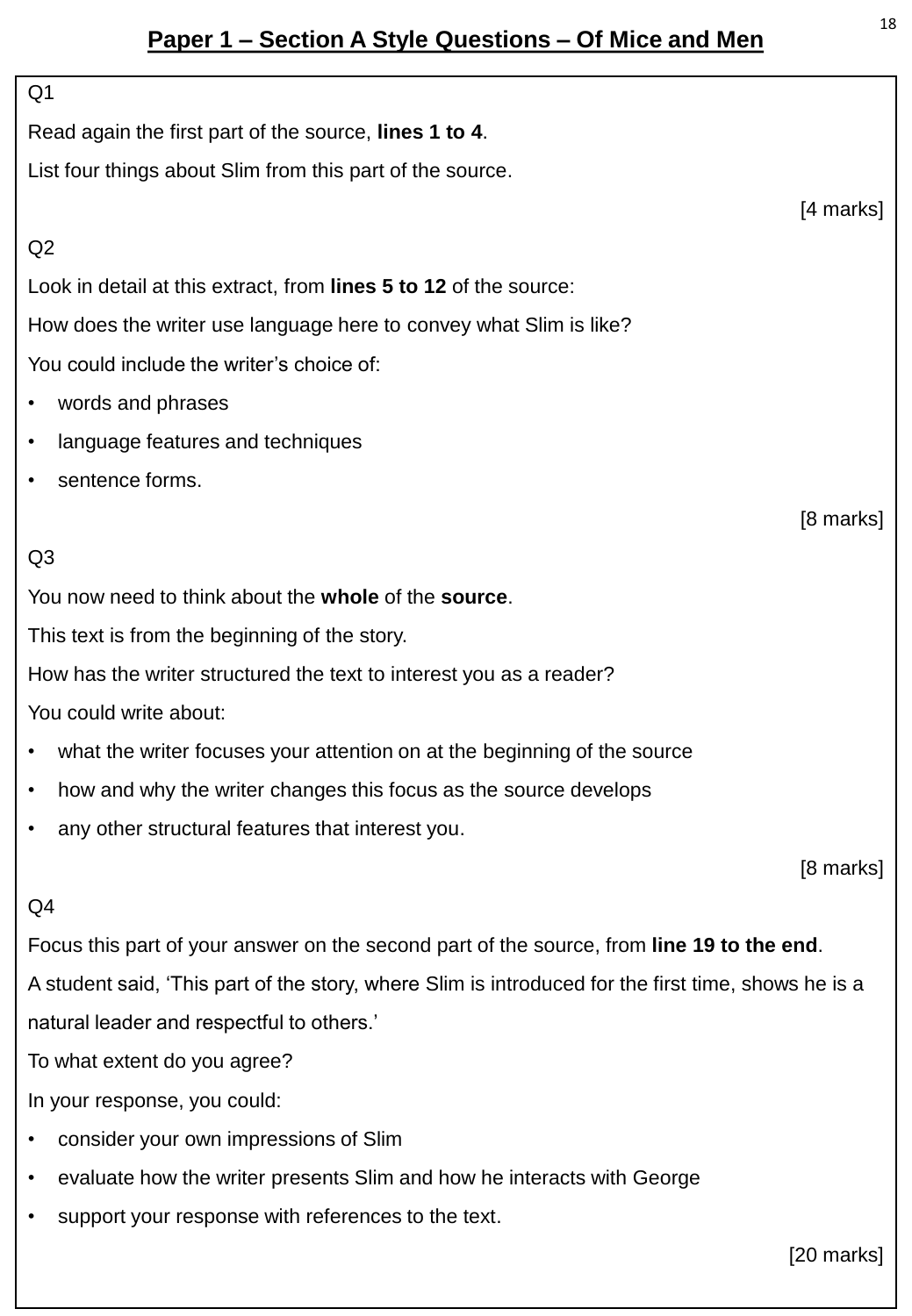## **Paper 1 – Section A Style Questions – Of Mice and Men**

# Q1 Read again the first part of the source, **lines 1 to 4**. List four things about Slim from this part of the source. [4 marks] Q2 Look in detail at this extract, from **lines 5 to 12** of the source: How does the writer use language here to convey what Slim is like? You could include the writer's choice of: • words and phrases language features and techniques sentence forms. [8 marks]  $O<sub>3</sub>$ You now need to think about the **whole** of the **source**. This text is from the beginning of the story. How has the writer structured the text to interest you as a reader? You could write about: what the writer focuses your attention on at the beginning of the source • how and why the writer changes this focus as the source develops any other structural features that interest you. [8 marks]  $Q<sub>4</sub>$ Focus this part of your answer on the second part of the source, from **line 19 to the end**.

A student said, 'This part of the story, where Slim is introduced for the first time, shows he is a natural leader and respectful to others.'

To what extent do you agree?

In your response, you could:

- consider your own impressions of Slim
- evaluate how the writer presents Slim and how he interacts with George
- support your response with references to the text.

[20 marks]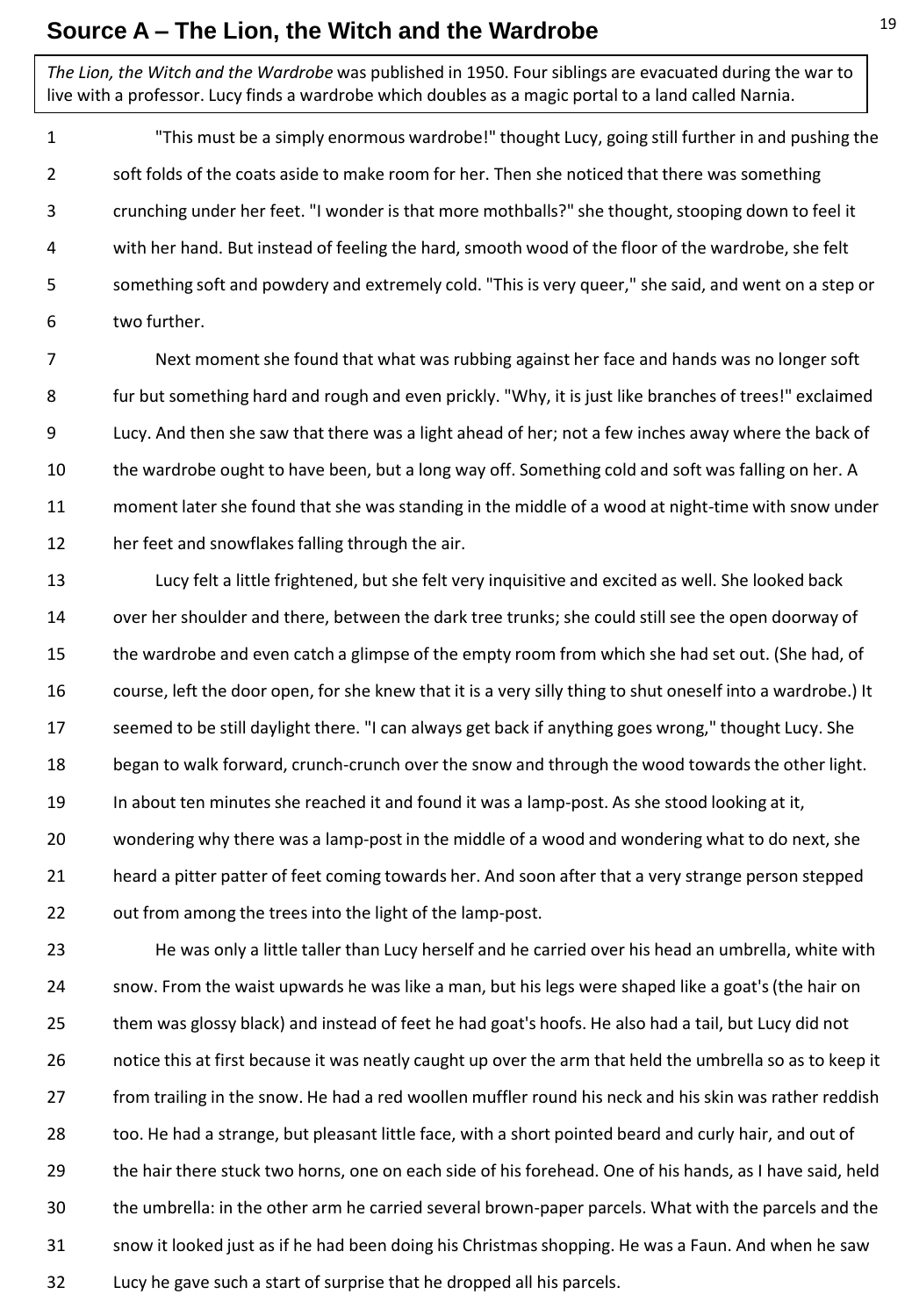#### **Source A – The Lion, the Witch and the Wardrobe**

*The Lion, the Witch and the Wardrobe* was published in 1950. Four siblings are evacuated during the war to live with a professor. Lucy finds a wardrobe which doubles as a magic portal to a land called Narnia.

1 2 3 4 5 6 "This must be a simply enormous wardrobe!" thought Lucy, going still further in and pushing the soft folds of the coats aside to make room for her. Then she noticed that there was something crunching under her feet. "I wonder is that more mothballs?" she thought, stooping down to feel it with her hand. But instead of feeling the hard, smooth wood of the floor of the wardrobe, she felt something soft and powdery and extremely cold. "This is very queer," she said, and went on a step or two further.

7 8 9 10 11 12 Next moment she found that what was rubbing against her face and hands was no longer soft fur but something hard and rough and even prickly. "Why, it is just like branches of trees!" exclaimed Lucy. And then she saw that there was a light ahead of her; not a few inches away where the back of the wardrobe ought to have been, but a long way off. Something cold and soft was falling on her. A moment later she found that she was standing in the middle of a wood at night-time with snow under her feet and snowflakes falling through the air.

13 14 15 16 17 18 19 20 21 22 Lucy felt a little frightened, but she felt very inquisitive and excited as well. She looked back over her shoulder and there, between the dark tree trunks; she could still see the open doorway of the wardrobe and even catch a glimpse of the empty room from which she had set out. (She had, of course, left the door open, for she knew that it is a very silly thing to shut oneself into a wardrobe.) It seemed to be still daylight there. "I can always get back if anything goes wrong," thought Lucy. She began to walk forward, crunch-crunch over the snow and through the wood towards the other light. In about ten minutes she reached it and found it was a lamp-post. As she stood looking at it, wondering why there was a lamp-post in the middle of a wood and wondering what to do next, she heard a pitter patter of feet coming towards her. And soon after that a very strange person stepped out from among the trees into the light of the lamp-post.

23 24 25 26 27 28 29 30 31 32 He was only a little taller than Lucy herself and he carried over his head an umbrella, white with snow. From the waist upwards he was like a man, but his legs were shaped like a goat's (the hair on them was glossy black) and instead of feet he had goat's hoofs. He also had a tail, but Lucy did not notice this at first because it was neatly caught up over the arm that held the umbrella so as to keep it from trailing in the snow. He had a red woollen muffler round his neck and his skin was rather reddish too. He had a strange, but pleasant little face, with a short pointed beard and curly hair, and out of the hair there stuck two horns, one on each side of his forehead. One of his hands, as I have said, held the umbrella: in the other arm he carried several brown-paper parcels. What with the parcels and the snow it looked just as if he had been doing his Christmas shopping. He was a Faun. And when he saw Lucy he gave such a start of surprise that he dropped all his parcels.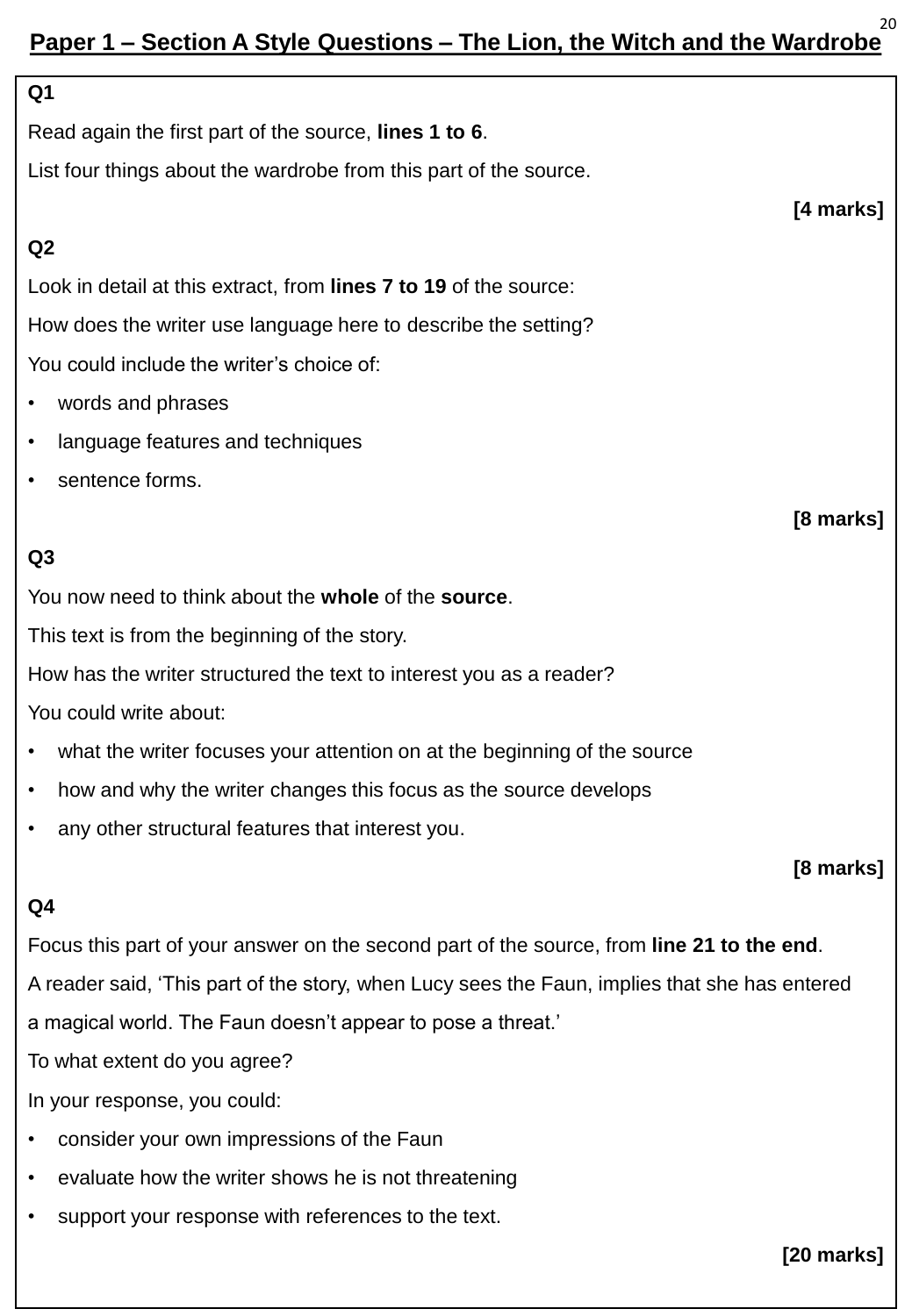#### **Paper 1 – Section A Style Questions – The Lion, the Witch and the Wardrobe** 20

# **Q1**  Read again the first part of the source, **lines 1 to 6**. List four things about the wardrobe from this part of the source. **[4 marks] Q2** Look in detail at this extract, from **lines 7 to 19** of the source: How does the writer use language here to describe the setting? You could include the writer's choice of:

- words and phrases
- language features and techniques
- sentence forms.

#### **Q3**

You now need to think about the **whole** of the **source**.

This text is from the beginning of the story.

How has the writer structured the text to interest you as a reader?

You could write about:

- what the writer focuses your attention on at the beginning of the source
- how and why the writer changes this focus as the source develops
- any other structural features that interest you.

#### **[8 marks]**

**[8 marks]**

#### **Q4**

Focus this part of your answer on the second part of the source, from **line 21 to the end**. A reader said, 'This part of the story, when Lucy sees the Faun, implies that she has entered

a magical world. The Faun doesn't appear to pose a threat.'

To what extent do you agree?

In your response, you could:

- consider your own impressions of the Faun
- evaluate how the writer shows he is not threatening
- support your response with references to the text.

**[20 marks]**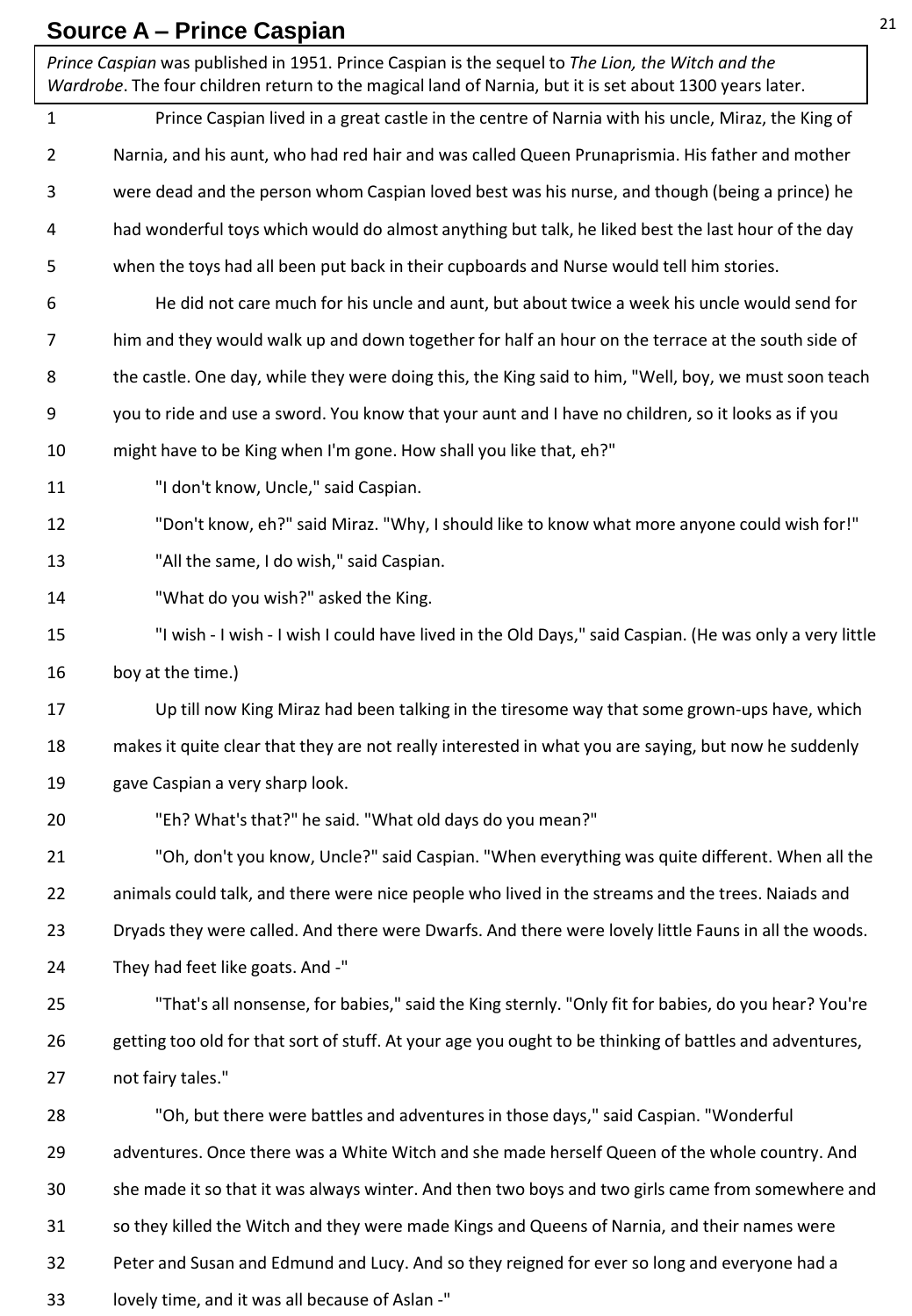## **Source A – Prince Caspian**

1 2 3 4 5 6 7 8 9 10 11 12 13 14 15 16 17 18 19 20 21 22 23 24 25 26 27 28 29 30 31 32 Prince Caspian lived in a great castle in the centre of Narnia with his uncle, Miraz, the King of Narnia, and his aunt, who had red hair and was called Queen Prunaprismia. His father and mother were dead and the person whom Caspian loved best was his nurse, and though (being a prince) he had wonderful toys which would do almost anything but talk, he liked best the last hour of the day when the toys had all been put back in their cupboards and Nurse would tell him stories. He did not care much for his uncle and aunt, but about twice a week his uncle would send for him and they would walk up and down together for half an hour on the terrace at the south side of the castle. One day, while they were doing this, the King said to him, "Well, boy, we must soon teach you to ride and use a sword. You know that your aunt and I have no children, so it looks as if you might have to be King when I'm gone. How shall you like that, eh?" "I don't know, Uncle," said Caspian. "Don't know, eh?" said Miraz. "Why, I should like to know what more anyone could wish for!" "All the same, I do wish," said Caspian. "What do you wish?" asked the King. "I wish - I wish - I wish I could have lived in the Old Days," said Caspian. (He was only a very little boy at the time.) Up till now King Miraz had been talking in the tiresome way that some grown-ups have, which makes it quite clear that they are not really interested in what you are saying, but now he suddenly gave Caspian a very sharp look. "Eh? What's that?" he said. "What old days do you mean?" "Oh, don't you know, Uncle?" said Caspian. "When everything was quite different. When all the animals could talk, and there were nice people who lived in the streams and the trees. Naiads and Dryads they were called. And there were Dwarfs. And there were lovely little Fauns in all the woods. They had feet like goats. And -" "That's all nonsense, for babies," said the King sternly. "Only fit for babies, do you hear? You're getting too old for that sort of stuff. At your age you ought to be thinking of battles and adventures, not fairy tales." "Oh, but there were battles and adventures in those days," said Caspian. "Wonderful adventures. Once there was a White Witch and she made herself Queen of the whole country. And she made it so that it was always winter. And then two boys and two girls came from somewhere and so they killed the Witch and they were made Kings and Queens of Narnia, and their names were Peter and Susan and Edmund and Lucy. And so they reigned for ever so long and everyone had a *Prince Caspian* was published in 1951. Prince Caspian is the sequel to *The Lion, the Witch and the Wardrobe*. The four children return to the magical land of Narnia, but it is set about 1300 years later.

33 lovely time, and it was all because of Aslan -"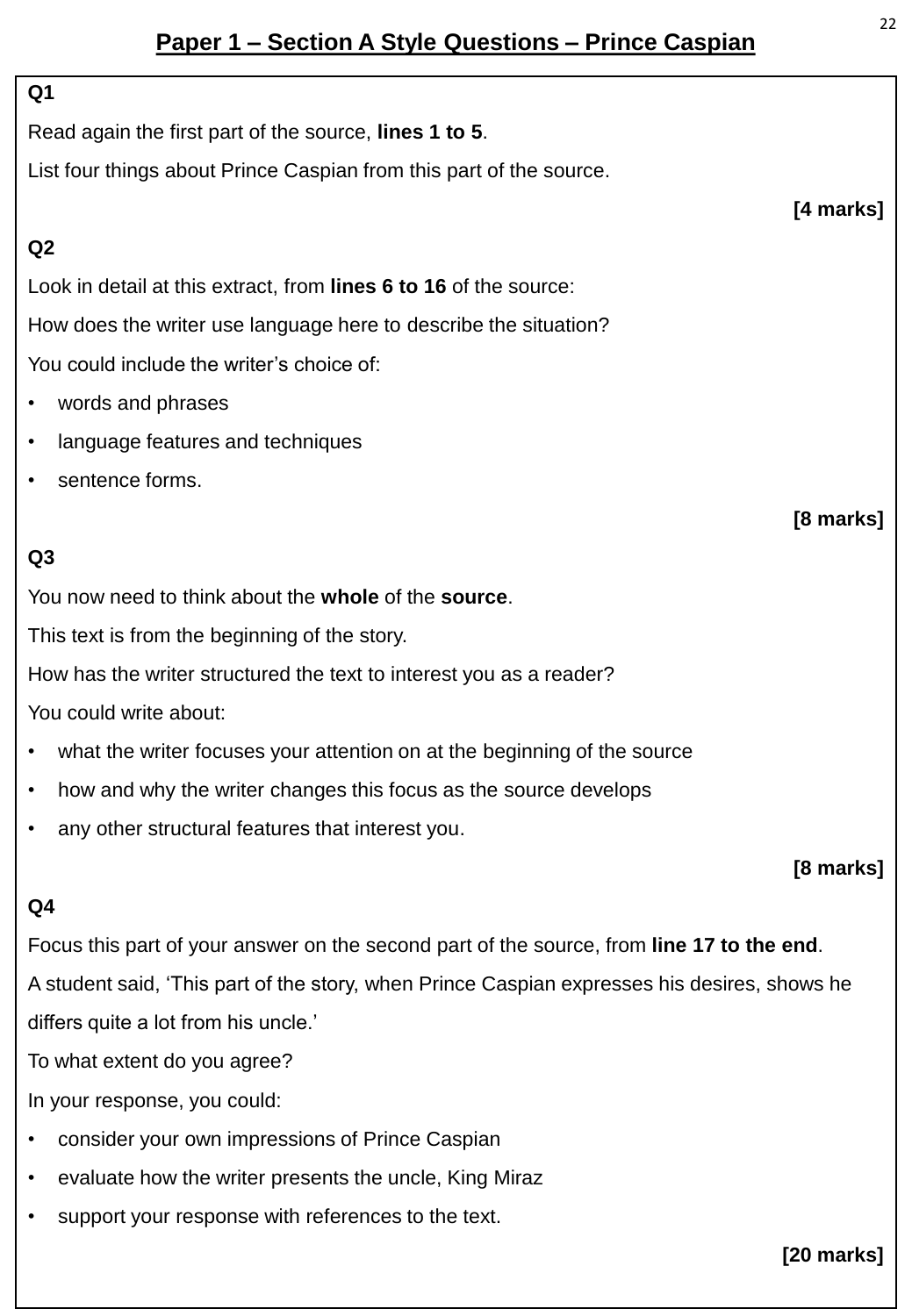## **Paper 1 – Section A Style Questions – Prince Caspian**

#### **Q1**

Read again the first part of the source, **lines 1 to 5**.

List four things about Prince Caspian from this part of the source.

### **Q2**

Look in detail at this extract, from **lines 6 to 16** of the source: How does the writer use language here to describe the situation? You could include the writer's choice of:

- words and phrases
- language features and techniques
- sentence forms.

## **Q3**

You now need to think about the **whole** of the **source**.

This text is from the beginning of the story.

How has the writer structured the text to interest you as a reader?

You could write about:

- what the writer focuses your attention on at the beginning of the source
- how and why the writer changes this focus as the source develops
- any other structural features that interest you.

#### **[8 marks]**

#### **Q4**

Focus this part of your answer on the second part of the source, from **line 17 to the end**.

A student said, 'This part of the story, when Prince Caspian expresses his desires, shows he differs quite a lot from his uncle.'

To what extent do you agree?

In your response, you could:

- consider your own impressions of Prince Caspian
- evaluate how the writer presents the uncle, King Miraz
- support your response with references to the text.

**[20 marks]**

**[4 marks]**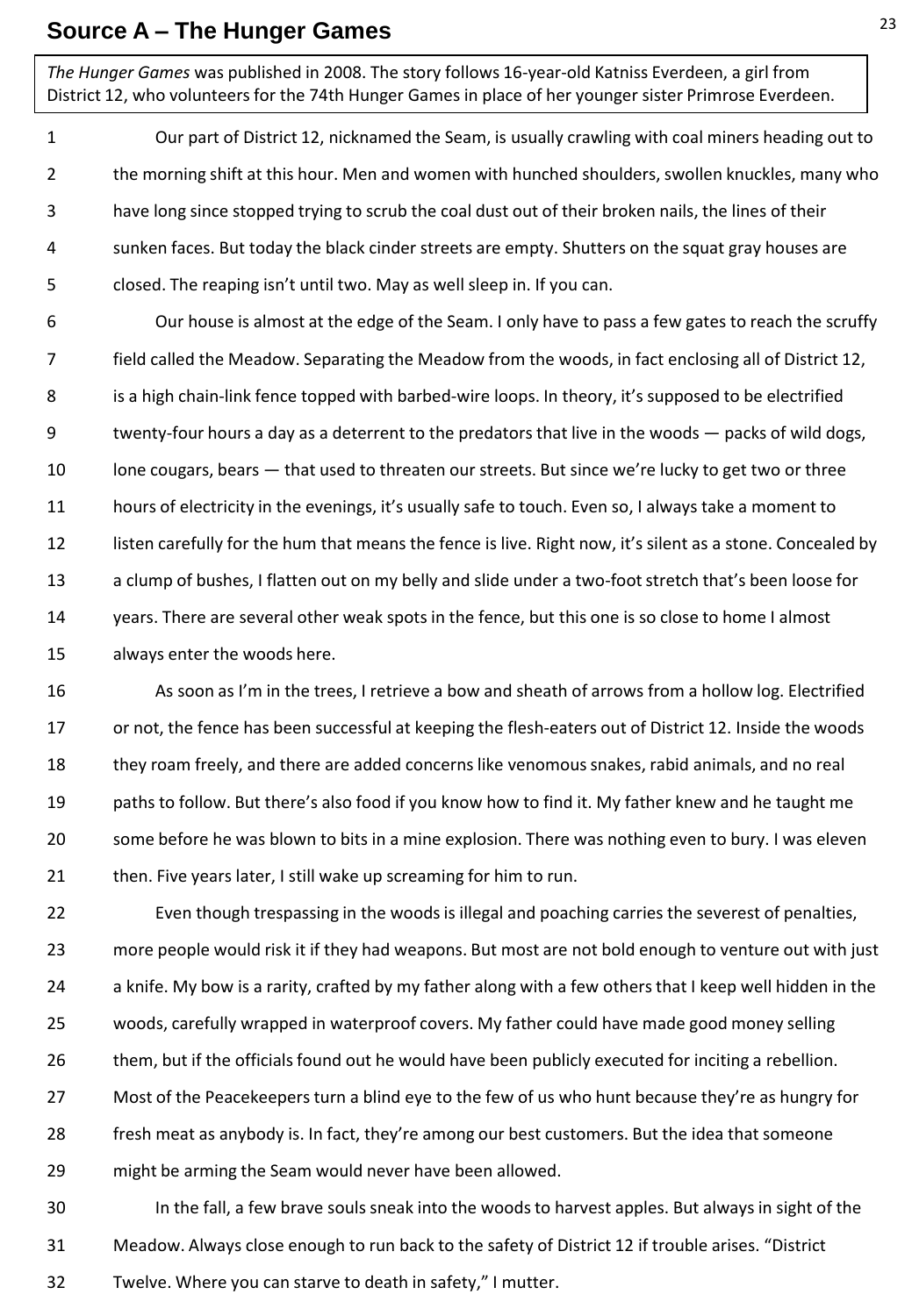#### **Source A – The Hunger Games**

*The Hunger Games* was published in 2008. The story follows 16-year-old Katniss Everdeen, a girl from District 12, who volunteers for the 74th Hunger Games in place of her younger sister Primrose Everdeen.

1 2 3 4 5 Our part of District 12, nicknamed the Seam, is usually crawling with coal miners heading out to the morning shift at this hour. Men and women with hunched shoulders, swollen knuckles, many who have long since stopped trying to scrub the coal dust out of their broken nails, the lines of their sunken faces. But today the black cinder streets are empty. Shutters on the squat gray houses are closed. The reaping isn't until two. May as well sleep in. If you can.

6 7 8 9 10 11 12 13 14 15 Our house is almost at the edge of the Seam. I only have to pass a few gates to reach the scruffy field called the Meadow. Separating the Meadow from the woods, in fact enclosing all of District 12, is a high chain-link fence topped with barbed-wire loops. In theory, it's supposed to be electrified twenty-four hours a day as a deterrent to the predators that live in the woods — packs of wild dogs, lone cougars, bears — that used to threaten our streets. But since we're lucky to get two or three hours of electricity in the evenings, it's usually safe to touch. Even so, I always take a moment to listen carefully for the hum that means the fence is live. Right now, it's silent as a stone. Concealed by a clump of bushes, I flatten out on my belly and slide under a two-foot stretch that's been loose for years. There are several other weak spots in the fence, but this one is so close to home I almost always enter the woods here.

16 17 18 19 20 21 As soon as I'm in the trees, I retrieve a bow and sheath of arrows from a hollow log. Electrified or not, the fence has been successful at keeping the flesh-eaters out of District 12. Inside the woods they roam freely, and there are added concerns like venomous snakes, rabid animals, and no real paths to follow. But there's also food if you know how to find it. My father knew and he taught me some before he was blown to bits in a mine explosion. There was nothing even to bury. I was eleven then. Five years later, I still wake up screaming for him to run.

22 23 24 25 26 27 28 29 Even though trespassing in the woods is illegal and poaching carries the severest of penalties, more people would risk it if they had weapons. But most are not bold enough to venture out with just a knife. My bow is a rarity, crafted by my father along with a few others that I keep well hidden in the woods, carefully wrapped in waterproof covers. My father could have made good money selling them, but if the officials found out he would have been publicly executed for inciting a rebellion. Most of the Peacekeepers turn a blind eye to the few of us who hunt because they're as hungry for fresh meat as anybody is. In fact, they're among our best customers. But the idea that someone might be arming the Seam would never have been allowed.

30 31 32 In the fall, a few brave souls sneak into the woods to harvest apples. But always in sight of the Meadow. Always close enough to run back to the safety of District 12 if trouble arises. "District Twelve. Where you can starve to death in safety," I mutter.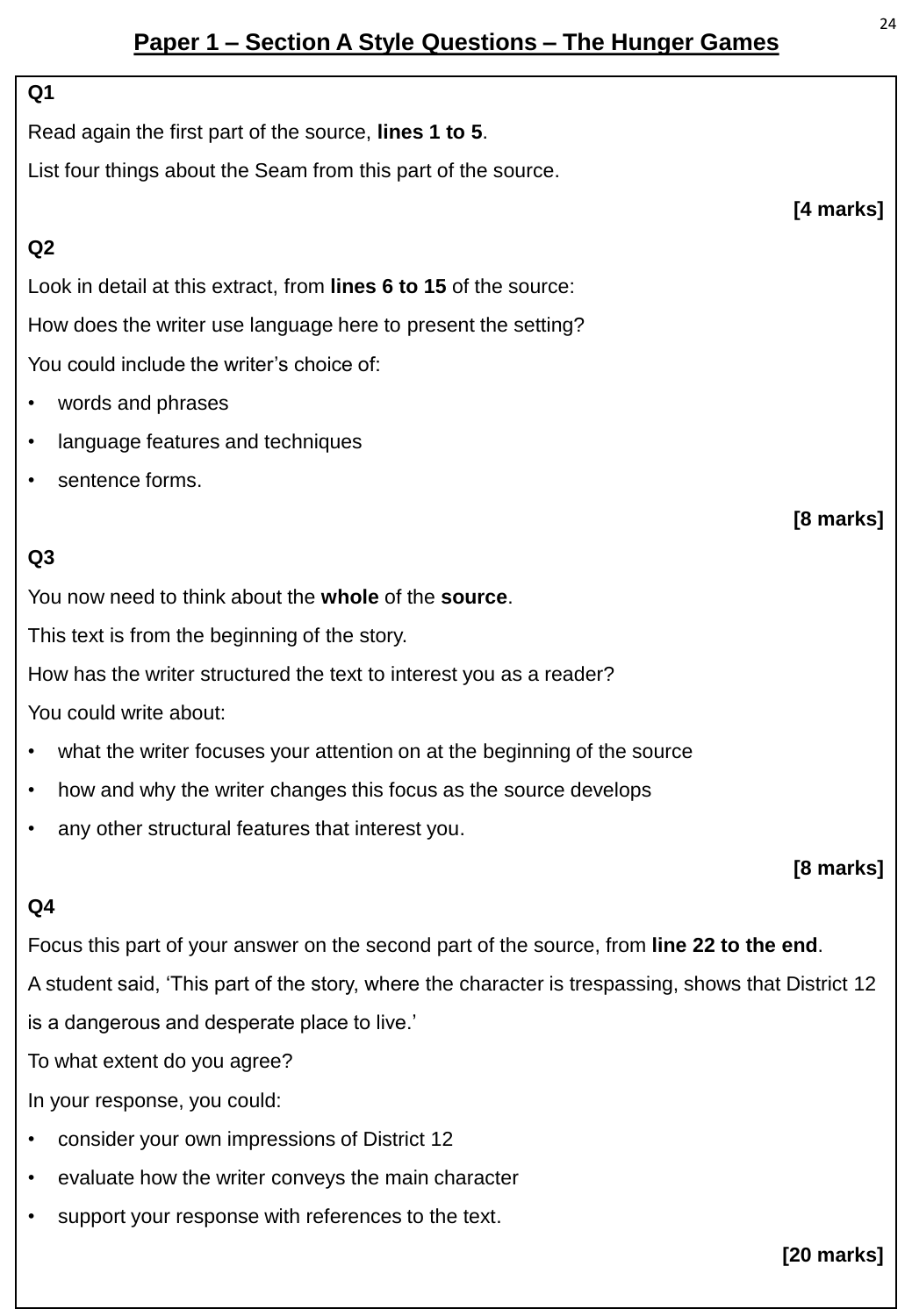## **Paper 1 – Section A Style Questions – The Hunger Games**

#### **Q1**

Read again the first part of the source, **lines 1 to 5**.

List four things about the Seam from this part of the source.

#### **Q2**

Look in detail at this extract, from **lines 6 to 15** of the source: How does the writer use language here to present the setting? You could include the writer's choice of:

- words and phrases
- language features and techniques
- sentence forms.

#### **Q3**

You now need to think about the **whole** of the **source**.

This text is from the beginning of the story.

How has the writer structured the text to interest you as a reader?

You could write about:

- what the writer focuses your attention on at the beginning of the source
- how and why the writer changes this focus as the source develops
- any other structural features that interest you.

#### **[8 marks]**

#### **Q4**

Focus this part of your answer on the second part of the source, from **line 22 to the end**.

A student said, 'This part of the story, where the character is trespassing, shows that District 12 is a dangerous and desperate place to live.'

To what extent do you agree?

In your response, you could:

- consider your own impressions of District 12
- evaluate how the writer conveys the main character
- support your response with references to the text.

**[20 marks]**

**[4 marks]**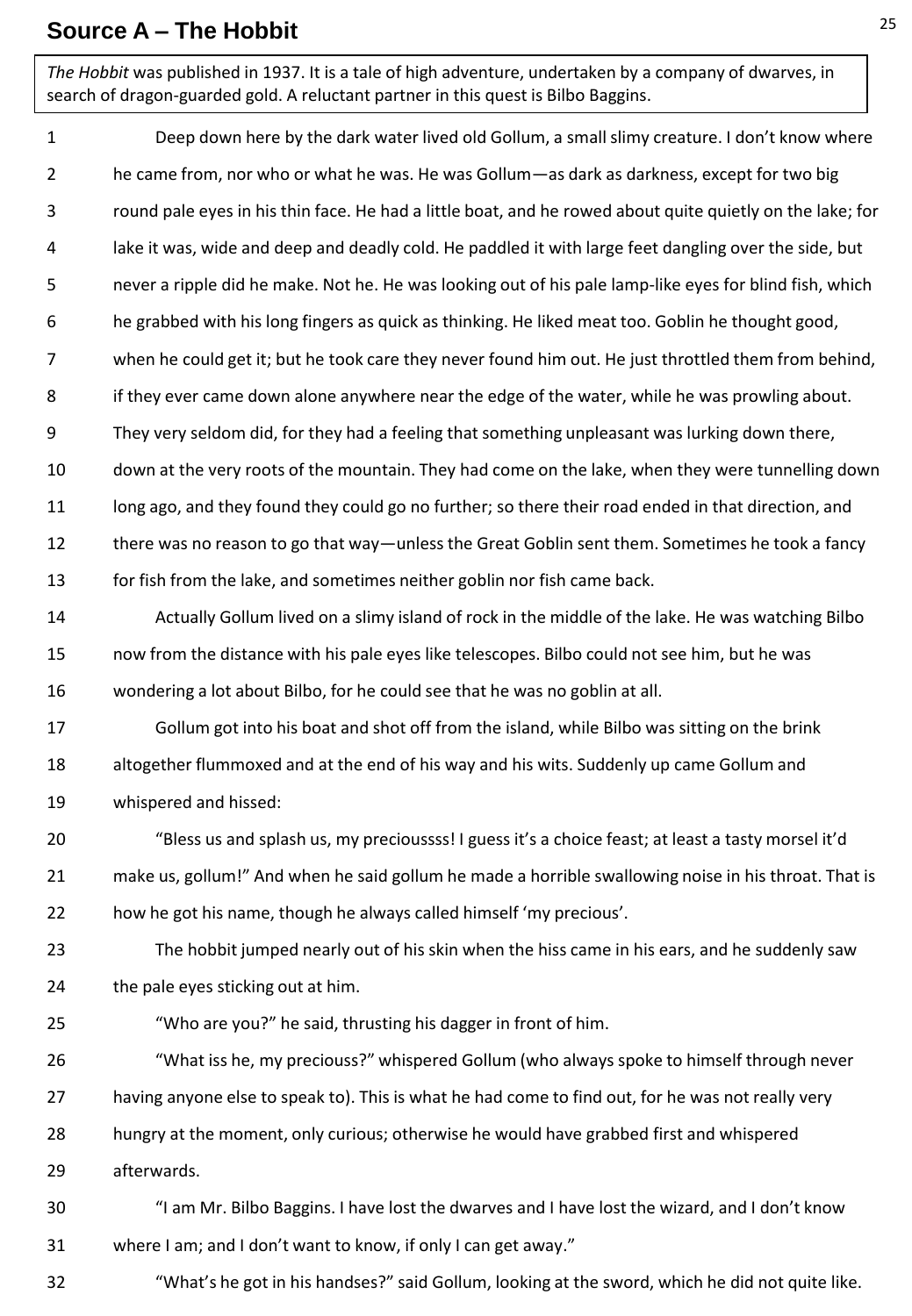#### **Source A – The Hobbit**

*The Hobbit* was published in 1937. It is a tale of high adventure, undertaken by a company of dwarves, in search of dragon-guarded gold. A reluctant partner in this quest is Bilbo Baggins.

1 2 3 4 5 6 7 8 9 10 11 12 13 14 15 16 17 18 19 20 21 22 23 24 25 26 27 28 29 30 31 32 Deep down here by the dark water lived old Gollum, a small slimy creature. I don't know where he came from, nor who or what he was. He was Gollum—as dark as darkness, except for two big round pale eyes in his thin face. He had a little boat, and he rowed about quite quietly on the lake; for lake it was, wide and deep and deadly cold. He paddled it with large feet dangling over the side, but never a ripple did he make. Not he. He was looking out of his pale lamp-like eyes for blind fish, which he grabbed with his long fingers as quick as thinking. He liked meat too. Goblin he thought good, when he could get it; but he took care they never found him out. He just throttled them from behind, if they ever came down alone anywhere near the edge of the water, while he was prowling about. They very seldom did, for they had a feeling that something unpleasant was lurking down there, down at the very roots of the mountain. They had come on the lake, when they were tunnelling down long ago, and they found they could go no further; so there their road ended in that direction, and there was no reason to go that way—unless the Great Goblin sent them. Sometimes he took a fancy for fish from the lake, and sometimes neither goblin nor fish came back. Actually Gollum lived on a slimy island of rock in the middle of the lake. He was watching Bilbo now from the distance with his pale eyes like telescopes. Bilbo could not see him, but he was wondering a lot about Bilbo, for he could see that he was no goblin at all. Gollum got into his boat and shot off from the island, while Bilbo was sitting on the brink altogether flummoxed and at the end of his way and his wits. Suddenly up came Gollum and whispered and hissed: "Bless us and splash us, my precioussss! I guess it's a choice feast; at least a tasty morsel it'd make us, gollum!" And when he said gollum he made a horrible swallowing noise in his throat. That is how he got his name, though he always called himself 'my precious'. The hobbit jumped nearly out of his skin when the hiss came in his ears, and he suddenly saw the pale eyes sticking out at him. "Who are you?" he said, thrusting his dagger in front of him. "What iss he, my preciouss?" whispered Gollum (who always spoke to himself through never having anyone else to speak to). This is what he had come to find out, for he was not really very hungry at the moment, only curious; otherwise he would have grabbed first and whispered afterwards. "I am Mr. Bilbo Baggins. I have lost the dwarves and I have lost the wizard, and I don't know where I am; and I don't want to know, if only I can get away." "What's he got in his handses?" said Gollum, looking at the sword, which he did not quite like.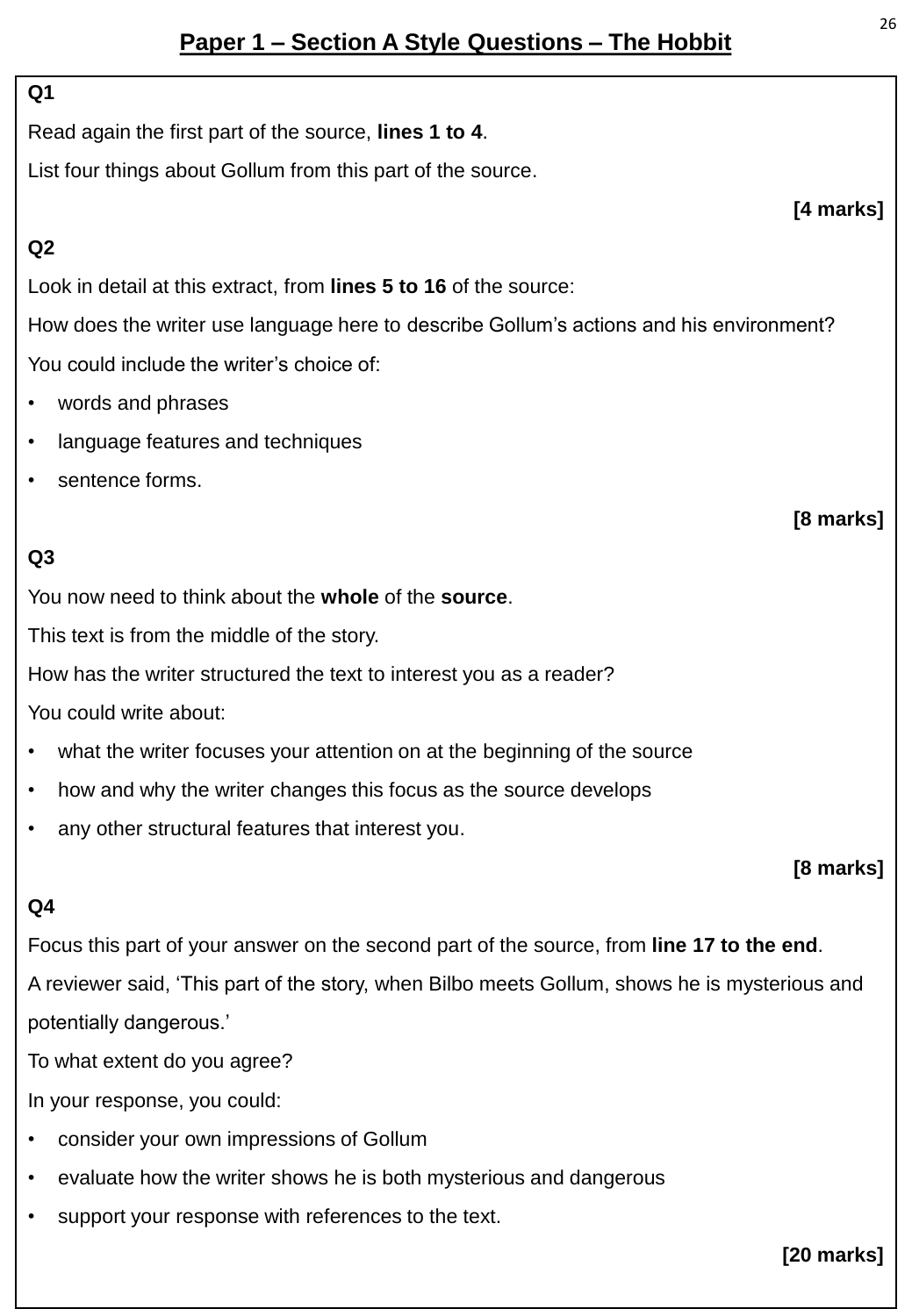## **Paper 1 – Section A Style Questions – The Hobbit**

#### **Q1**

Read again the first part of the source, **lines 1 to 4**.

List four things about Gollum from this part of the source.

#### **Q2**

Look in detail at this extract, from **lines 5 to 16** of the source:

How does the writer use language here to describe Gollum's actions and his environment? You could include the writer's choice of:

- words and phrases
- language features and techniques
- sentence forms.

### **Q3**

You now need to think about the **whole** of the **source**.

This text is from the middle of the story.

How has the writer structured the text to interest you as a reader?

You could write about:

- what the writer focuses your attention on at the beginning of the source
- how and why the writer changes this focus as the source develops
- any other structural features that interest you.

#### **[8 marks]**

#### **Q4**

Focus this part of your answer on the second part of the source, from **line 17 to the end**.

A reviewer said, 'This part of the story, when Bilbo meets Gollum, shows he is mysterious and potentially dangerous.'

To what extent do you agree?

In your response, you could:

- consider your own impressions of Gollum
- evaluate how the writer shows he is both mysterious and dangerous
- support your response with references to the text.

#### **[20 marks]**

**[4 marks]**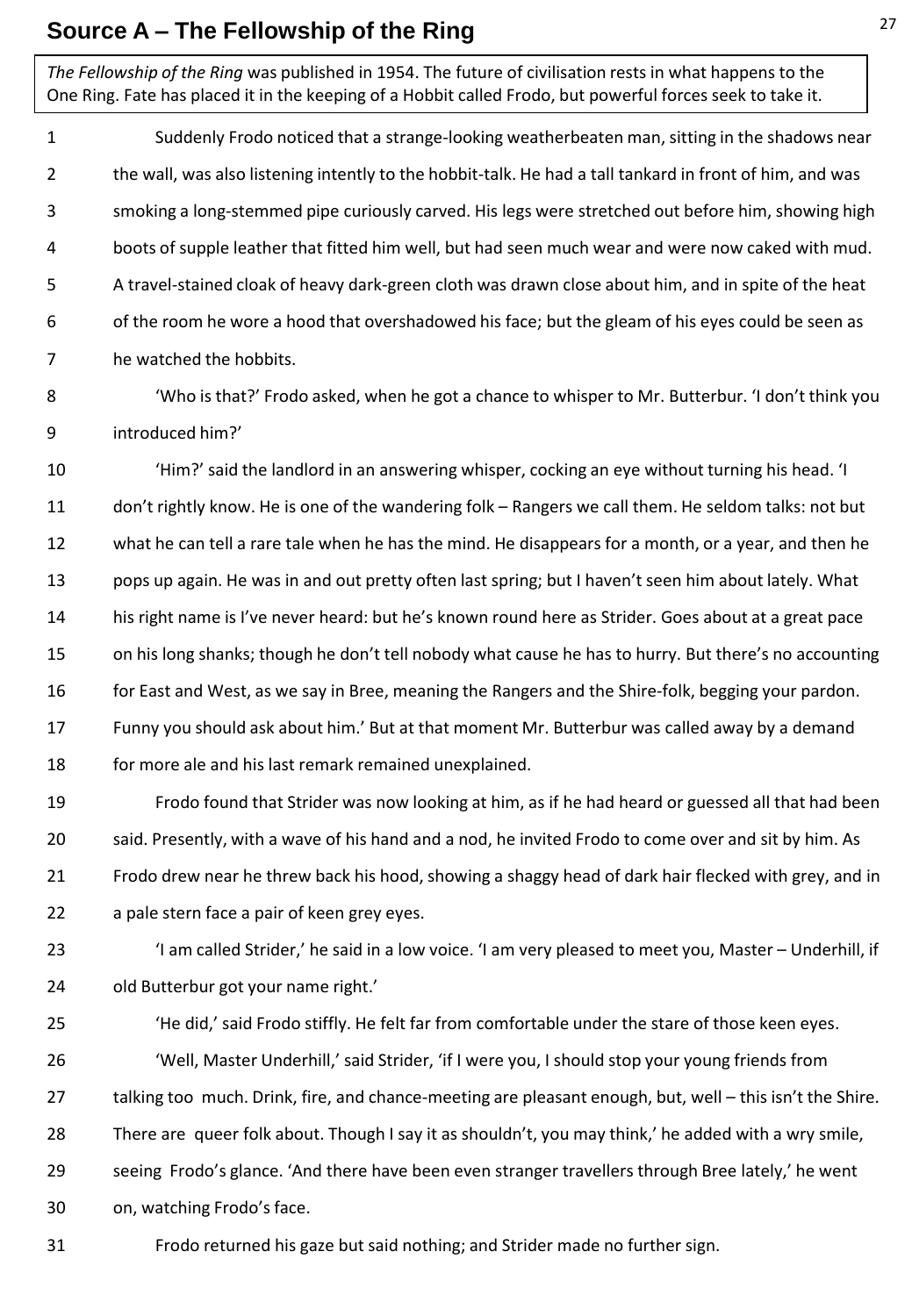## **Source A – The Fellowship of the Ring**

*The Fellowship of the Ring* was published in 1954. The future of civilisation rests in what happens to the One Ring. Fate has placed it in the keeping of a Hobbit called Frodo, but powerful forces seek to take it.

1 2 3 4 5 6 7 Suddenly Frodo noticed that a strange-looking weatherbeaten man, sitting in the shadows near the wall, was also listening intently to the hobbit-talk. He had a tall tankard in front of him, and was smoking a long-stemmed pipe curiously carved. His legs were stretched out before him, showing high boots of supple leather that fitted him well, but had seen much wear and were now caked with mud. A travel-stained cloak of heavy dark-green cloth was drawn close about him, and in spite of the heat of the room he wore a hood that overshadowed his face; but the gleam of his eyes could be seen as he watched the hobbits.

8 9 'Who is that?' Frodo asked, when he got a chance to whisper to Mr. Butterbur. 'I don't think you introduced him?'

10 11 12 13 14 15 16 17 18 'Him?' said the landlord in an answering whisper, cocking an eye without turning his head. 'I don't rightly know. He is one of the wandering folk – Rangers we call them. He seldom talks: not but what he can tell a rare tale when he has the mind. He disappears for a month, or a year, and then he pops up again. He was in and out pretty often last spring; but I haven't seen him about lately. What his right name is I've never heard: but he's known round here as Strider. Goes about at a great pace on his long shanks; though he don't tell nobody what cause he has to hurry. But there's no accounting for East and West, as we say in Bree, meaning the Rangers and the Shire-folk, begging your pardon. Funny you should ask about him.' But at that moment Mr. Butterbur was called away by a demand for more ale and his last remark remained unexplained.

19 20 21 22 Frodo found that Strider was now looking at him, as if he had heard or guessed all that had been said. Presently, with a wave of his hand and a nod, he invited Frodo to come over and sit by him. As Frodo drew near he threw back his hood, showing a shaggy head of dark hair flecked with grey, and in a pale stern face a pair of keen grey eyes.

23 24 'I am called Strider,' he said in a low voice. 'I am very pleased to meet you, Master – Underhill, if old Butterbur got your name right.'

- 25 26 27 28 29 30 'He did,' said Frodo stiffly. He felt far from comfortable under the stare of those keen eyes. 'Well, Master Underhill,' said Strider, 'if I were you, I should stop your young friends from talking too much. Drink, fire, and chance-meeting are pleasant enough, but, well – this isn't the Shire. There are queer folk about. Though I say it as shouldn't, you may think,' he added with a wry smile, seeing Frodo's glance. 'And there have been even stranger travellers through Bree lately,' he went on, watching Frodo's face.
	- Frodo returned his gaze but said nothing; and Strider made no further sign.

31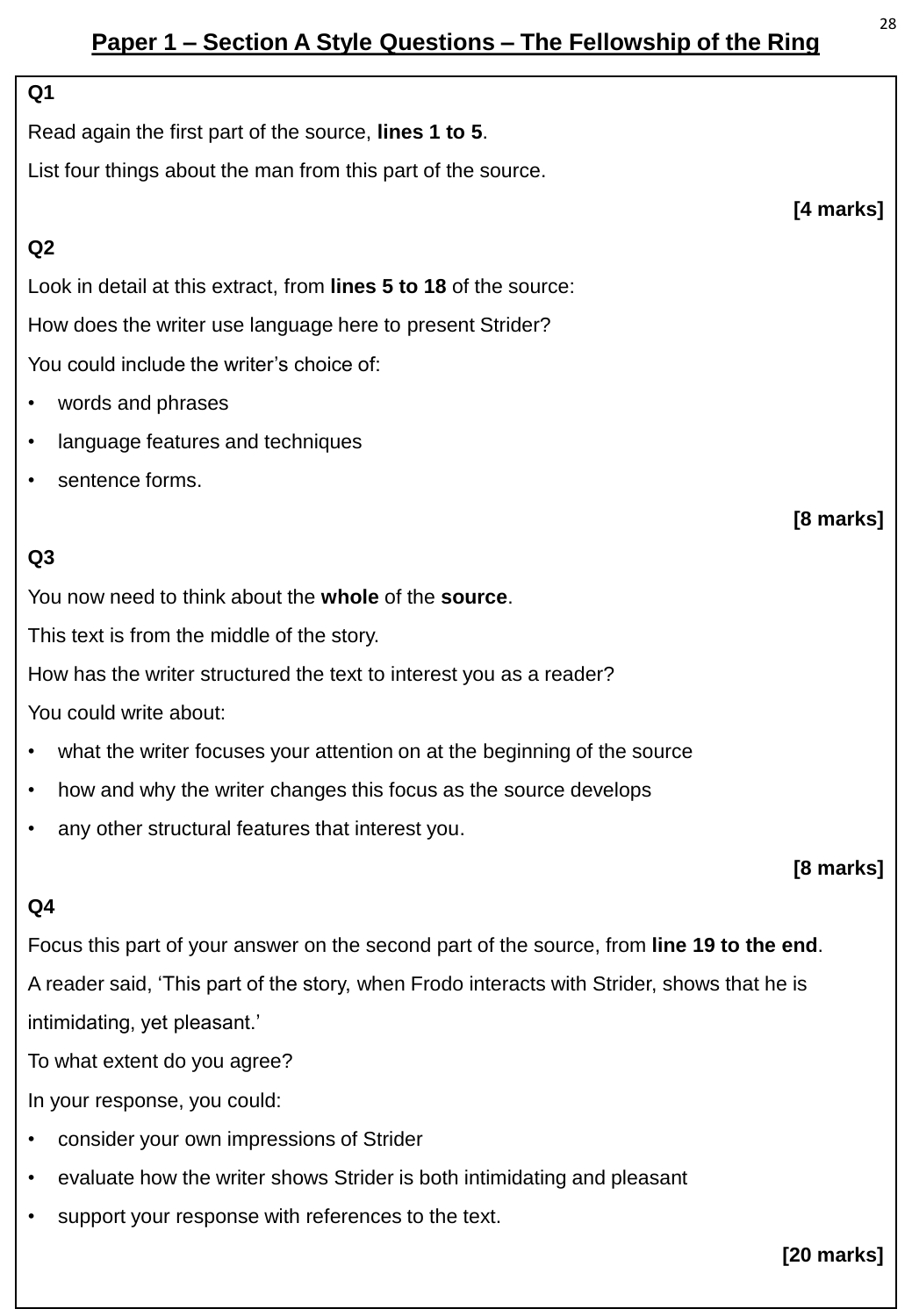## **Paper 1 – Section A Style Questions – The Fellowship of the Ring**

#### **Q1**

Read again the first part of the source, **lines 1 to 5**.

List four things about the man from this part of the source.

#### **Q2**

Look in detail at this extract, from **lines 5 to 18** of the source: How does the writer use language here to present Strider? You could include the writer's choice of:

- words and phrases
- language features and techniques
- sentence forms.

#### **Q3**

You now need to think about the **whole** of the **source**.

This text is from the middle of the story.

How has the writer structured the text to interest you as a reader?

You could write about:

- what the writer focuses your attention on at the beginning of the source
- how and why the writer changes this focus as the source develops
- any other structural features that interest you.

#### **[8 marks]**

#### **Q4**

Focus this part of your answer on the second part of the source, from **line 19 to the end**. A reader said, 'This part of the story, when Frodo interacts with Strider, shows that he is intimidating, yet pleasant.'

To what extent do you agree?

In your response, you could:

- consider your own impressions of Strider
- evaluate how the writer shows Strider is both intimidating and pleasant
- support your response with references to the text.

#### **[20 marks]**

**[4 marks]**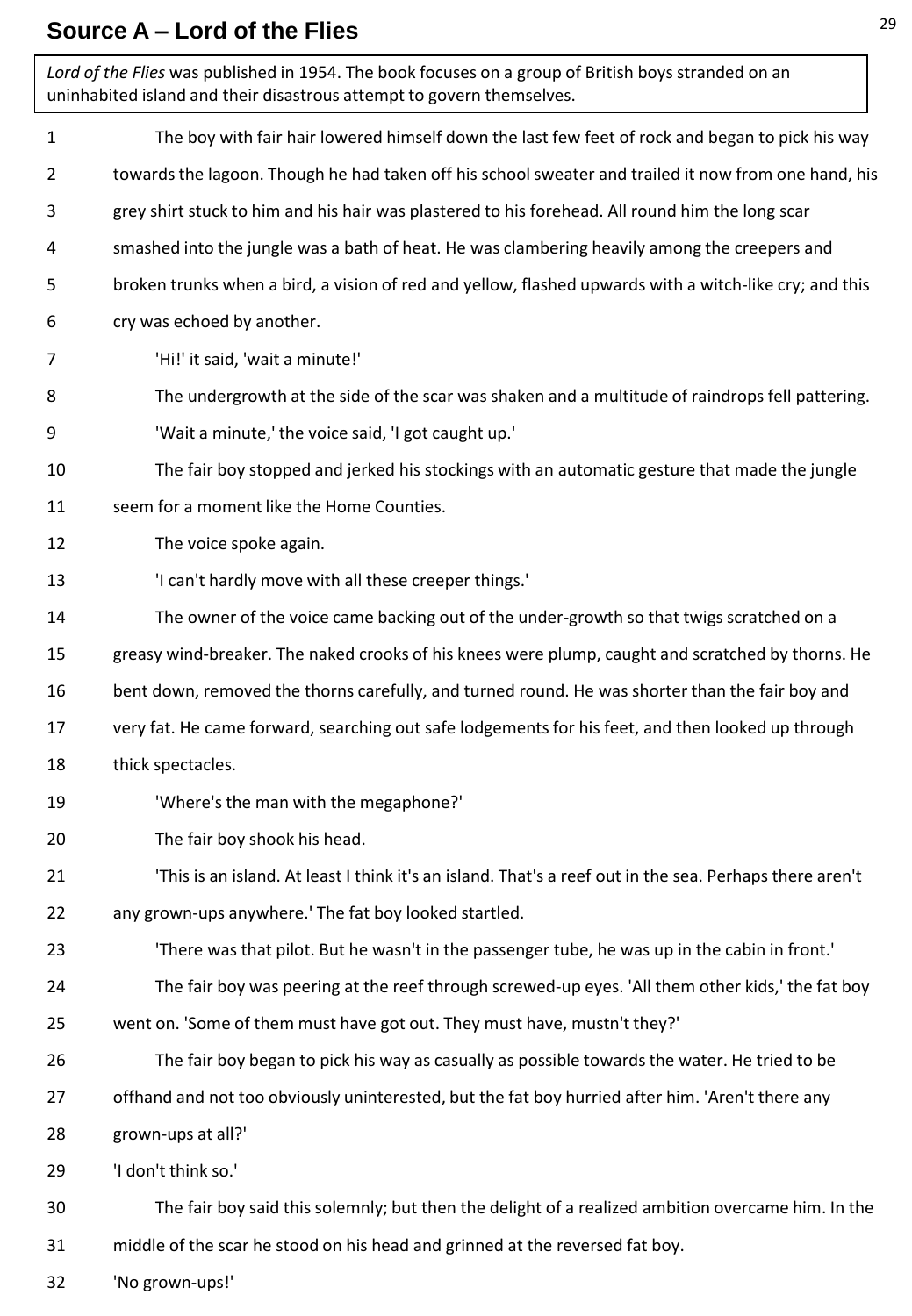## **Source A – Lord of the Flies**

| Lord of the Flies was published in 1954. The book focuses on a group of British boys stranded on an<br>uninhabited island and their disastrous attempt to govern themselves. |                                                                                                         |
|------------------------------------------------------------------------------------------------------------------------------------------------------------------------------|---------------------------------------------------------------------------------------------------------|
| $\mathbf{1}$                                                                                                                                                                 | The boy with fair hair lowered himself down the last few feet of rock and began to pick his way         |
| $\overline{2}$                                                                                                                                                               | towards the lagoon. Though he had taken off his school sweater and trailed it now from one hand, his    |
| 3                                                                                                                                                                            | grey shirt stuck to him and his hair was plastered to his forehead. All round him the long scar         |
| 4                                                                                                                                                                            | smashed into the jungle was a bath of heat. He was clambering heavily among the creepers and            |
| 5                                                                                                                                                                            | broken trunks when a bird, a vision of red and yellow, flashed upwards with a witch-like cry; and this  |
| 6                                                                                                                                                                            | cry was echoed by another.                                                                              |
| 7                                                                                                                                                                            | 'Hi!' it said, 'wait a minute!'                                                                         |
| 8                                                                                                                                                                            | The undergrowth at the side of the scar was shaken and a multitude of raindrops fell pattering.         |
| 9                                                                                                                                                                            | 'Wait a minute,' the voice said, 'I got caught up.'                                                     |
| 10                                                                                                                                                                           | The fair boy stopped and jerked his stockings with an automatic gesture that made the jungle            |
| 11                                                                                                                                                                           | seem for a moment like the Home Counties.                                                               |
| 12                                                                                                                                                                           | The voice spoke again.                                                                                  |
| 13                                                                                                                                                                           | 'I can't hardly move with all these creeper things.'                                                    |
| 14                                                                                                                                                                           | The owner of the voice came backing out of the under-growth so that twigs scratched on a                |
| 15                                                                                                                                                                           | greasy wind-breaker. The naked crooks of his knees were plump, caught and scratched by thorns. He       |
| 16                                                                                                                                                                           | bent down, removed the thorns carefully, and turned round. He was shorter than the fair boy and         |
| 17                                                                                                                                                                           | very fat. He came forward, searching out safe lodgements for his feet, and then looked up through       |
| 18                                                                                                                                                                           | thick spectacles.                                                                                       |
| 19                                                                                                                                                                           | 'Where's the man with the megaphone?'                                                                   |
| 20                                                                                                                                                                           | The fair boy shook his head.                                                                            |
| 21                                                                                                                                                                           | 'This is an island. At least I think it's an island. That's a reef out in the sea. Perhaps there aren't |
| 22                                                                                                                                                                           | any grown-ups anywhere.' The fat boy looked startled.                                                   |
| 23                                                                                                                                                                           | 'There was that pilot. But he wasn't in the passenger tube, he was up in the cabin in front.'           |
| 24                                                                                                                                                                           | The fair boy was peering at the reef through screwed-up eyes. 'All them other kids,' the fat boy        |
| 25                                                                                                                                                                           | went on. 'Some of them must have got out. They must have, mustn't they?'                                |
| 26                                                                                                                                                                           | The fair boy began to pick his way as casually as possible towards the water. He tried to be            |
| 27                                                                                                                                                                           | offhand and not too obviously uninterested, but the fat boy hurried after him. 'Aren't there any        |
| 28                                                                                                                                                                           | grown-ups at all?'                                                                                      |
| 29                                                                                                                                                                           | 'I don't think so.'                                                                                     |
| 30                                                                                                                                                                           | The fair boy said this solemnly; but then the delight of a realized ambition overcame him. In the       |
| 31                                                                                                                                                                           | middle of the scar he stood on his head and grinned at the reversed fat boy.                            |
| 32                                                                                                                                                                           | 'No grown-ups!'                                                                                         |

٦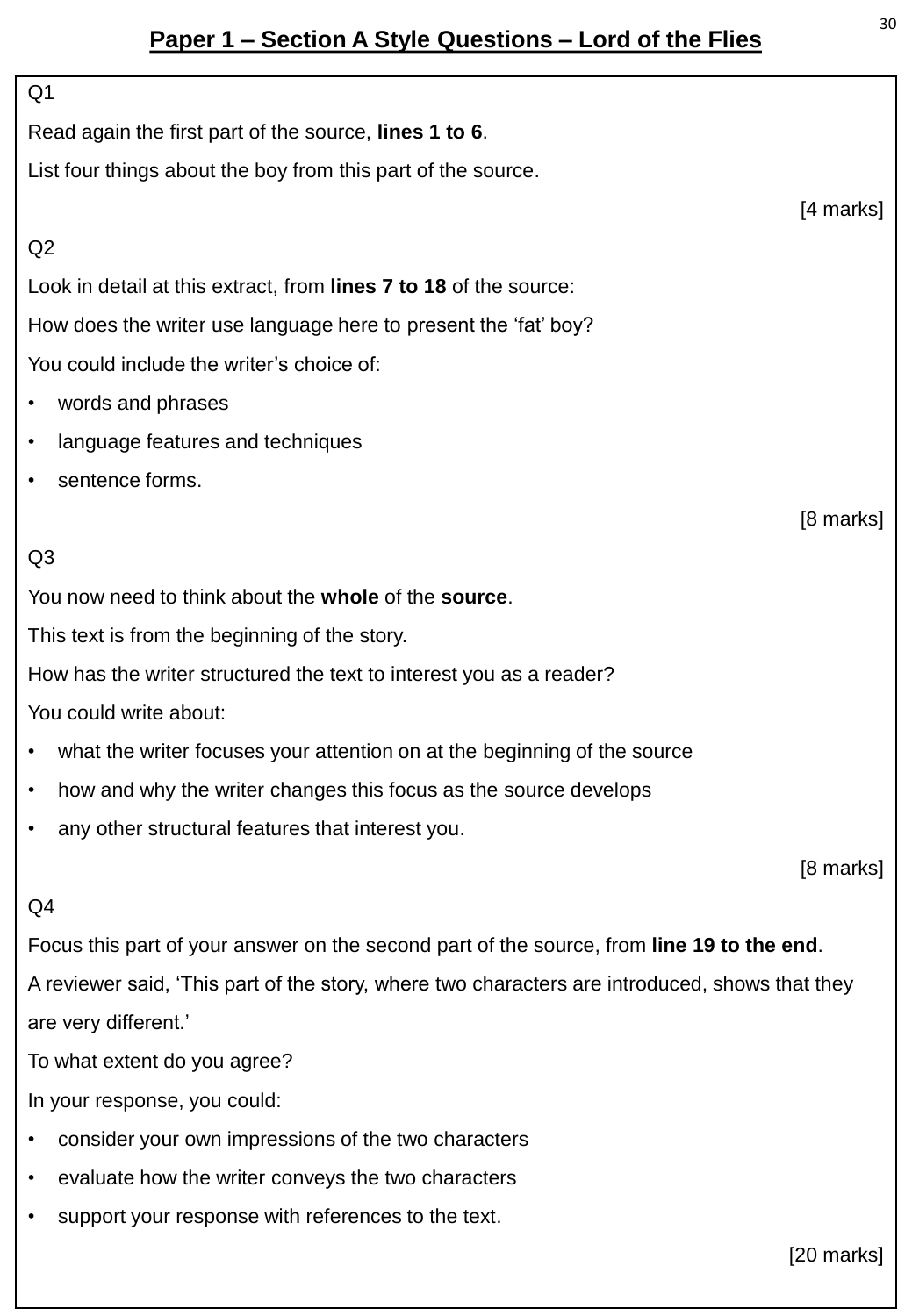## **Paper 1 – Section A Style Questions – Lord of the Flies**

# Q1 Read again the first part of the source, **lines 1 to 6**. List four things about the boy from this part of the source. [4 marks] Q2 Look in detail at this extract, from **lines 7 to 18** of the source: How does the writer use language here to present the 'fat' boy? You could include the writer's choice of: • words and phrases language features and techniques sentence forms. [8 marks]  $O<sub>3</sub>$ You now need to think about the **whole** of the **source**. This text is from the beginning of the story. How has the writer structured the text to interest you as a reader? You could write about: what the writer focuses your attention on at the beginning of the source • how and why the writer changes this focus as the source develops • any other structural features that interest you. [8 marks]  $Q<sub>4</sub>$ Focus this part of your answer on the second part of the source, from **line 19 to the end**. A reviewer said, 'This part of the story, where two characters are introduced, shows that they are very different.' To what extent do you agree? In your response, you could:

- consider your own impressions of the two characters
- evaluate how the writer conveys the two characters
- support your response with references to the text.

[20 marks]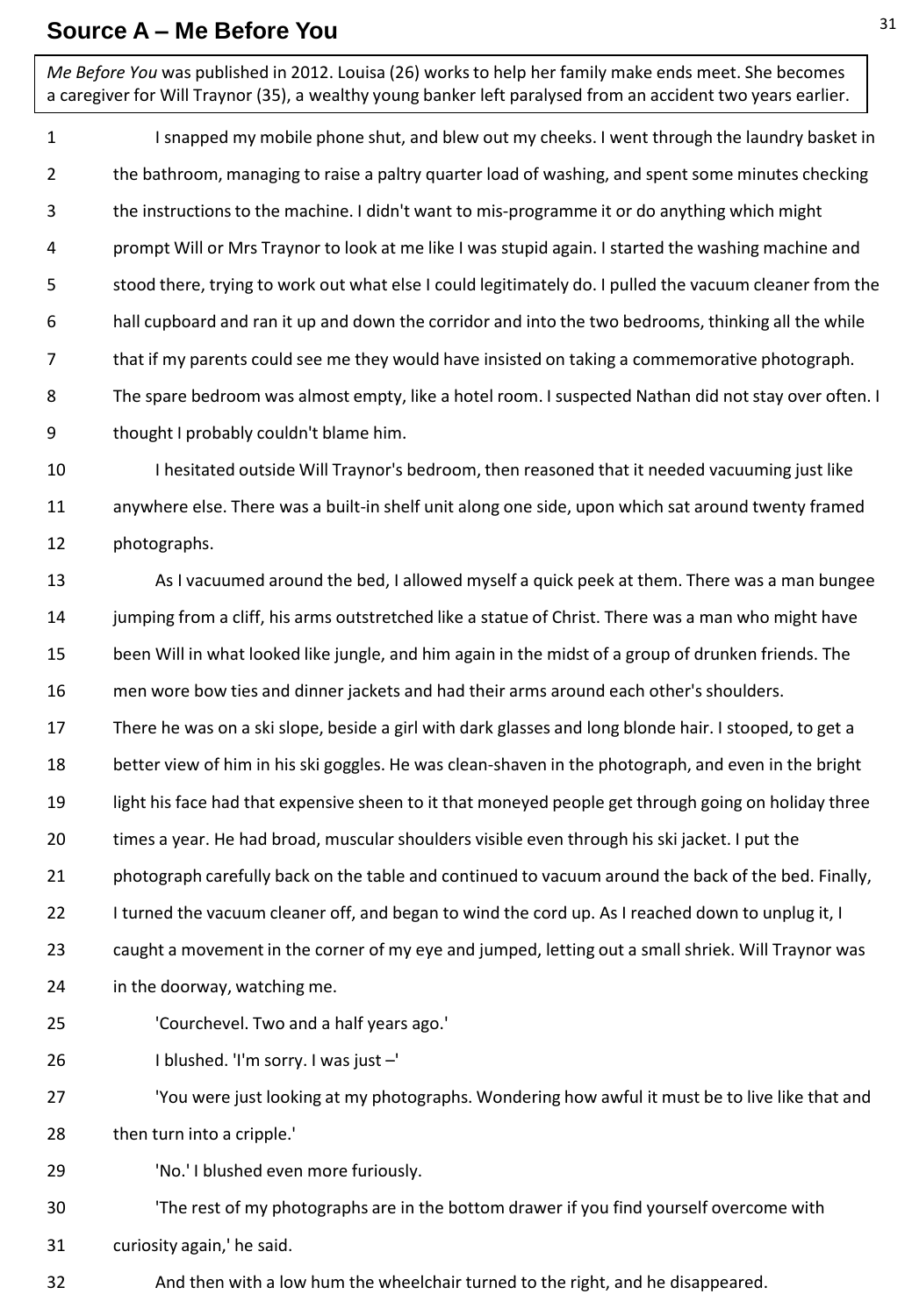#### **Source A – Me Before You**

*Me Before You* was published in 2012. Louisa (26) works to help her family make ends meet. She becomes a caregiver for Will Traynor (35), a wealthy young banker left paralysed from an accident two years earlier.

1 2 3 4 5 6 7 8 9 I snapped my mobile phone shut, and blew out my cheeks. I went through the laundry basket in the bathroom, managing to raise a paltry quarter load of washing, and spent some minutes checking the instructions to the machine. I didn't want to mis-programme it or do anything which might prompt Will or Mrs Traynor to look at me like I was stupid again. I started the washing machine and stood there, trying to work out what else I could legitimately do. I pulled the vacuum cleaner from the hall cupboard and ran it up and down the corridor and into the two bedrooms, thinking all the while that if my parents could see me they would have insisted on taking a commemorative photograph. The spare bedroom was almost empty, like a hotel room. I suspected Nathan did not stay over often. I thought I probably couldn't blame him.

10 11 12 I hesitated outside Will Traynor's bedroom, then reasoned that it needed vacuuming just like anywhere else. There was a built-in shelf unit along one side, upon which sat around twenty framed photographs.

13 14 15 16 17 18 19 20 21 22 23 24 25 26 As I vacuumed around the bed, I allowed myself a quick peek at them. There was a man bungee jumping from a cliff, his arms outstretched like a statue of Christ. There was a man who might have been Will in what looked like jungle, and him again in the midst of a group of drunken friends. The men wore bow ties and dinner jackets and had their arms around each other's shoulders. There he was on a ski slope, beside a girl with dark glasses and long blonde hair. I stooped, to get a better view of him in his ski goggles. He was clean-shaven in the photograph, and even in the bright light his face had that expensive sheen to it that moneyed people get through going on holiday three times a year. He had broad, muscular shoulders visible even through his ski jacket. I put the photograph carefully back on the table and continued to vacuum around the back of the bed. Finally, I turned the vacuum cleaner off, and began to wind the cord up. As I reached down to unplug it, I caught a movement in the corner of my eye and jumped, letting out a small shriek. Will Traynor was in the doorway, watching me. 'Courchevel. Two and a half years ago.' I blushed. 'I'm sorry. I was just –'

27 28 'You were just looking at my photographs. Wondering how awful it must be to live like that and then turn into a cripple.'

29 'No.' I blushed even more furiously.

30 31 'The rest of my photographs are in the bottom drawer if you find yourself overcome with curiosity again,' he said.

32 And then with a low hum the wheelchair turned to the right, and he disappeared.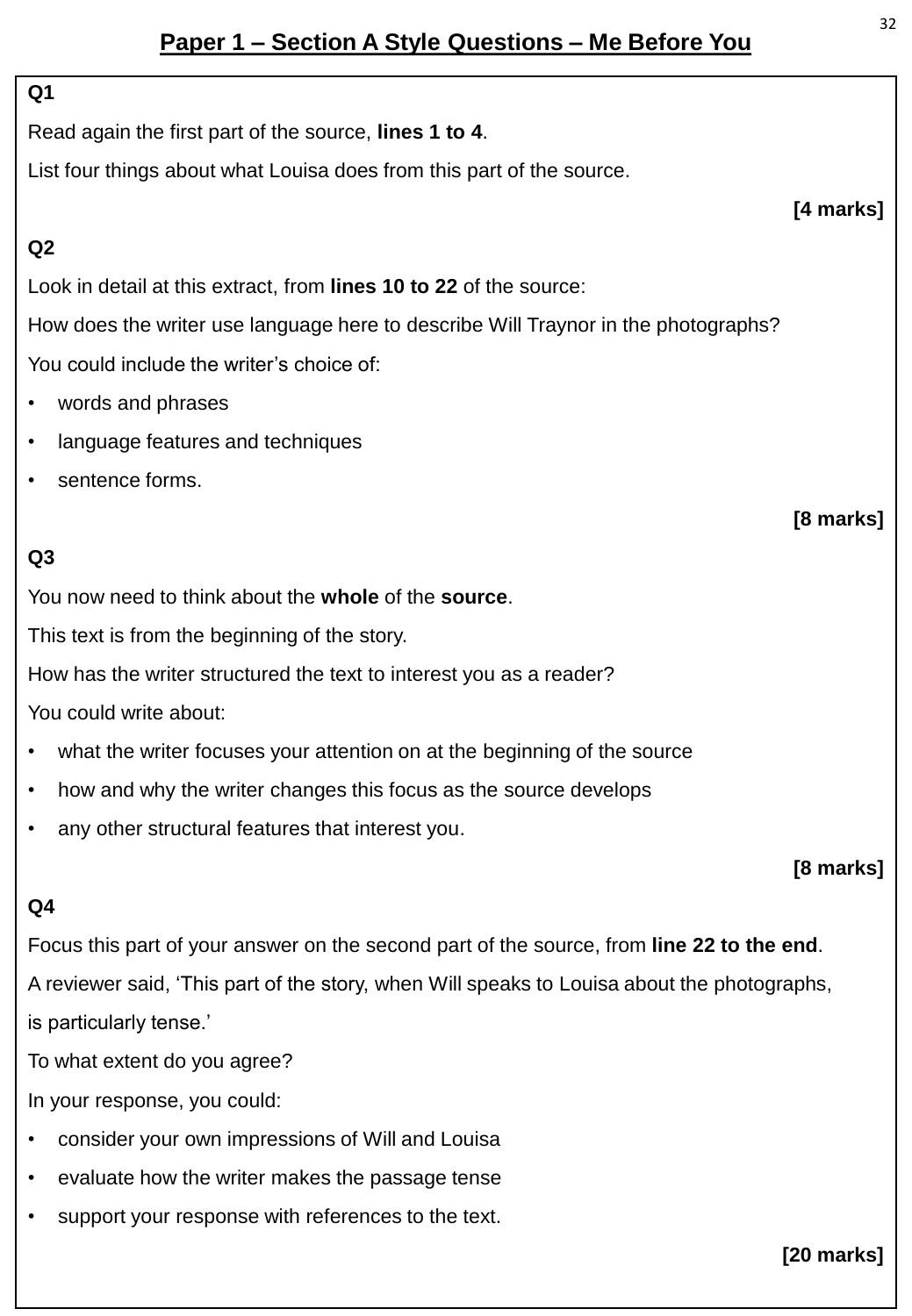## **Paper 1 – Section A Style Questions – Me Before You**

#### **Q1**

**Q2**

Read again the first part of the source, **lines 1 to 4**.

List four things about what Louisa does from this part of the source.

### **[4 marks]**

**[8 marks]**

Look in detail at this extract, from **lines 10 to 22** of the source:

How does the writer use language here to describe Will Traynor in the photographs? You could include the writer's choice of:

- words and phrases
- language features and techniques
- sentence forms.

### **Q3**

You now need to think about the **whole** of the **source**.

This text is from the beginning of the story.

How has the writer structured the text to interest you as a reader?

You could write about:

- what the writer focuses your attention on at the beginning of the source
- how and why the writer changes this focus as the source develops
- any other structural features that interest you.

**[8 marks]**

#### **Q4**

Focus this part of your answer on the second part of the source, from **line 22 to the end**. A reviewer said, 'This part of the story, when Will speaks to Louisa about the photographs, is particularly tense.'

To what extent do you agree?

In your response, you could:

- consider your own impressions of Will and Louisa
- evaluate how the writer makes the passage tense
- support your response with references to the text.

**[20 marks]**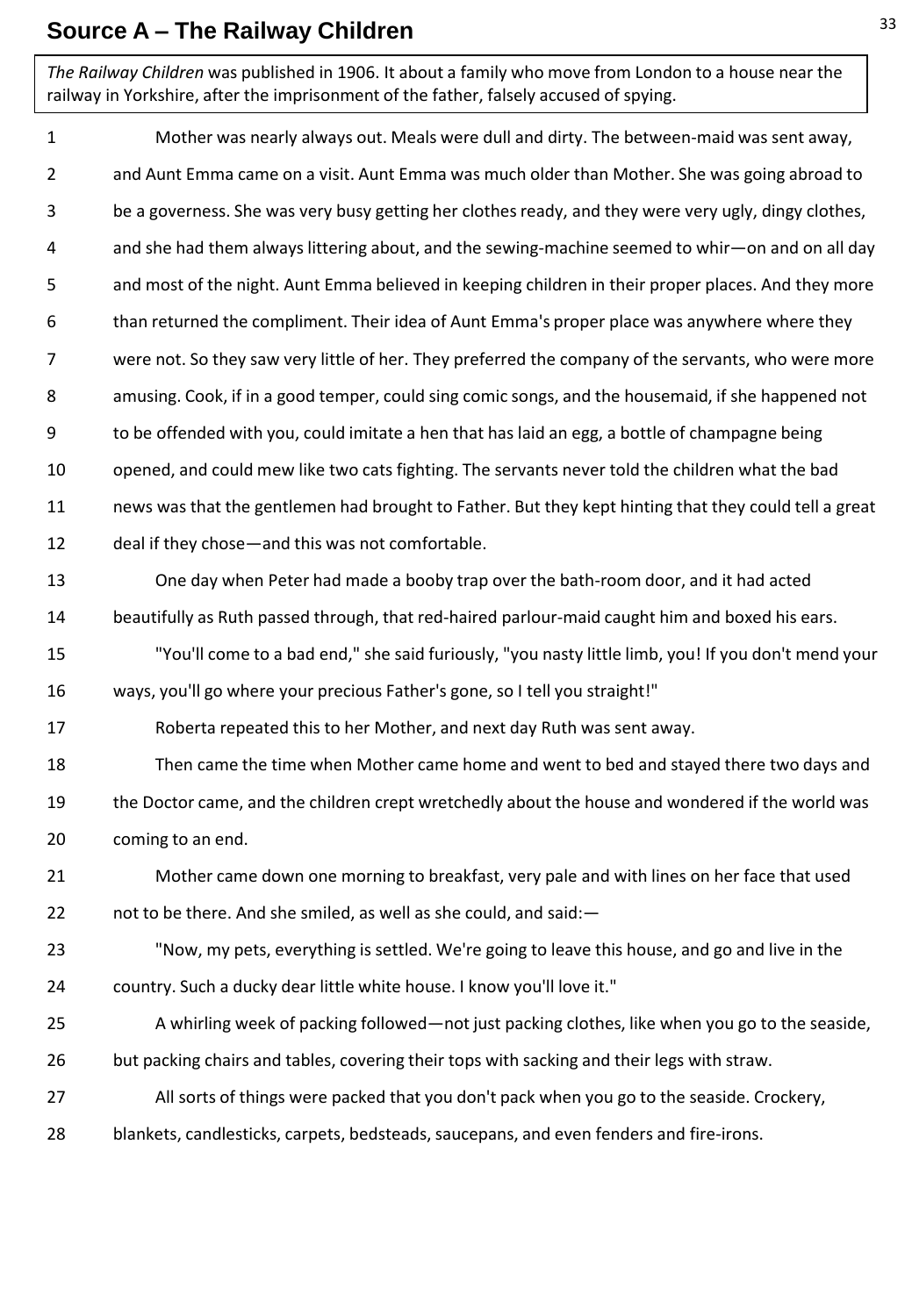## **Source A – The Railway Children**

*The Railway Children* was published in 1906. It about a family who move from London to a house near the railway in Yorkshire, after the imprisonment of the father, falsely accused of spying.

1 2 3 4 5 6 7 8 9 10 11 12 13 14 15 16 17 18 19 20 21 22 23 24 25 26 27 28 Mother was nearly always out. Meals were dull and dirty. The between-maid was sent away, and Aunt Emma came on a visit. Aunt Emma was much older than Mother. She was going abroad to be a governess. She was very busy getting her clothes ready, and they were very ugly, dingy clothes, and she had them always littering about, and the sewing-machine seemed to whir—on and on all day and most of the night. Aunt Emma believed in keeping children in their proper places. And they more than returned the compliment. Their idea of Aunt Emma's proper place was anywhere where they were not. So they saw very little of her. They preferred the company of the servants, who were more amusing. Cook, if in a good temper, could sing comic songs, and the housemaid, if she happened not to be offended with you, could imitate a hen that has laid an egg, a bottle of champagne being opened, and could mew like two cats fighting. The servants never told the children what the bad news was that the gentlemen had brought to Father. But they kept hinting that they could tell a great deal if they chose—and this was not comfortable. One day when Peter had made a booby trap over the bath-room door, and it had acted beautifully as Ruth passed through, that red-haired parlour-maid caught him and boxed his ears. "You'll come to a bad end," she said furiously, "you nasty little limb, you! If you don't mend your ways, you'll go where your precious Father's gone, so I tell you straight!" Roberta repeated this to her Mother, and next day Ruth was sent away. Then came the time when Mother came home and went to bed and stayed there two days and the Doctor came, and the children crept wretchedly about the house and wondered if the world was coming to an end. Mother came down one morning to breakfast, very pale and with lines on her face that used not to be there. And she smiled, as well as she could, and said:— "Now, my pets, everything is settled. We're going to leave this house, and go and live in the country. Such a ducky dear little white house. I know you'll love it." A whirling week of packing followed—not just packing clothes, like when you go to the seaside, but packing chairs and tables, covering their tops with sacking and their legs with straw. All sorts of things were packed that you don't pack when you go to the seaside. Crockery, blankets, candlesticks, carpets, bedsteads, saucepans, and even fenders and fire-irons.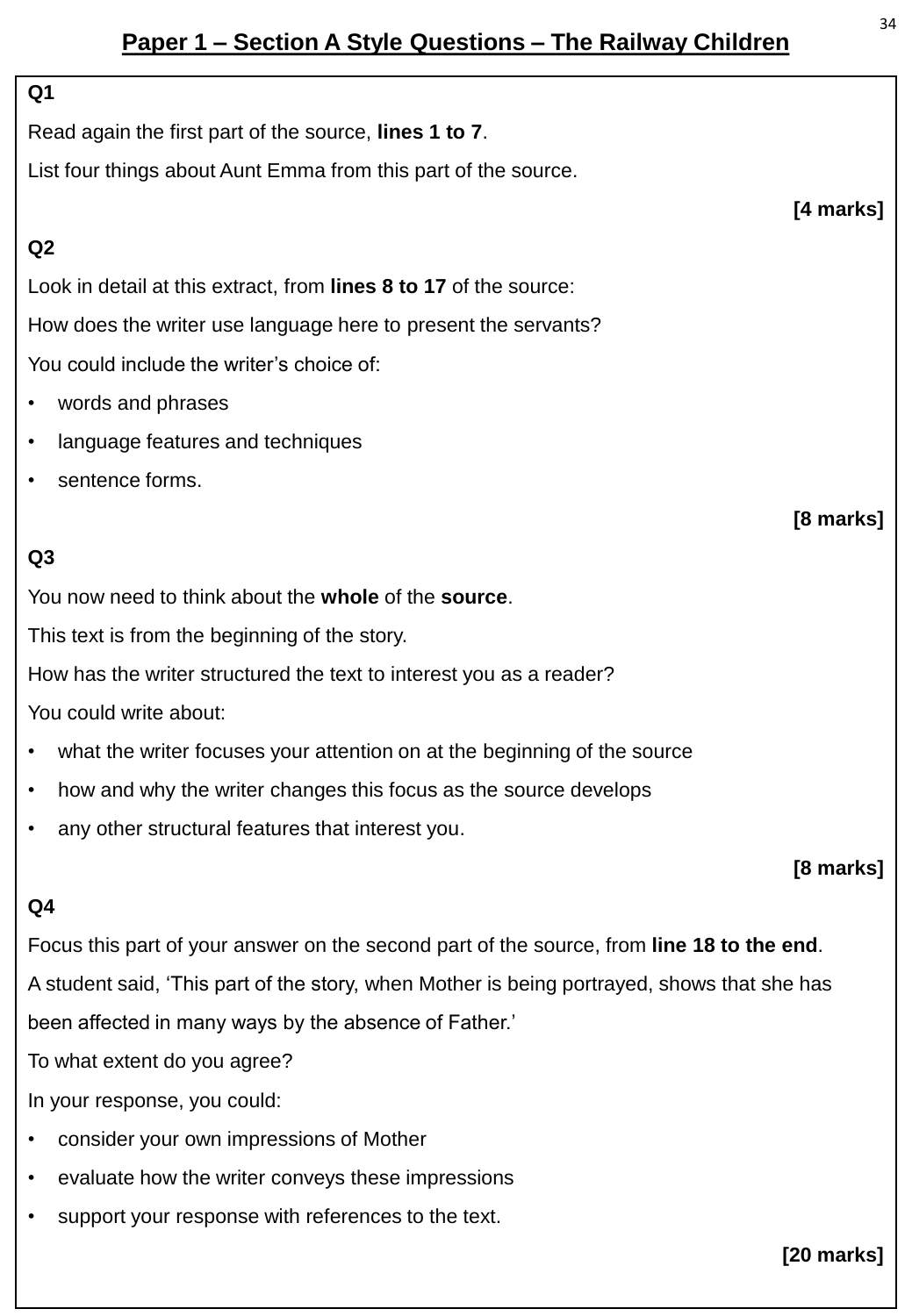## **Paper 1 – Section A Style Questions – The Railway Children**

#### **Q1**

Read again the first part of the source, **lines 1 to 7**.

List four things about Aunt Emma from this part of the source.

#### **Q2**

Look in detail at this extract, from **lines 8 to 17** of the source: How does the writer use language here to present the servants? You could include the writer's choice of:

- words and phrases
- language features and techniques
- sentence forms.

#### **Q3**

You now need to think about the **whole** of the **source**.

This text is from the beginning of the story.

How has the writer structured the text to interest you as a reader?

You could write about:

- what the writer focuses your attention on at the beginning of the source
- how and why the writer changes this focus as the source develops
- any other structural features that interest you.

#### **Q4**

Focus this part of your answer on the second part of the source, from **line 18 to the end**. A student said, 'This part of the story, when Mother is being portrayed, shows that she has been affected in many ways by the absence of Father.'

To what extent do you agree?

In your response, you could:

- consider your own impressions of Mother
- evaluate how the writer conveys these impressions
- support your response with references to the text.

**[20 marks]**

#### **[4 marks]**

**[8 marks]**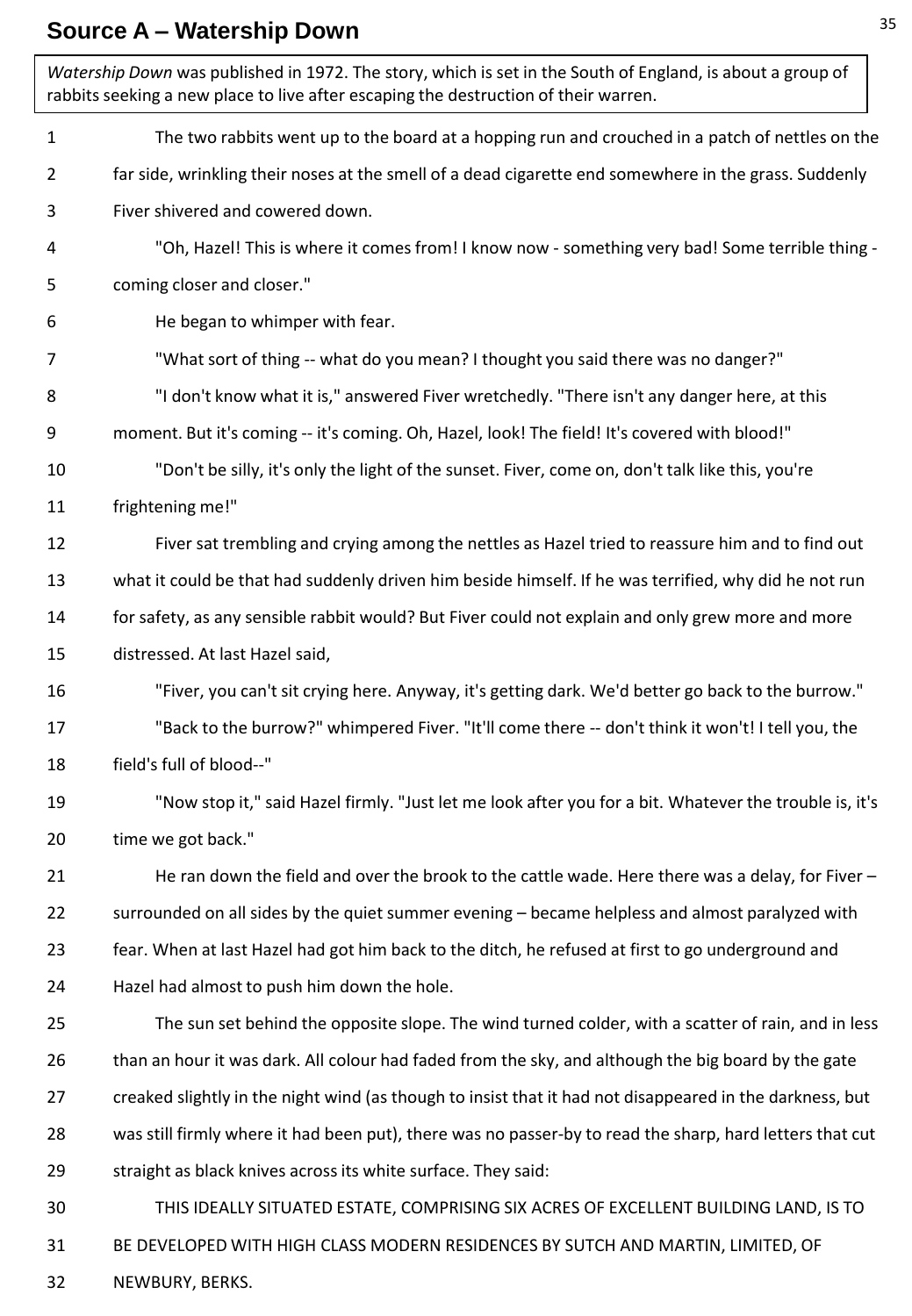## **Source A – Watership Down**

| Watership Down was published in 1972. The story, which is set in the South of England, is about a group of<br>rabbits seeking a new place to live after escaping the destruction of their warren. |                                                                                                          |
|---------------------------------------------------------------------------------------------------------------------------------------------------------------------------------------------------|----------------------------------------------------------------------------------------------------------|
| $\mathbf{1}$                                                                                                                                                                                      | The two rabbits went up to the board at a hopping run and crouched in a patch of nettles on the          |
| $\overline{2}$                                                                                                                                                                                    | far side, wrinkling their noses at the smell of a dead cigarette end somewhere in the grass. Suddenly    |
| 3                                                                                                                                                                                                 | Fiver shivered and cowered down.                                                                         |
| 4                                                                                                                                                                                                 | "Oh, Hazel! This is where it comes from! I know now - something very bad! Some terrible thing -          |
| 5                                                                                                                                                                                                 | coming closer and closer."                                                                               |
| 6                                                                                                                                                                                                 | He began to whimper with fear.                                                                           |
| 7                                                                                                                                                                                                 | "What sort of thing -- what do you mean? I thought you said there was no danger?"                        |
| 8                                                                                                                                                                                                 | "I don't know what it is," answered Fiver wretchedly. "There isn't any danger here, at this              |
| 9                                                                                                                                                                                                 | moment. But it's coming -- it's coming. Oh, Hazel, look! The field! It's covered with blood!"            |
| 10                                                                                                                                                                                                | "Don't be silly, it's only the light of the sunset. Fiver, come on, don't talk like this, you're         |
| 11                                                                                                                                                                                                | frightening me!"                                                                                         |
| 12                                                                                                                                                                                                | Fiver sat trembling and crying among the nettles as Hazel tried to reassure him and to find out          |
| 13                                                                                                                                                                                                | what it could be that had suddenly driven him beside himself. If he was terrified, why did he not run    |
| 14                                                                                                                                                                                                | for safety, as any sensible rabbit would? But Fiver could not explain and only grew more and more        |
| 15                                                                                                                                                                                                | distressed. At last Hazel said,                                                                          |
| 16                                                                                                                                                                                                | "Fiver, you can't sit crying here. Anyway, it's getting dark. We'd better go back to the burrow."        |
| 17                                                                                                                                                                                                | "Back to the burrow?" whimpered Fiver. "It'll come there -- don't think it won't! I tell you, the        |
| 18                                                                                                                                                                                                | field's full of blood--"                                                                                 |
| 19                                                                                                                                                                                                | "Now stop it," said Hazel firmly. "Just let me look after you for a bit. Whatever the trouble is, it's   |
| 20                                                                                                                                                                                                | time we got back."                                                                                       |
| 21                                                                                                                                                                                                | He ran down the field and over the brook to the cattle wade. Here there was a delay, for Fiver -         |
| 22                                                                                                                                                                                                | surrounded on all sides by the quiet summer evening - became helpless and almost paralyzed with          |
| 23                                                                                                                                                                                                | fear. When at last Hazel had got him back to the ditch, he refused at first to go underground and        |
| 24                                                                                                                                                                                                | Hazel had almost to push him down the hole.                                                              |
| 25                                                                                                                                                                                                | The sun set behind the opposite slope. The wind turned colder, with a scatter of rain, and in less       |
| 26                                                                                                                                                                                                | than an hour it was dark. All colour had faded from the sky, and although the big board by the gate      |
| 27                                                                                                                                                                                                | creaked slightly in the night wind (as though to insist that it had not disappeared in the darkness, but |
| 28                                                                                                                                                                                                | was still firmly where it had been put), there was no passer-by to read the sharp, hard letters that cut |
| 29                                                                                                                                                                                                | straight as black knives across its white surface. They said:                                            |
| 30                                                                                                                                                                                                | THIS IDEALLY SITUATED ESTATE, COMPRISING SIX ACRES OF EXCELLENT BUILDING LAND, IS TO                     |
| 31                                                                                                                                                                                                | BE DEVELOPED WITH HIGH CLASS MODERN RESIDENCES BY SUTCH AND MARTIN, LIMITED, OF                          |
| 32                                                                                                                                                                                                | NEWBURY, BERKS.                                                                                          |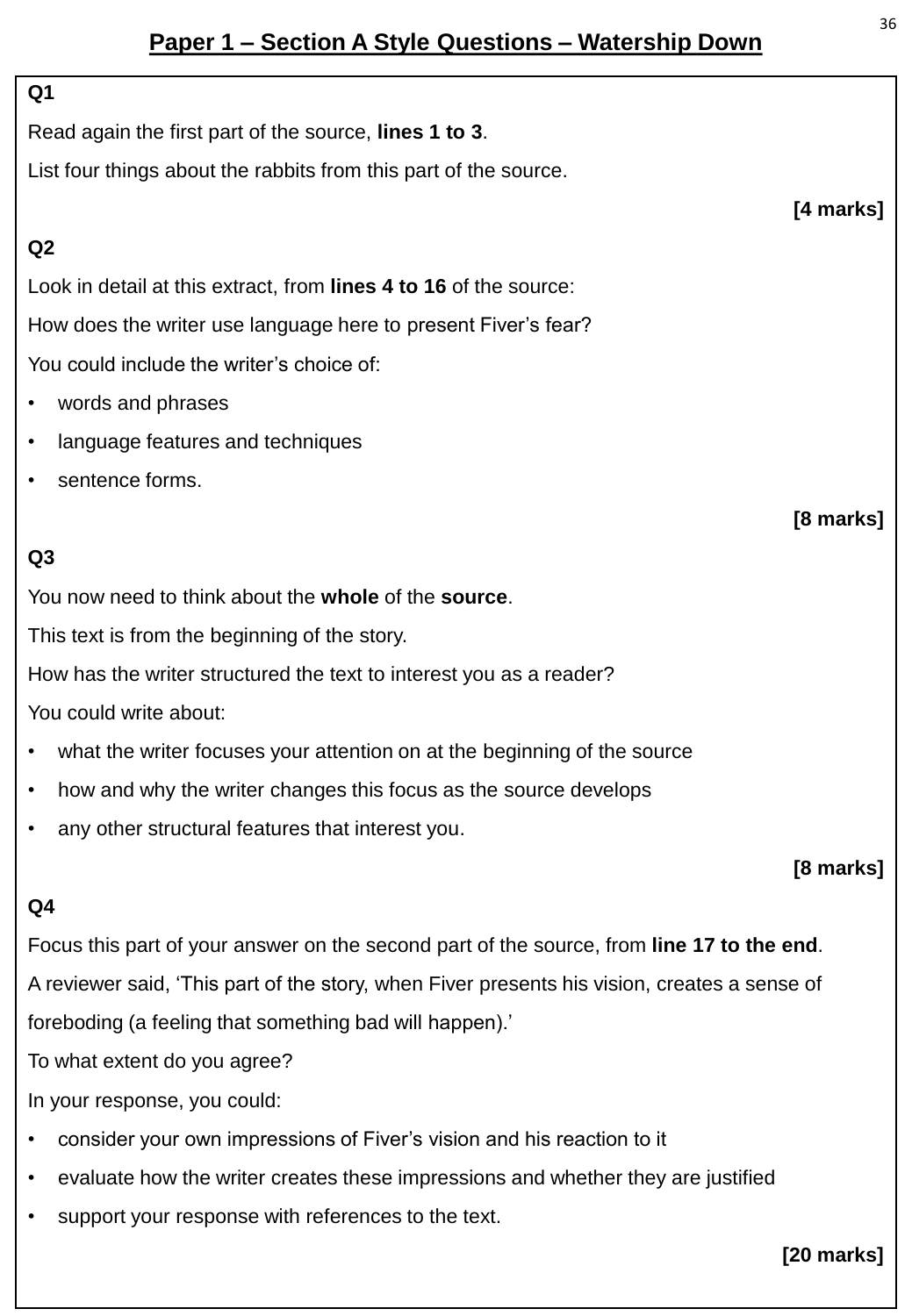## **Paper 1 – Section A Style Questions – Watership Down**

#### **Q1**

Read again the first part of the source, **lines 1 to 3**.

List four things about the rabbits from this part of the source.

#### **Q2**

Look in detail at this extract, from **lines 4 to 16** of the source: How does the writer use language here to present Fiver's fear? You could include the writer's choice of:

- words and phrases
- language features and techniques
- sentence forms.

### **Q3**

You now need to think about the **whole** of the **source**.

This text is from the beginning of the story.

How has the writer structured the text to interest you as a reader?

You could write about:

- what the writer focuses your attention on at the beginning of the source
- how and why the writer changes this focus as the source develops
- any other structural features that interest you.

#### **[8 marks]**

#### **Q4**

Focus this part of your answer on the second part of the source, from **line 17 to the end**. A reviewer said, 'This part of the story, when Fiver presents his vision, creates a sense of foreboding (a feeling that something bad will happen).'

To what extent do you agree?

In your response, you could:

- consider your own impressions of Fiver's vision and his reaction to it
- evaluate how the writer creates these impressions and whether they are justified
- support your response with references to the text.

**[20 marks]**

**[4 marks]**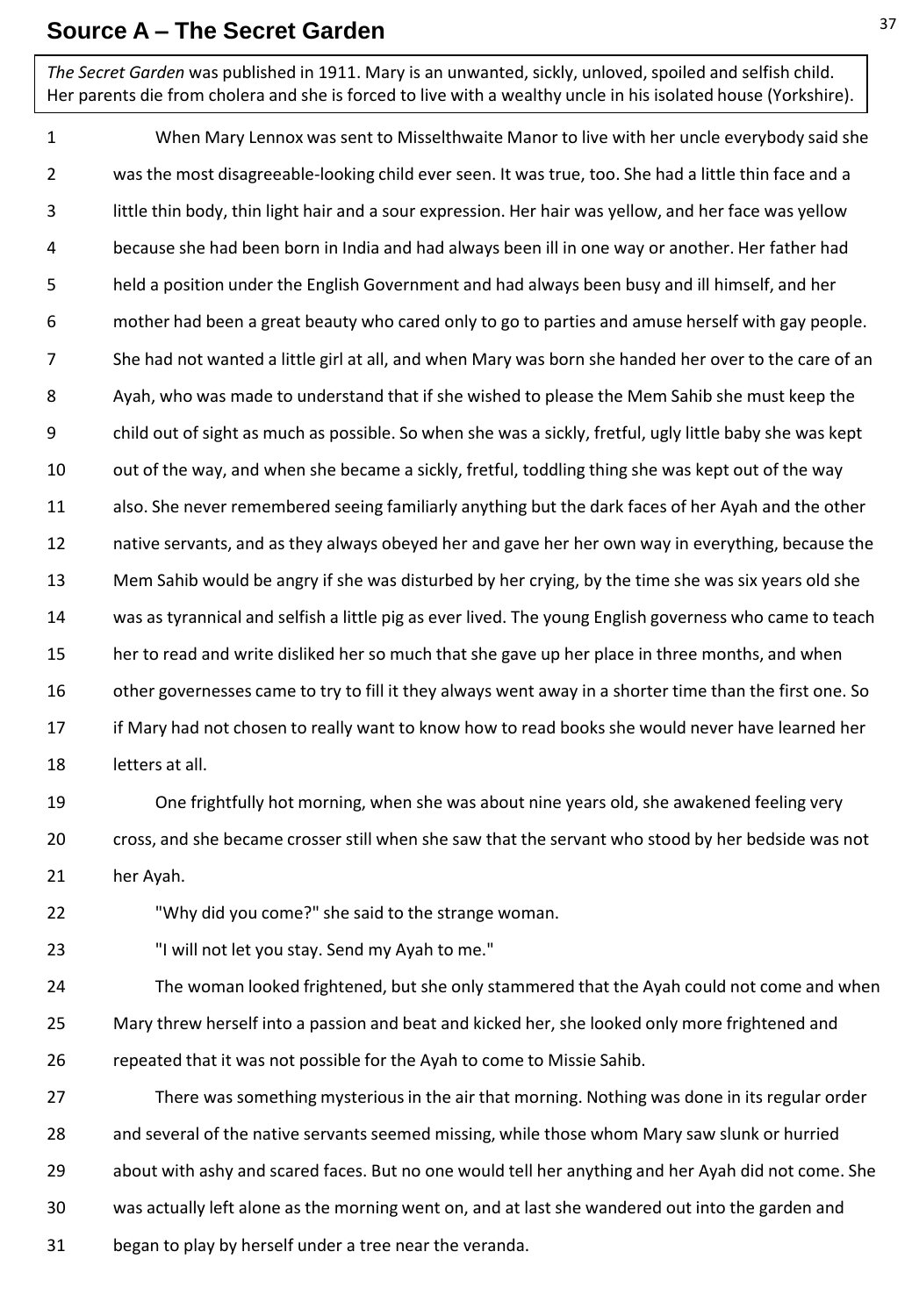#### **Source A – The Secret Garden**

*The Secret Garden* was published in 1911. Mary is an unwanted, sickly, unloved, spoiled and selfish child. Her parents die from cholera and she is forced to live with a wealthy uncle in his isolated house (Yorkshire).

1 2 3 4 5 6 7 8 9 10 11 12 13 14 15 16 17 18 When Mary Lennox was sent to Misselthwaite Manor to live with her uncle everybody said she was the most disagreeable-looking child ever seen. It was true, too. She had a little thin face and a little thin body, thin light hair and a sour expression. Her hair was yellow, and her face was yellow because she had been born in India and had always been ill in one way or another. Her father had held a position under the English Government and had always been busy and ill himself, and her mother had been a great beauty who cared only to go to parties and amuse herself with gay people. She had not wanted a little girl at all, and when Mary was born she handed her over to the care of an Ayah, who was made to understand that if she wished to please the Mem Sahib she must keep the child out of sight as much as possible. So when she was a sickly, fretful, ugly little baby she was kept out of the way, and when she became a sickly, fretful, toddling thing she was kept out of the way also. She never remembered seeing familiarly anything but the dark faces of her Ayah and the other native servants, and as they always obeyed her and gave her her own way in everything, because the Mem Sahib would be angry if she was disturbed by her crying, by the time she was six years old she was as tyrannical and selfish a little pig as ever lived. The young English governess who came to teach her to read and write disliked her so much that she gave up her place in three months, and when other governesses came to try to fill it they always went away in a shorter time than the first one. So if Mary had not chosen to really want to know how to read books she would never have learned her letters at all.

19 20 21 One frightfully hot morning, when she was about nine years old, she awakened feeling very cross, and she became crosser still when she saw that the servant who stood by her bedside was not her Ayah.

22 "Why did you come?" she said to the strange woman.

23 "I will not let you stay. Send my Ayah to me."

24 25 26 The woman looked frightened, but she only stammered that the Ayah could not come and when Mary threw herself into a passion and beat and kicked her, she looked only more frightened and repeated that it was not possible for the Ayah to come to Missie Sahib.

27 28 29 30 31 There was something mysterious in the air that morning. Nothing was done in its regular order and several of the native servants seemed missing, while those whom Mary saw slunk or hurried about with ashy and scared faces. But no one would tell her anything and her Ayah did not come. She was actually left alone as the morning went on, and at last she wandered out into the garden and began to play by herself under a tree near the veranda.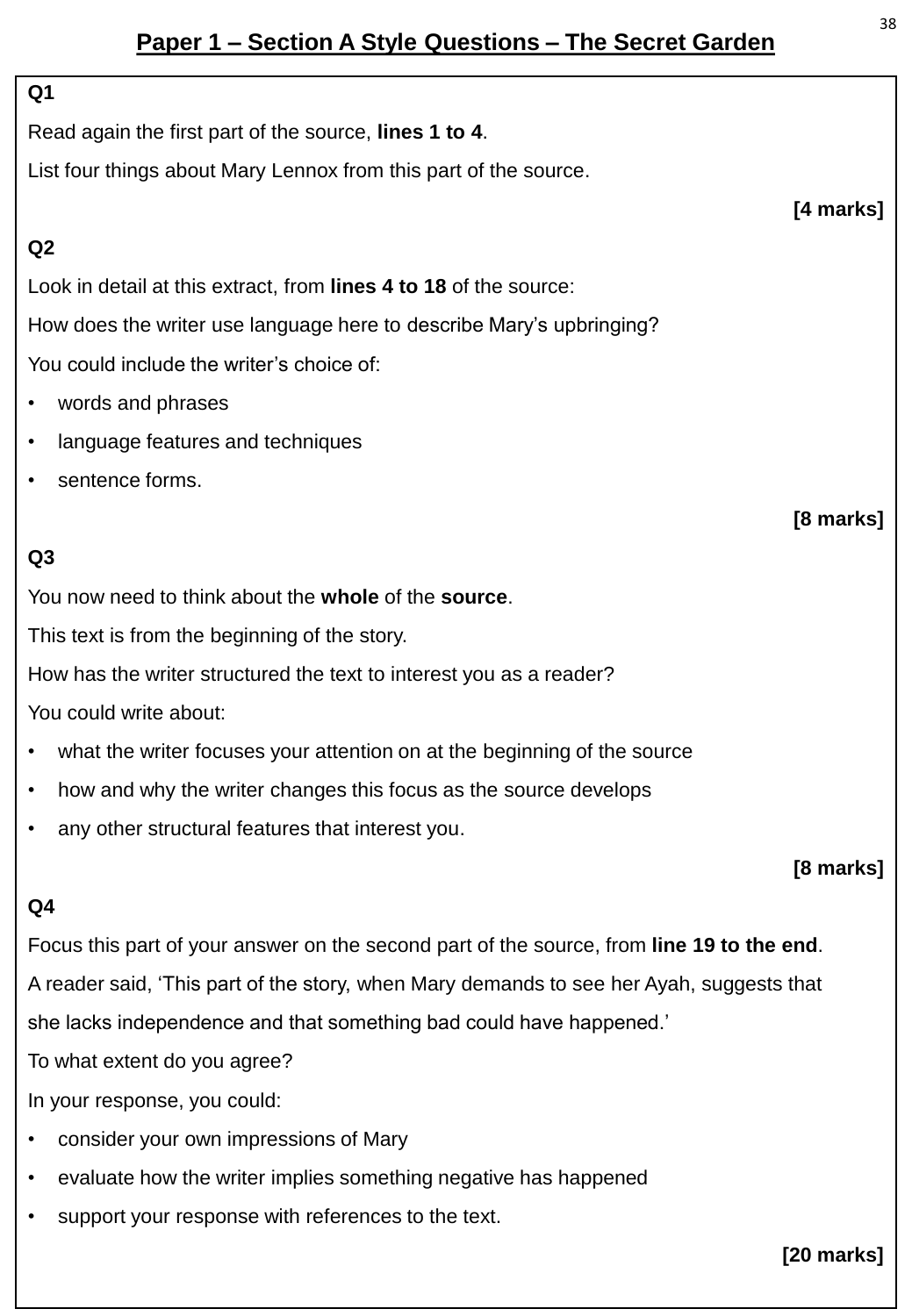## **Paper 1 – Section A Style Questions – The Secret Garden**

#### **Q1**

Read again the first part of the source, **lines 1 to 4**.

List four things about Mary Lennox from this part of the source.

#### **Q2**

Look in detail at this extract, from **lines 4 to 18** of the source:

How does the writer use language here to describe Mary's upbringing?

You could include the writer's choice of:

- words and phrases
- language features and techniques
- sentence forms.

### **Q3**

You now need to think about the **whole** of the **source**.

This text is from the beginning of the story.

How has the writer structured the text to interest you as a reader?

You could write about:

- what the writer focuses your attention on at the beginning of the source
- how and why the writer changes this focus as the source develops
- any other structural features that interest you.

#### **[8 marks]**

#### **Q4**

Focus this part of your answer on the second part of the source, from **line 19 to the end**. A reader said, 'This part of the story, when Mary demands to see her Ayah, suggests that she lacks independence and that something bad could have happened.'

To what extent do you agree?

In your response, you could:

- consider your own impressions of Mary
- evaluate how the writer implies something negative has happened
- support your response with references to the text.

#### **[20 marks]**

**[4 marks]**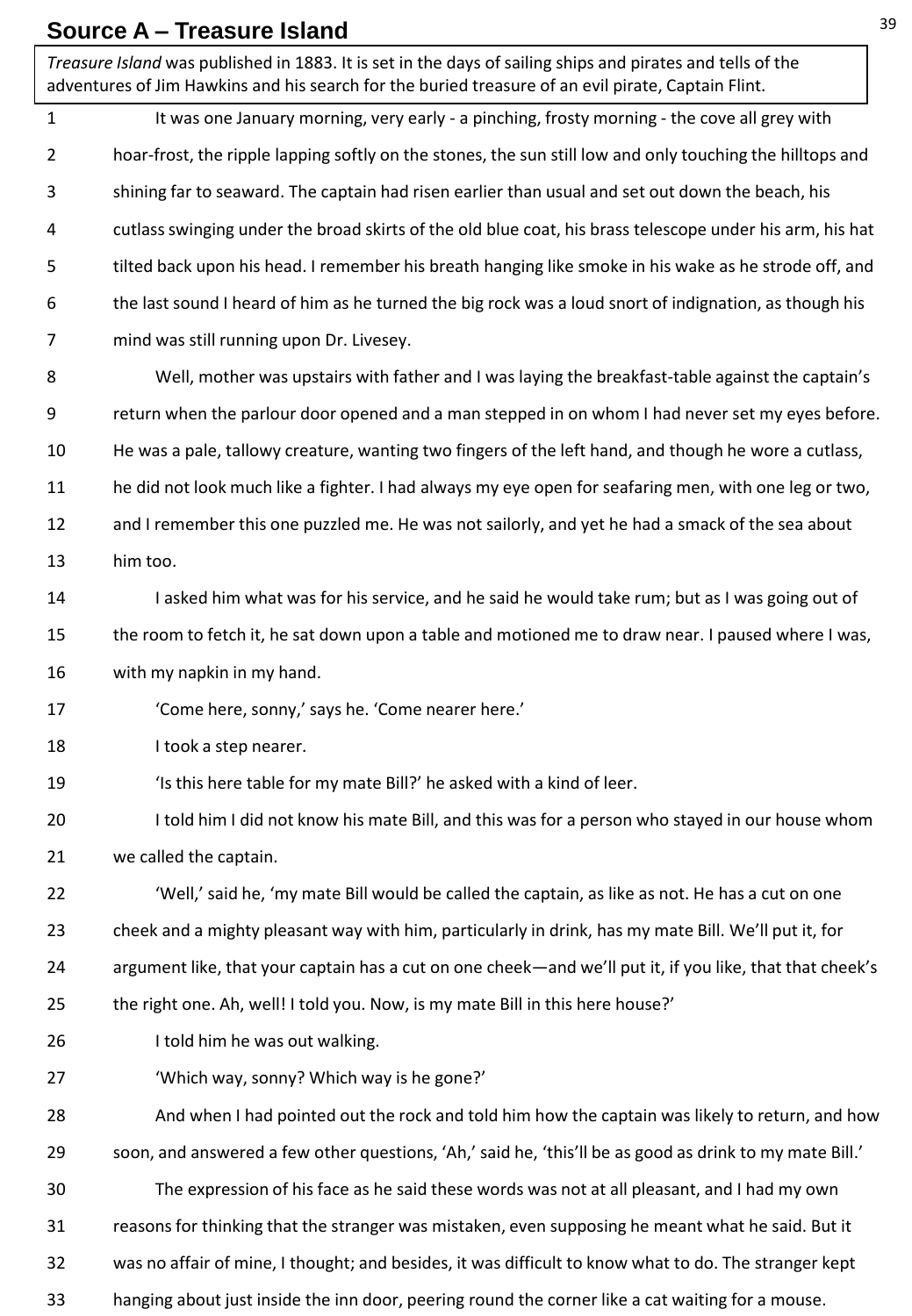#### **Source A – Treasure Island**

*Treasure Island* was published in 1883. It is set in the days of sailing ships and pirates and tells of the adventures of Jim Hawkins and his search for the buried treasure of an evil pirate, Captain Flint.

1 2 3 4 5 6 7 8 9 10 11 12 13 14 15 16 17 18 19 20 21 22 23 24 25 26 27 28 29 30 31 32 33 It was one January morning, very early - a pinching, frosty morning - the cove all grey with hoar-frost, the ripple lapping softly on the stones, the sun still low and only touching the hilltops and shining far to seaward. The captain had risen earlier than usual and set out down the beach, his cutlass swinging under the broad skirts of the old blue coat, his brass telescope under his arm, his hat tilted back upon his head. I remember his breath hanging like smoke in his wake as he strode off, and the last sound I heard of him as he turned the big rock was a loud snort of indignation, as though his mind was still running upon Dr. Livesey. Well, mother was upstairs with father and I was laying the breakfast-table against the captain's return when the parlour door opened and a man stepped in on whom I had never set my eyes before. He was a pale, tallowy creature, wanting two fingers of the left hand, and though he wore a cutlass, he did not look much like a fighter. I had always my eye open for seafaring men, with one leg or two, and I remember this one puzzled me. He was not sailorly, and yet he had a smack of the sea about him too. I asked him what was for his service, and he said he would take rum; but as I was going out of the room to fetch it, he sat down upon a table and motioned me to draw near. I paused where I was, with my napkin in my hand. 'Come here, sonny,' says he. 'Come nearer here.' I took a step nearer. 'Is this here table for my mate Bill?' he asked with a kind of leer. I told him I did not know his mate Bill, and this was for a person who stayed in our house whom we called the captain. 'Well,' said he, 'my mate Bill would be called the captain, as like as not. He has a cut on one cheek and a mighty pleasant way with him, particularly in drink, has my mate Bill. We'll put it, for argument like, that your captain has a cut on one cheek—and we'll put it, if you like, that that cheek's the right one. Ah, well! I told you. Now, is my mate Bill in this here house?' I told him he was out walking. 'Which way, sonny? Which way is he gone?' And when I had pointed out the rock and told him how the captain was likely to return, and how soon, and answered a few other questions, 'Ah,' said he, 'this'll be as good as drink to my mate Bill.' The expression of his face as he said these words was not at all pleasant, and I had my own reasons for thinking that the stranger was mistaken, even supposing he meant what he said. But it was no affair of mine, I thought; and besides, it was difficult to know what to do. The stranger kept hanging about just inside the inn door, peering round the corner like a cat waiting for a mouse.